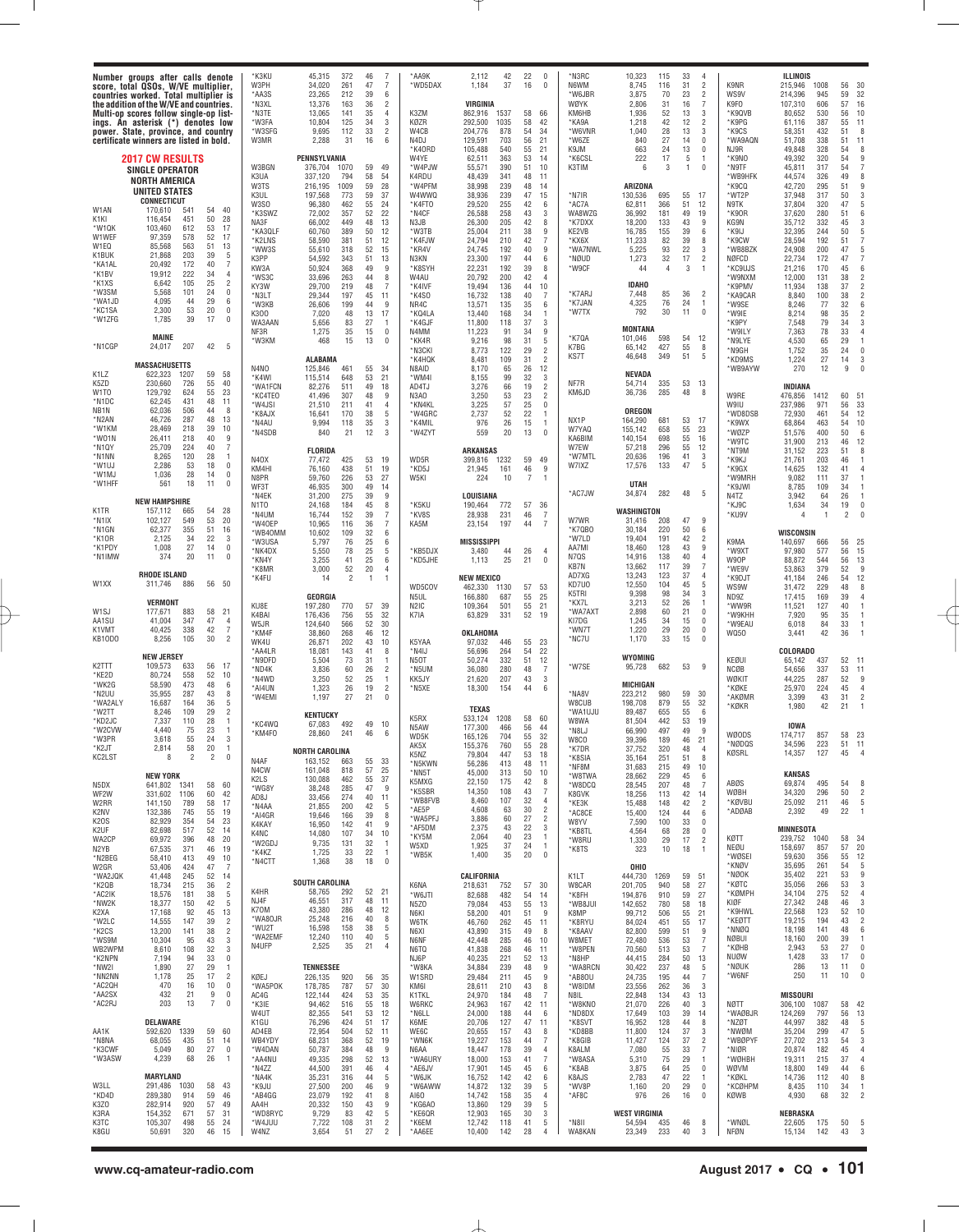|                                                                                                                                                                                             | Number groups after calls denote<br>score, total QSOs, W/VE multiplier,<br>countries worked. Total multiplier is<br>the addition of the W/VE and countries.<br>Multi-op scores follow single-op list-<br>ings. An asterisk (*) denotes low<br>power. State, province, and country<br>certificate winners are listed in bold.                                                                                                                                                                                       | *K3KU<br>W3PH<br>*AA3S<br>*N3XL<br>*N3TE<br>*W3FA<br>*W3SFG<br>W3MR                                                                                                                                                                                                                                          | $\overline{7}$<br>46<br>45,315<br>372<br>34,020<br>261<br>47<br>7<br>39<br>23,265<br>212<br>6<br>$\overline{2}$<br>13,376<br>163<br>36<br>35<br>13,065<br>141<br>4<br>34<br>3<br>10,804<br>125<br>33<br>$\overline{2}$<br>9,695<br>112<br>16<br>2,288<br>31<br>6                                                                                                                                                                                                                                                                                                                                                                                                      | *AA9K<br>*WD5DAX<br>K3ZM<br>KØZR<br>W4CB<br>N4DJ                                                                                                                                                                                   | 22<br>42<br>$\mathbf 0$<br>2,112<br>37<br>16<br>$\mathbf{0}$<br>1,184<br>VIRGINIA<br>58<br>862,916<br>1537<br>66<br>58<br>42<br>292,500<br>1035<br>54<br>204,776<br>878<br>34<br>56<br>129,591<br>703<br>21                                                                                                                                                                                                                                                                                                                                                                                                                                                                                                                                                                   | *N3RC<br>N6WM<br>*W6JBR<br>WØYK<br>KM6HB<br>*KA9A<br>*W6VNF<br>*W6ZE                                                                                               | 10,323<br>33<br>4<br>115<br>31<br>$\overline{2}$<br>8,745<br>116<br>$\overline{c}$<br>70<br>23<br>3,875<br>31<br>7<br>2,806<br>16<br>52<br>13<br>3<br>1,936<br>$\overline{c}$<br>42<br>12<br>1,218<br>28<br>13<br>3<br>1,040<br>27<br>$\bf{0}$<br>840<br>14                                                                                                                                                                                                                                                                                                                                                        | K9NR<br>WS9V<br>K9FO<br>*K9QVB<br>*K9PG<br>*K9CS<br>*WA9AQN                                                                                                                                                                               | ILLINOIS<br>30<br>215,946<br>1008<br>56<br>32<br>59<br>214,396<br>945<br>16<br>57<br>606<br>107,310<br>10<br>56<br>80,652<br>530<br>55<br>11<br>61,116<br>387<br>51<br>8<br>58,351<br>432<br>11<br>51,708<br>338<br>51                                                                                                                                                                                                                                                                                                                                                                                                                                                                                                                                                                        |
|---------------------------------------------------------------------------------------------------------------------------------------------------------------------------------------------|--------------------------------------------------------------------------------------------------------------------------------------------------------------------------------------------------------------------------------------------------------------------------------------------------------------------------------------------------------------------------------------------------------------------------------------------------------------------------------------------------------------------|--------------------------------------------------------------------------------------------------------------------------------------------------------------------------------------------------------------------------------------------------------------------------------------------------------------|-----------------------------------------------------------------------------------------------------------------------------------------------------------------------------------------------------------------------------------------------------------------------------------------------------------------------------------------------------------------------------------------------------------------------------------------------------------------------------------------------------------------------------------------------------------------------------------------------------------------------------------------------------------------------|------------------------------------------------------------------------------------------------------------------------------------------------------------------------------------------------------------------------------------|-------------------------------------------------------------------------------------------------------------------------------------------------------------------------------------------------------------------------------------------------------------------------------------------------------------------------------------------------------------------------------------------------------------------------------------------------------------------------------------------------------------------------------------------------------------------------------------------------------------------------------------------------------------------------------------------------------------------------------------------------------------------------------|--------------------------------------------------------------------------------------------------------------------------------------------------------------------|--------------------------------------------------------------------------------------------------------------------------------------------------------------------------------------------------------------------------------------------------------------------------------------------------------------------------------------------------------------------------------------------------------------------------------------------------------------------------------------------------------------------------------------------------------------------------------------------------------------------|-------------------------------------------------------------------------------------------------------------------------------------------------------------------------------------------------------------------------------------------|-----------------------------------------------------------------------------------------------------------------------------------------------------------------------------------------------------------------------------------------------------------------------------------------------------------------------------------------------------------------------------------------------------------------------------------------------------------------------------------------------------------------------------------------------------------------------------------------------------------------------------------------------------------------------------------------------------------------------------------------------------------------------------------------------|
| W1AN<br>K <sub>1</sub> KI<br>*W10K<br>W1WEF<br>W <sub>1EQ</sub><br>K1BUK<br>*KA1AL<br>*K1BV<br>*K1XS<br>'W3SM<br>*WA1JD<br>*KC1SA<br>*W1ZFG<br>*N1CGP                                       | <b>2017 CW RESULTS</b><br><b>SINGLE OPERATOR</b><br><b>NORTH AMERICA</b><br>UNITED STATES<br><b>CONNECTICUT</b><br>40<br>170,610<br>541<br>54<br>116,454<br>451<br>50<br>28<br>103.460<br>612<br>53<br>17<br>97.359<br>578<br>52<br>17<br>85,568<br>563<br>51<br>13<br>21.868<br>203<br>39<br>20.492<br>172<br>40<br>19,912<br>222<br>34<br>25<br>6,642<br>105<br>5,568<br>101<br>24<br>4.095<br>44<br>29<br>2,300<br>53<br>20<br>1,785<br>39<br>17<br><b>MAINE</b><br>24,017<br>207<br>42<br><b>MASSACHUSETTS</b> | W3BGN<br>K3UA<br>W3TS<br>K3UL<br>W3S0<br>*K3SWZ<br>NA3F<br>*KA3QLF<br>*K2LNS<br>*WW3S<br>5<br>K3PP<br>$\overline{7}$<br>KW3A<br>$\overline{4}$<br>*WS3C<br>$\overline{2}$<br>KY3W<br>$\mathbf 0$<br>*N3LT<br>6<br>*W3KB<br>$\mathbf 0$<br>K300<br>0<br>WA3AAN<br>NF3R<br>*W3KM<br>5<br>N4NO                  | PENNSYLVANIA<br>59<br>49<br>376,704<br>1070<br>58<br>54<br>337,120<br>794<br>59<br>28<br>216,195<br>1009<br>59<br>37<br>197,568<br>773<br>55<br>24<br>96,380<br>462<br>52<br>22<br>72,002<br>357<br>48<br>13<br>66,002<br>449<br>389<br>50<br>12<br>60,760<br>51<br>12<br>58,590<br>381<br>52<br>15<br>55,610<br>318<br>54,592<br>51<br>13<br>343<br>368<br>49<br>50,924<br>9<br>44<br>33,696<br>263<br>8<br>48<br>29,700<br>219<br>-7<br>45<br>29,344<br>197<br>11<br>44<br>9<br>26,606<br>199<br>13<br>17<br>7,020<br>48<br>27<br>5,656<br>83<br>-1<br>15<br>1,275<br>35<br>$\Omega$<br>13<br>468<br>15<br>$\theta$<br><b>ALABAMA</b><br>34<br>55<br>125,846<br>461 | *K40RD<br>W4YE<br>*W4PJW<br>K4RDU<br>*W4PFM<br>W4WWQ<br>*K4FT0<br>*N4CF<br>N3JB<br>*W3TB<br>*K4FJW<br>*KR4V<br>N3KN<br>*K8SYH<br>W4AU<br>*K4IVF<br>*K4SO<br>NR4C<br>*KQ4LA<br>*K4GJF<br>N4MM<br>*KK4R<br>*N3CKI<br>*K4HQK<br>N8AID | 55<br>105,488<br>540<br>21<br>363<br>53<br>62,511<br>14<br>390<br>51<br>55,571<br>10<br>341<br>48<br>48,439<br>11<br>38,998<br>239<br>48<br>14<br>47<br>38,936<br>239<br>15<br>255<br>42<br>29,520<br>6<br>258<br>43<br>26,588<br>3<br>42<br>26,300<br>205<br>8<br>38<br>25,004<br>211<br>9<br>42<br>24,794<br>210<br>7<br>40<br>24,745<br>192<br>9<br>23,300<br>197<br>44<br>6<br>39<br>22,231<br>192<br>8<br>42<br>20,792<br>200<br>$\overline{4}$<br>136<br>44<br>10<br>19,494<br>40<br>16,732<br>138<br>-7<br>35<br>135<br>13,571<br>6<br>168<br>34<br>13,440<br>$\mathbf{1}$<br>11,800<br>37<br>3<br>118<br>11,223<br>34<br>9<br>91<br>5<br>9,216<br>98<br>31<br>$\overline{2}$<br>8,773<br>122<br>29<br>31<br>$\overline{2}$<br>109<br>8,481<br>8,170<br>65<br>26<br>12 | K9JM<br>*K6CSL<br>K3TIM<br>*N7IR<br>*AC7A<br>WA8WZG<br>*K7DXX<br>KE2VB<br>*KX6X<br>*WA7NWL<br>*NØUD<br>*W9CF<br>*K7ARJ<br>*K7JAN<br>*W7TX<br>*K7QA<br>K7BG<br>KS7T | 13<br>663<br>24<br>0<br>222<br>17<br>5<br>-1<br>0<br>6<br>3<br>$\overline{1}$<br><b>ARIZONA</b><br>695<br>55<br>130,536<br>-17<br>51<br>366<br>12<br>62,811<br>181<br>49<br>19<br>36,992<br>133<br>43<br>9<br>18,200<br>6<br>155<br>39<br>16,785<br>82<br>39<br>8<br>11,233<br>22<br>3<br>93<br>5,225<br>$\overline{2}$<br>1,273<br>32<br>17<br>3<br>$\mathbf{1}$<br>44<br>4<br><b>IDAHO</b><br>7.448<br>85<br>36<br>$\overline{2}$<br>4,325<br>76<br>24<br>$\mathbf{1}$<br>792<br>30<br>11<br>$\mathbf 0$<br><b>MONTANA</b><br>598<br>12<br>101,046<br>54<br>65,142<br>427<br>8<br>55<br>46,648<br>51<br>5<br>349 | NJ9R<br>*K9NO<br>*N9TF<br>*WB9HFK<br>*K9CQ<br>*WT2P<br>N9TK<br>*K90R<br>KG9N<br>*K9IJ<br>*K9CW<br>*WB8BZK<br>NØFCD<br>*KC9UJS<br>*W9NXM<br>*K9PMV<br>*KA9CAF<br>*W9SE<br>*W9IE<br>*K9PY<br>*W9ILY<br>*N9LYE<br>*N9GH<br>*KD9MS<br>*WB9AYW | 8<br>49,848<br>328<br>54<br>54<br>9<br>49,392<br>320<br>7<br>45,811<br>317<br>54<br>49<br>44,574<br>326<br>8<br>295<br>9<br>42,720<br>51<br>317<br>3<br>37,948<br>50<br>5<br>47<br>37,804<br>320<br>280<br>6<br>37,620<br>51<br>332<br>45<br>3<br>35,712<br>5<br>50<br>32,395<br>244<br>28,594<br>192<br>51<br>7<br>47<br>5<br>24,908<br>200<br>$\overline{7}$<br>172<br>22,734<br>47<br>6<br>21,216<br>170<br>45<br>$\sqrt{2}$<br>12,000<br>131<br>38<br>$\sqrt{2}$<br>37<br>11,934<br>138<br>$\sqrt{2}$<br>8,840<br>100<br>38<br>32<br>6<br>8,246<br>77<br>$\sqrt{2}$<br>35<br>8,214<br>98<br>79<br>34<br>3<br>7,548<br>78<br>33<br>7,363<br>$\overline{4}$<br>65<br>29<br>4,530<br>$\overline{1}$<br>1,752<br>35<br>24<br>$\bf{0}$<br>27<br>3<br>14<br>1,224<br>12<br>9<br>$\theta$<br>270 |
| K <sub>1</sub> LZ<br>K5ZD<br>W <sub>1</sub> T <sub>0</sub><br>*N1DC<br>NB <sub>1</sub> N<br>*N2AN<br>*W1KM<br>*W01N<br>*N1QY<br>*N1NN<br>*W1UJ<br>*W1MJ<br>*W1HFF<br>K1TR<br>*N1IX<br>*N1GN | 622,323<br>1207<br>59<br>58<br>230,660<br>726<br>55<br>40<br>23<br>129,792<br>624<br>55<br>62,245<br>431<br>48<br>11<br>62,036<br>506<br>44<br>46,726<br>287<br>48<br>13<br>39<br>28,469<br>218<br>10<br>26,411<br>218<br>40<br>25,709<br>224<br>40<br>8.265<br>120<br>28<br>2.286<br>53<br>18<br>1,036<br>28<br>14<br>561<br>18<br>11<br><b>NEW HAMPSHIRE</b><br>157,112<br>665<br>54<br>28<br>102.127<br>549<br>53<br>20<br>62.377<br>355<br>51<br>16                                                            | *K4WI<br>*WA1FCN<br>*KC4TEO<br>*W4JSI<br>8<br>*K8AJX<br>*N4AU<br>*N4SDB<br>9<br>$\overline{7}$<br>$\overline{1}$<br>N4OX<br>$\mathbf 0$<br>KM4HI<br>$\mathbf 0$<br>N8PR<br>$\overline{0}$<br>WF3T<br>*N4EK<br>N1TO<br>*N4UM<br>*W40EP                                                                        | 53<br>21<br>115,514<br>648<br>49<br>18<br>82,276<br>511<br>48<br>41,496<br>307<br>9<br>21,510<br>211<br>41<br>$\overline{4}$<br>5<br>16,641<br>170<br>38<br>35<br>9,994<br>118<br>3<br>12<br>$\mathbf{3}$<br>840<br>21<br>FLORIDA<br>53<br>19<br>77,472<br>425<br>51<br>19<br>76,160<br>438<br>53<br>27<br>59,760<br>226<br>49<br>14<br>46,935<br>300<br>$9\,$<br>39<br>31,200<br>275<br>45<br>8<br>24,168<br>184<br>39<br>7<br>16,744<br>152<br>36<br>10,965<br>116<br>7                                                                                                                                                                                             | *WM4I<br>AD4TJ<br>N3AO<br>*KN4KL<br>*W4GRC<br>*K4MIL<br>*W4ZYT<br>WD5R<br>*KD5J<br>W5KI<br>*K5KU<br>*KV8S<br>KA5M                                                                                                                  | 32<br>3<br>99<br>8,155<br>66<br>19<br>$\overline{c}$<br>3,276<br>53<br>23<br>$\overline{c}$<br>3,250<br>57<br>25<br>3,225<br>$\mathbf 0$<br>52<br>22<br>2,737<br>$\overline{1}$<br>26<br>15<br>976<br>$\overline{1}$<br>20<br>559<br>13<br>$\Omega$<br><b>ARKANSAS</b><br>59<br>49<br>399,816<br>1232<br>46<br>161<br>9<br>21,945<br>10<br>224<br>7<br>$\overline{1}$<br>LOUISIANA<br>57<br>36<br>190,464<br>772<br>231<br>46<br>7<br>28,938<br>197<br>44<br>7<br>23,154                                                                                                                                                                                                                                                                                                      | NF7R<br>KM6JD<br>NX1P<br>W7YAQ<br>KA6BIM<br>W7EW<br>*W7MTL<br>W7IXZ<br>*AC7JW<br>W7WR                                                                              | NEVADA<br>54,714<br>335<br>53<br>13<br>36,736<br>285<br>48<br>8<br>OREGON<br>164,290<br>681<br>53<br>17<br>23<br>155,142<br>658<br>55<br>140,154<br>698<br>55<br>16<br>296<br>55<br>12<br>57,218<br>196<br>41<br>3<br>20,636<br>133<br>47<br>5<br>17,576<br>UTAH<br>282<br>34,874<br>48<br>5<br>WASHINGTON<br>47<br>9<br>31,416<br>208<br>6<br>220<br>50                                                                                                                                                                                                                                                           | W9RE<br>W9IU<br>*WD8DSB<br>*K9WX<br>*WØZP<br>*W9TC<br>*NT9M<br>*K9KJ<br>*K9GX<br>*W9MRH<br>*K9JWI<br>N4TZ<br>*KJ9C<br>*KU9V                                                                                                               | INDIANA<br>60<br>51<br>476,856<br>1412<br>56<br>33<br>971<br>237,986<br>12<br>461<br>54<br>72,930<br>54<br>10<br>68,864<br>463<br>50<br>6<br>51,576<br>400<br>46<br>12<br>31,900<br>213<br>31,152<br>223<br>51<br>8<br>21,761<br>203<br>46<br>$\overline{1}$<br>14,625<br>132<br>41<br>$\overline{4}$<br>9,082<br>111<br>37<br>$\overline{1}$<br>8,785<br>109<br>34<br>$\overline{1}$<br>26<br>3,942<br>64<br>$\overline{1}$<br>34<br>19<br>$\theta$<br>1,634<br>$\overline{2}$<br>$\theta$<br>4<br>$\overline{1}$                                                                                                                                                                                                                                                                            |
| *K10R<br>*K1PDY<br>*N1IMW<br>W1XX<br>W <sub>1</sub> SJ<br>AA1SU<br>K1VMT<br>KB10D0                                                                                                          | 2.125<br>34<br>22<br>1.008<br>27<br>14<br>374<br>20<br>11<br><b>RHODE ISLAND</b><br>886<br>56<br>50<br>311,746<br><b>VERMONT</b><br>177,671<br>883<br>58<br>21<br>41,004<br>347<br>47<br>40.425<br>338<br>42<br>8,256<br>105<br>30                                                                                                                                                                                                                                                                                 | *WB40MM<br>3<br>*W3USA<br>$\mathbf{0}$<br>*NK4DX<br>$\overline{0}$<br>*KN4Y<br>*K8MR<br>*K4FU<br>KU8E<br>K4BAI<br>$\overline{4}$<br>W5JR<br>$\overline{7}$<br>*KM4F<br>$\overline{2}$                                                                                                                        | 32<br>6<br>10,602<br>109<br>25<br>6<br>5,797<br>76<br>25<br>5<br>5,550<br>78<br>3,255<br>25<br>41<br>6<br>52<br>20<br>3,000<br>4<br>$\overline{2}$<br>14<br>$\overline{1}$<br>$\overline{1}$<br><b>GEORGIA</b><br>39<br>197,280<br>770<br>57<br>55<br>32<br>756<br>176,436<br>52<br>30<br>124,640<br>566<br>46<br>12<br>38,860<br>268                                                                                                                                                                                                                                                                                                                                 | *KB5DJX<br>*KD5JHE<br>WD5COV<br>N <sub>5</sub> UL<br>N <sub>2</sub> IC<br>K7IA                                                                                                                                                     | MISSISSIPPI<br>26<br>3,480<br>44<br>$\overline{4}$<br>25<br>21<br>$\mathbf 0$<br>1,113<br><b>NEW MEXICO</b><br>57<br>462,330<br>1130<br>53<br>55<br>25<br>166,880<br>687<br>501<br>55<br>21<br>109,364<br>52<br>331<br>19<br>63,829<br>OKLAHOMA                                                                                                                                                                                                                                                                                                                                                                                                                                                                                                                               | *K7QB0<br>*W7LD<br>AA7MI<br>N7QS<br>KB7N<br>AD7XG<br>KD7U0<br>K5TRI<br>*KX7L<br>*WA7AXT<br>KI7DG<br>*WN7T<br>*NC7U                                                 | 30,184<br>$\overline{c}$<br>19,404<br>191<br>42<br>9<br>128<br>43<br>18,460<br>138<br>40<br>$\overline{4}$<br>14,916<br>$\overline{7}$<br>117<br>39<br>13,662<br>123<br>37<br>$\overline{4}$<br>13,243<br>5<br>12,550<br>104<br>45<br>3<br>9,398<br>98<br>34<br>3,213<br>52<br>26<br>1<br>60<br>21<br>0<br>2,898<br>0<br>1,245<br>34<br>15<br>1,220<br>29<br>20<br>0<br>1,170<br>33<br>0<br>15                                                                                                                                                                                                                     | K9MA<br>*W9XT<br>W90P<br>*WE9V<br>*K9DJT<br>WS9W<br>ND9Z<br>*WW9R<br>*W9KHH<br>*W9EAU<br>W050                                                                                                                                             | WISCONSIN<br>56<br>25<br>140,697<br>666<br>15<br>56<br>97,980<br>577<br>13<br>56<br>88,872<br>544<br>379<br>52<br>9<br>53,863<br>12<br>41,184<br>246<br>54<br>48<br>31,472<br>229<br>8<br>17,415<br>169<br>39<br>$\overline{4}$<br>11,521<br>127<br>40<br>$\overline{1}$<br>35<br>7,920<br>95<br>$\overline{1}$<br>84<br>33<br>6,018<br>$\overline{1}$<br>36<br>42<br>3,441<br>-1                                                                                                                                                                                                                                                                                                                                                                                                             |
| K2TTT<br>*KE2D<br>*WK2G<br>*N2UU<br>*WA2ALY<br>*W2TT<br>*KD2JC<br>*W2CVW                                                                                                                    | <b>NEW JERSEY</b><br>109.573<br>633<br>56<br>17<br>80,724<br>558<br>52<br>10<br>58,590<br>473<br>48<br>35,955<br>287<br>43<br>16,687<br>164<br>36<br>8,246<br>109<br>29<br>7,337<br>110<br>28<br>4.440<br>75<br>23                                                                                                                                                                                                                                                                                                 | WK4U<br>*AA4LR<br>*N9DFD<br>*ND4K<br>*N4WD<br>6<br>*AI4UN<br>8<br>*W4EMI<br>5<br>$\overline{c}$<br>$\overline{1}$<br>*KC4WQ<br>$\overline{1}$<br>*KM4F0                                                                                                                                                      | 43<br>10<br>26,871<br>202<br>41<br>18,081<br>143<br>8<br>31<br>5,504<br>73<br>$\mathbf{1}$<br>26<br>$\overline{c}$<br>3,836<br>60<br>52<br>25<br>3,250<br>$\mathbf{1}$<br>26<br>19<br>$\overline{c}$<br>1,323<br>21<br>27<br>$\mathbf{0}$<br>1,197<br><b>KENTUCKY</b><br>67,083<br>492<br>49<br>10<br>28,860<br>241<br>46<br>6                                                                                                                                                                                                                                                                                                                                        | K5YAA<br>*N4IJ<br>N5OT<br>*N5UM<br>KK5JY<br>*N5XE<br>K5RX<br>N <sub>5</sub> AW                                                                                                                                                     | 55<br>23<br>97,032<br>446<br>54<br>22<br>56,696<br>264<br>12<br>50,274<br>332<br>51<br>280<br>48<br>7<br>36,080<br>43<br>207<br>3<br>21,620<br>154<br>44<br>6<br>18,300<br><b>TEXAS</b><br>533.124<br>1208<br>58<br>60<br>177,300<br>466<br>56<br>44                                                                                                                                                                                                                                                                                                                                                                                                                                                                                                                          | *W7SE<br>*NA8V<br>W8CUB<br>*WA1UJU<br>W8WA<br>*N8LJ                                                                                                                | WYOMING<br>95,728<br>682<br>53<br>9<br><b>MICHIGAN</b><br>223,212<br>980<br>59<br>30<br>198,708<br>879<br>55<br>32<br>6<br>89,487<br>655<br>55<br>442<br>53<br>19<br>81,504<br>66,990<br>497<br>49<br>9                                                                                                                                                                                                                                                                                                                                                                                                            | KEØUI<br><b>NCØB</b><br>WØKIT<br>*KØKE<br>*AKØMR<br>*KØKR                                                                                                                                                                                 | COLORADO<br>52<br>65,142<br>437<br>11<br>53<br>11<br>54,656<br>337<br>52<br>9<br>44,225<br>287<br>45<br>25,970<br>224<br>$\overline{4}$<br>31<br>$\overline{c}$<br>3,399<br>43<br>42<br>21<br>1,980<br>$\overline{1}$<br><b>IOWA</b>                                                                                                                                                                                                                                                                                                                                                                                                                                                                                                                                                          |
| *W3PR<br>*K2JT<br>KC2LST<br>N5DX<br>WF2W<br>W2RR<br>K2NV<br><b>K20S</b><br>K2UF                                                                                                             | 3.618<br>55<br>24<br>58<br>20<br>2,814<br>8<br>2<br>$\overline{2}$<br><b>NEW YORK</b><br>641,802 1341<br>58<br>-60<br>331,602<br>1106<br>60<br>42<br>141,150<br>789<br>58<br>17<br>132,386<br>745<br>55<br>19<br>82,929<br>354<br>54<br>23<br>82,698<br>517<br>52<br>14                                                                                                                                                                                                                                            | 3<br>$\overline{1}$<br>$\theta$<br>N4AF<br>N4CW<br>K <sub>2</sub> L <sub>S</sub><br>*WG8Y<br>AD8J<br>*N4AA<br>*AI4GR<br>K4KAY<br>K4NC                                                                                                                                                                        | NORTH CAROLINA<br>163,152<br>55<br>33<br>663<br>57<br>818<br>25<br>161,048<br>462<br>55<br>37<br>130,088<br>38,248<br>285<br>47<br>-9<br>33,456<br>274<br>40<br>11<br>21,855<br>200<br>42<br>-5<br>19,646<br>166<br>39<br>8<br>16,950<br>142<br>41<br>9<br>14,080<br>107<br>34<br>10                                                                                                                                                                                                                                                                                                                                                                                  | WD5K<br>AK5X<br>K5NZ<br>*N5KWN<br>*NN5T<br>K5MXG<br>*K5SBR<br>*WB8FVB<br>*AE5P<br>*WA5PFJ<br>*AF5DM<br>*KY5M                                                                                                                       | 165.126<br>704<br>55<br>32<br>155,376<br>760<br>55<br>28<br>53<br>79,804<br>447<br>18<br>56,286<br>413<br>48<br>11<br>45,000<br>313<br>50<br>10<br>22,150<br>175<br>42<br>8<br>14,350<br>108<br>43<br>7<br>8,460<br>107<br>32<br>$\overline{4}$<br>4,608<br>63<br>30<br>$\overline{2}$<br>3,886<br>60<br>27<br>$\overline{2}$<br>2,375<br>43<br>22<br>3<br>2,064<br>40<br>23<br>$\overline{1}$                                                                                                                                                                                                                                                                                                                                                                                | W8CO<br>*K7DR<br>*K8SIA<br>*NF8M<br>*W8TWA<br>*W8DCQ<br>K8GVK<br>*KE3K<br>*AC8CE<br>W8YV<br>*KB8TL                                                                 | 39,396<br>46<br>21<br>189<br>37,752<br>320<br>48<br>$\boldsymbol{\vartriangle}$<br>251<br>35,164<br>51<br>8<br>31,683<br>215<br>49<br>10<br>28,662<br>229<br>45<br>6<br>28,545<br>7<br>207<br>48<br>18,256<br>42<br>14<br>113<br>15,488<br>42<br>$\overline{2}$<br>148<br>15,400<br>6<br>124<br>44<br>7,590<br>33<br>0<br>100<br>0<br>4,564<br>68<br>28                                                                                                                                                                                                                                                            | WØODS<br>*NØDQS<br>KØSRL<br>ABØS<br>WØBH<br>*KØVBU<br>*ADØAB<br>KØTT                                                                                                                                                                      | 857<br>58<br>23<br>174,717<br>223<br>11<br>51<br>34.596<br>127<br>14.357<br>45<br><b>KANSAS</b><br>8<br>69,874<br>495<br>54<br>$\overline{2}$<br>296<br>50<br>34,320<br>$5\,$<br>211<br>46<br>25,092<br>22<br>2,392<br>49<br>$\overline{1}$<br>MINNESOTA<br>58<br>-34                                                                                                                                                                                                                                                                                                                                                                                                                                                                                                                         |
| WA2CP<br>N <sub>2</sub> YB<br>*N2BEG<br>W2GR<br>*WA2JQK<br>*K2QB<br>*AC2IK<br>*NW2K<br>K2XA<br>*W2LC<br>*K2CS<br>*WS9M<br>WB2WPM<br>*K2NPN<br>*NW2I<br>*NN2NN<br>*AC2QH                     | 69,972<br>396<br>48<br>20<br>67,535<br>371<br>46<br>19<br>58,410<br>413<br>49<br>10<br>53,406<br>424<br>47<br>41,448<br>245<br>52<br>18,734<br>215<br>36<br>18,576<br>181<br>38<br>18,377<br>150<br>42<br>17,168<br>92<br>45<br>14,555<br>147<br>39<br>13,200<br>141<br>38<br>10,304<br>95<br>43<br>8,610<br>108<br>32<br>7,194<br>94<br>33<br>1,890<br>27<br>29<br>1,178<br>25<br>17<br>470<br>16<br>10                                                                                                           | *W2GDJ<br>*K4KZ<br>*N4CTT<br>$\overline{7}$<br>14<br>$\overline{2}$<br>K4HR<br>5<br>NJ4F<br>5<br>K70M<br>13<br>*WA80JR<br>$\overline{2}$<br>*WU2T<br>$\overline{2}$<br>*WA2EMF<br>$\mathbf{3}$<br>N4UFP<br>$\mathbf{3}$<br>$\mathbf 0$<br>$\overline{1}$<br>$\overline{2}$<br>KØEJ<br>$\mathbf 0$<br>*WA5POK | 9,735<br>131<br>32<br>$\overline{1}$<br>22<br>1,725<br>33<br>$\overline{1}$<br>1,368<br>38<br>18<br>0<br>SOUTH CAROLINA<br>58,765<br>292<br>52 21<br>46,551<br>317<br>48<br>11<br>43,380<br>286<br>48<br>12<br>25,248<br>216<br>40<br>8<br>16,598<br>158<br>38<br>5<br>12,240<br>110<br>40<br>5<br>2,525<br>35<br>21<br>$\overline{4}$<br><b>TENNESSEE</b><br>226,135<br>920<br>56<br>35<br>787<br>57<br>30<br>178,785                                                                                                                                                                                                                                                | W5XD<br>*WB5K<br>K6NA<br>*W6JTI<br>N5ZO<br>N6KI<br>W6TK<br>N6XI<br>N6NF<br>N6TQ<br>NJ6P<br>*W8KA<br>W1SRD<br>KM6I                                                                                                                  | 1,925<br>37<br>24<br>$\overline{1}$<br>1,400<br>35<br>20<br>$\mathbf{0}$<br>CALIFORNIA<br>57<br>218,631<br>752<br>30<br>482<br>82,688<br>54<br>14<br>55<br>79,084<br>453<br>13<br>401<br>58,200<br>51<br>-9<br>262<br>45<br>46,760<br>11<br>49<br>43,890<br>315<br>8<br>42,448<br>46<br>285<br>10<br>41,838<br>268<br>46<br>11<br>40,235<br>221<br>52<br>13<br>34,884<br>239<br>48<br>9<br>45<br>29,484<br>211<br>9<br>43<br>28,611<br>210<br>8                                                                                                                                                                                                                                                                                                                               | *W8RU<br>*K8TS<br>K1LT<br>W8CAR<br>*K8FH<br>*WB8JUI<br>K8MP<br>*K8RYU<br>*K8AAV<br>W8MET<br>*W8PEN<br>*N8HP<br>*WA8RCN<br>*AB80U<br>*W8IDM                         | $\overline{c}$<br>17<br>1,330<br>29<br>323<br>10<br>18<br>-1<br>OHIO<br>444,730<br>1269<br>59<br>51<br>27<br>201,705<br>940<br>58<br>27<br>194,876<br>910<br>59<br>142,652<br>780<br>58<br>18<br>99,712<br>506<br>21<br>55<br>84,024<br>451<br>17<br>55<br>82,800<br>599<br>51<br>9<br>$\overline{7}$<br>72,480<br>536<br>53<br>70,560<br>7<br>513<br>53<br>44,415<br>13<br>284<br>50<br>30,422<br>48<br>5<br>237<br>24,735<br>$\overline{7}$<br>195<br>44<br>23,556<br>3<br>262<br>36                                                                                                                             | NEØU<br>*WØSEI<br>*KNØV<br>*NØOK<br>*KØTC<br>*KØMPH<br>KIØF<br>*K9HWL<br>*KEØTT<br>*NNØQ<br>NØBUI<br>*KØHB<br>NUØW<br>*NØUK<br>*W6NF                                                                                                      | 239,752 1040<br>57<br>20<br>158,697<br>857<br>55<br>12<br>59,630<br>356<br>54<br>5<br>35,695<br>261<br>53<br>9<br>35,402<br>221<br>3<br>53<br>35,056<br>266<br>52<br>$\overline{4}$<br>34,104<br>275<br>$\overline{3}$<br>46<br>27,342<br>248<br>10<br>52<br>22,568<br>123<br>$\overline{\mathbf{c}}$<br>43<br>19,215<br>194<br>6<br>48<br>18,198<br>141<br>39<br>18,160<br>200<br>$\overline{1}$<br>27<br>53<br>$\mathbf 0$<br>2,943<br>33<br>17<br>$\mathbf 0$<br>1,428<br>13<br>11<br>$\mathbf 0$<br>286<br>10<br>$\theta$<br>250<br>11                                                                                                                                                                                                                                                    |
| *AA2SX<br>*AC2RJ<br>AA1K<br>*N8NA<br>*K3CWF<br>*W3ASW<br>W3LL<br>*KD4D<br>K3ZO                                                                                                              | 432<br>21<br>9<br>203<br>13<br>$\overline{7}$<br><b>DELAWARE</b><br>592,620<br>59<br>1339<br>60<br>435<br>51<br>14<br>68,055<br>80<br>27<br>5,049<br>4,239<br>68<br>26<br><b>MARYLAND</b><br>291,486<br>1030<br>58<br>43<br>289,380<br>914<br>59<br>46<br>282,914<br>920<br>57<br>49                                                                                                                                                                                                                               | $\mathbf 0$<br>AC4G<br>$\mathbf 0$<br>*K3IE<br>W4UT<br>K1GU<br>AD4EB<br>WB4YDY<br>$\mathbf 0$<br>*W4DAN<br>$\overline{1}$<br>*AA4NU<br>*N4ZZ<br>*NA4K<br>*K9JU<br>*AB4GG<br>AA4H                                                                                                                             | 122,144<br>53<br>424<br>35<br>55<br>94,462<br>516<br>18<br>53<br>82,355<br>541<br>12<br>51<br>17<br>76,296<br>424<br>52<br>72,954<br>504<br>11<br>52<br>68,231<br>368<br>19<br>48<br>50,787<br>384<br>9<br>52<br>49,335<br>298<br>13<br>44,500<br>391<br>46<br>4<br>5<br>35,231<br>316<br>44<br>46<br>9<br>27,500<br>200<br>41<br>8<br>23,079<br>192<br>20,332<br>43<br>9<br>150                                                                                                                                                                                                                                                                                      | K1TKL<br>W6RKC<br>*N6LL<br>K6ME<br>WE6C<br>*WN6K<br>N6AA<br>*WA6URY<br>*AE6JV<br>*W6JK<br>*W6AWW<br>AI60<br>*KG6AO                                                                                                                 | 24,970<br>48<br>$\overline{7}$<br>184<br>167<br>42<br>24,963<br>11<br>24,000<br>44<br>188<br>6<br>47<br>20,706<br>127<br>11<br>43<br>20,655<br>157<br>8<br>19,227<br>44<br>153<br>7<br>39<br>18,447<br>178<br>4<br>18,000<br>153<br>41<br>-7<br>17,901<br>45<br>145<br>6<br>16,752<br>142<br>42<br>6<br>132<br>39<br>14,872<br>5<br>14,742<br>158<br>35<br>4<br>13,860<br>129<br>39<br>5                                                                                                                                                                                                                                                                                                                                                                                      | N8IL<br>*W8KNO<br>*ND8DX<br>*K8SVT<br>*KD8BB<br>*K8GIB<br>K8ALM<br>*W8ASA<br>*K8AB<br>K8AJS<br>*WV8P<br>*AF8C                                                      | 22,848<br>43<br>134<br>13<br>21,070<br>40<br>3<br>226<br>17,649<br>103<br>39<br>14<br>16,952<br>128<br>44<br>8<br>11,800<br>3<br>124<br>37<br>$\overline{c}$<br>37<br>11,427<br>124<br>7,080<br>7<br>55<br>33<br>5,310<br>75<br>29<br>-1<br>$\mathbf 0$<br>3,875<br>64<br>25<br>22<br>2,783<br>47<br>1<br>0<br>1,160<br>20<br>29<br>0<br>976<br>26<br>16                                                                                                                                                                                                                                                           | <b>NØTT</b><br>*WAØBJR<br>*NZØT<br>*NWØM<br>*WBØPYF<br>*NIØR<br>*WØHBH<br>WØVM<br>*KØKL<br>*KCØHPM<br>KØWB                                                                                                                                | <b>MISSOURI</b><br>58<br>42<br>306,100<br>1087<br>13<br>56<br>124,269<br>797<br>48<br>$5\,$<br>44,997<br>382<br>47<br>5<br>35,204<br>299<br>54<br>3<br>27,702<br>213<br>45<br>20,874<br>182<br>$\overline{4}$<br>37<br>$\overline{4}$<br>19,311<br>215<br>44<br>6<br>18,800<br>149<br>40<br>8<br>14,736<br>112<br>34<br>8,435<br>110<br>$\overline{1}$<br>$\overline{c}$<br>4,930<br>32<br>68                                                                                                                                                                                                                                                                                                                                                                                                 |
| K3RA<br>K3TC<br>K8GU                                                                                                                                                                        | 154,352<br>671<br>57<br>31<br>105,307<br>498<br>55<br>24<br>50,691<br>320<br>46<br>15                                                                                                                                                                                                                                                                                                                                                                                                                              | *WD8RYC<br>*W4JUU<br>W4NZ                                                                                                                                                                                                                                                                                    | 83<br>42<br>5<br>9,729<br>7,722<br>31<br>$\overline{\mathbf{c}}$<br>108<br>$\overline{\mathbf{c}}$<br>3,654<br>27<br>51                                                                                                                                                                                                                                                                                                                                                                                                                                                                                                                                               | *KE6QR<br>*K6EM<br>*AA6EE                                                                                                                                                                                                          | 12,903<br>165<br>30<br>3<br>12,742<br>41<br>118<br>5<br>10,400<br>142<br>28<br>4                                                                                                                                                                                                                                                                                                                                                                                                                                                                                                                                                                                                                                                                                              | *N8II<br>WA8KAN                                                                                                                                                    | <b>WEST VIRGINIA</b><br>54,594<br>46<br>8<br>435<br>23,349<br>233<br>40<br>3                                                                                                                                                                                                                                                                                                                                                                                                                                                                                                                                       | *WNØL<br>NFØN                                                                                                                                                                                                                             | NEBRASKA<br>22,605<br>175<br>50<br>5<br>142<br>43<br>3<br>15,134                                                                                                                                                                                                                                                                                                                                                                                                                                                                                                                                                                                                                                                                                                                              |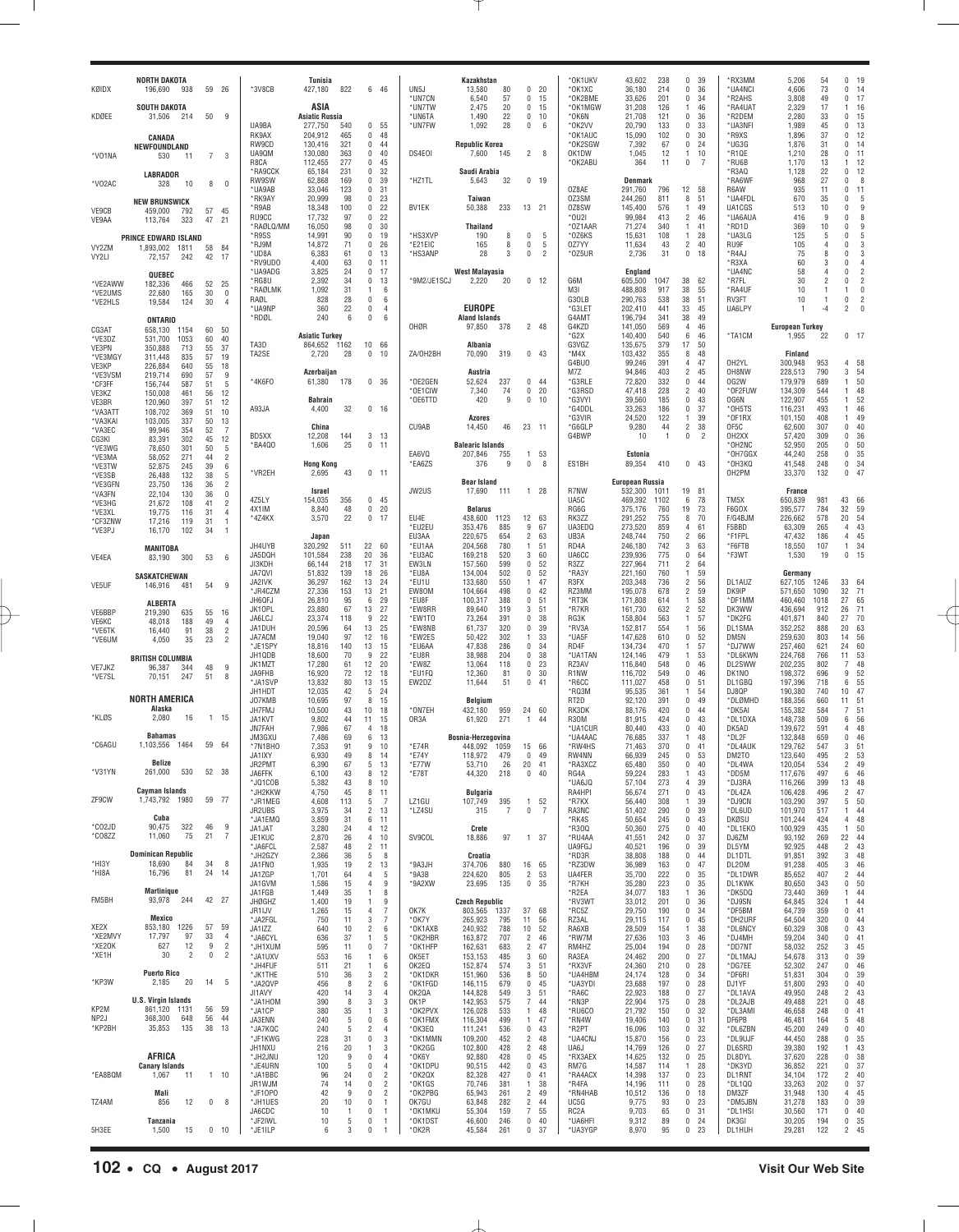| ASIA<br><b>SOUTH DAKOTA</b><br>*UN7TW<br>20<br>15<br>*OK1MGW<br>31,208<br>126<br>46<br>*RA4UAT<br>2,329<br>17<br>2,475<br>0<br>1<br>$\mathbf{1}$<br>50<br>9<br><b>Asiatic Russia</b><br>*UN6TA<br>22<br>*OK6N<br>*R2DEM<br>2,280<br>33<br>0<br>KDØEE<br>31,506<br>214<br>1,490<br>0<br>10<br>21,708<br>121<br>0<br>36<br>UA9BA<br>277,750<br>0<br>*UN7FW<br>1,092<br>28<br>*OK2VV<br>20,790<br>133<br>0<br>33<br>*UA3NFI<br>1,989<br>45<br>0<br>540<br>55<br>0<br>- 6<br>RK9AX<br>204,912<br>465<br>0<br>48<br>*OK1AUC<br>15,090<br>102<br>0<br>30<br>*R9XS<br>1,896<br>37<br>0<br><b>CANADA</b><br>RW9CD<br>321<br>0<br><b>Republic Korea</b><br>*OK2SGW<br>67<br>$\mathbf 0$<br>24<br>*UG3G<br>1,876<br>31<br>0<br>130,416<br>44<br>7,392<br>NEWFOUNDLAND<br>UA9QM<br>130,080<br>363<br>0<br>40<br>$\overline{2}$<br>OK1DW<br>12<br>10<br>*R1QE<br>1,210<br>28<br>0<br>DS4E01<br>7,600<br>145<br>- 8<br>1,045<br>$\mathbf{1}$<br>*V01NA<br>530<br>11<br>7 3<br>112,455<br>277<br>0<br>*OK2ABU<br>364<br>*RU6B<br>13<br>R8CA<br>45<br>11<br>0<br>7<br>1,170<br>-1<br>*RA9CCK<br>65,184<br>231<br>0<br>32<br>*R3A0<br>1,128<br>22<br>0<br>Saudi Arabia<br><b>LABRADOR</b><br>RW9SW<br>62,868<br>169<br>0<br>39<br>*HZ1TL<br>5,643<br>$0$ 19<br><b>Denmark</b><br>*RA6WF<br>968<br>27<br>0<br>32<br>*V02AC<br>328<br>10<br>8<br>$\mathbf{0}$<br>33,046<br>123<br>0<br>31<br>0Z8AE<br>291,760<br>R6AW<br>935<br>11<br>0<br>*UA9AB<br>796<br>12<br>58<br>*RK9AY<br>20,999<br>98<br>0<br>23<br>0Z3SM<br>244,260<br>811<br>51<br>*UA4FDL<br>670<br>35<br>0<br>Taiwan<br>8<br><b>NEW BRUNSWICK</b><br>*R9AB<br>18,348<br>100<br>0<br>22<br>50,388<br>13 21<br>0Z8SW<br>145,400<br>576<br>49<br>UA1CGS<br>10<br>$\mathbf{0}$<br>BV1EK<br>233<br>$\overline{1}$<br>513<br>VE9CB<br>57<br>45<br>459,000<br>792<br>17,732<br>97<br>0<br>22<br>*0U2I<br>99,984<br>$\overline{2}$<br>46<br>*UA6AUA<br>9<br>$\mathbf{0}$<br>RU9CC<br>413<br>416<br>VE9AA<br>113,764<br>323<br>47<br>21<br>*RAØLQ/MM<br>16,050<br>98<br>0<br>30<br>*0Z1AAR<br>71,274<br>*RD1D<br>369<br>10<br>0<br><b>Thailand</b><br>340<br>$\overline{1}$<br>41<br>*R9SS<br>14,991<br>90<br>0<br>19<br>*HS3XVP<br>0<br>5<br>*OZ6KS<br>108<br>28<br>*UA3LG<br>125<br>0<br>190<br>8<br>15,631<br>$\overline{1}$<br>5<br>PRINCE EDWARD ISLAND<br>*RJ9M<br>14,872<br>71<br>0<br>26<br>*E21EIC<br>165<br>5<br>0Z7YY<br>$\overline{2}$<br>40<br>RU9F<br>105<br>$\mathbf{0}$<br>8<br>0<br>11,634<br>43<br>4<br>VY2ZM<br>1,893,002<br>58<br>84<br>1811<br>6,383<br>0<br>13<br>*HS3ANP<br>28<br>$\overline{2}$<br>*0Z5UR<br>2,736<br>31<br>0<br>*R4AJ<br>75<br>8<br>0<br>*UD8A<br>61<br>3<br>0<br>18<br>VY2LI<br>72,157<br>242<br>42<br>17<br>*RV9UDO<br>4,400<br>63<br>0<br>11<br>*R3XA<br>60<br>$\mathbf{0}$<br>3<br>*UA9ADG<br>3,825<br>24<br>0<br>17<br>*UA4NC<br>58<br>0<br><b>West Malayasia</b><br>England<br>4<br>QUEBEC<br>*RG8U<br>2,392<br>34<br>0<br>13<br>2,220<br>20<br>$0$ 12<br>G6M<br>605,500<br>62<br>*R7FL<br>30<br>$\overline{2}$<br>0<br>*9M2/JE1SCJ<br>1047<br>38<br>*VE2AWW<br>182,336<br>466<br>52<br>25<br>*RAØLMK<br>1,092<br>31<br>488,808<br>917<br>38<br>55<br>*RA4UF<br>1<br>6<br>M3I<br>10<br>$\overline{1}$<br>1<br>*VE2UMS<br>22,680<br>165<br>30<br>$^{\circ}$<br>RAØL<br>828<br>28<br>0<br>G30LB<br>290,763<br>538<br>38<br>51<br>RV3FT<br>0<br>6<br>10<br>$\overline{1}$<br>30<br>*VE2HLS<br>19,584<br>124<br>$\overline{4}$<br><b>EUROPE</b><br>*UA9NP<br>360<br>22<br>0<br>*G3LE1<br>202,410<br>441<br>33<br>45<br>UA6LPY<br>-4<br>$\overline{2}$<br>$\overline{4}$<br>240<br>6<br>0<br>6<br><b>Aland Islands</b><br>G4AM1<br>196,794<br>341<br>38<br>49<br>*RDØL<br><b>ONTARIO</b><br>OHØR<br>97,850<br>378<br>2 48<br>G4KZD<br>141,050<br>569<br>46<br><b>European Turkey</b><br>$\overline{4}$<br>CG3AT<br>658,130<br>60<br>50<br>1154<br><b>Asiatic Turkey</b><br>*G2X<br>140,400<br>540<br>6<br>46<br>1,955<br>*TA1CM<br>22<br>*VE3DZ<br>531,700<br>1053<br>60<br>40<br>TA3D<br>864,652 1162<br>10<br>66<br>G3VGZ<br>135,675<br>379<br>17<br>50<br>Albania<br>VE3PN<br>350,888<br>713<br>55<br>37<br>TA2SE<br>2,720<br>28<br>$\bf{0}$<br>ZA/OH2BH<br>70,090<br>0, 43<br>$*$ M4X<br>103,432<br>355<br>8<br>48<br>Finland<br>10<br>319<br>*VE3MGY<br>311,448<br>835<br>57<br>19<br>G4BU0<br>99,246<br>391<br>$\overline{4}$<br>47<br>OH2YL<br>300,948<br>953<br>VE3KP<br>226,884<br>640<br>55<br>18<br>94,846<br>403<br>$\overline{2}$<br>45<br>OH8NW<br>228,513<br>790<br>3<br>Azerbaijan<br>Austria<br>M7Z<br>57<br>*VE3VSM<br>219,714<br>690<br>9<br>*4K6F0<br>61,380<br>0<br>*OE2GEN<br>52,624<br>0.44<br>*G3RLE<br>72,820<br>332<br>0<br>OG2W<br>179,979<br>689<br>1<br>178<br>36<br>237<br>44<br>*CF3FF<br>156,744<br>587<br>51<br>5<br>*OE1CIW<br>7,340<br>74<br>20<br>*G3RSD<br>47,418<br>228<br>$\overline{2}$<br>40<br>*OF2FUW<br>134,309<br>0<br>544<br>-1<br>VE3KZ<br>150,008<br>461<br>56<br>12<br>*OE6TTD<br>420<br>9<br>*G3VYI<br>39,560<br>185<br>$\mathbf 0$<br>43<br>OG6N<br>122,907<br>455<br><b>Bahrain</b><br>0<br>10<br>1<br>VE3BR<br>120,960<br>397<br>51<br>12<br>32<br>*G4DDL<br>186<br>$\mathbf 0$<br>37<br>*OH5TS<br>493<br>A93JA<br>4,400<br>0 <sub>16</sub><br>33,263<br>116,231<br>-1<br>*VA3ATT<br>108,702<br>369<br>51<br>10<br>*G3VIR<br>122<br>39<br>*OF1RX<br>101,150<br>408<br><b>Azores</b><br>24,520<br>$\overline{1}$<br>-1<br>50<br>*VA3KAI<br>103,005<br>337<br>13<br>14,450<br>23 11<br>*G6GLP<br>9,280<br>$\overline{2}$<br>38<br>OF5C<br>62,600<br>307<br>0<br>China<br>CU9AB<br>46<br>44<br>52<br>*VA3EC<br>99,946<br>354<br>7<br>BD5XX<br>3<br>G4BWP<br>$\overline{2}$<br>OH <sub>2</sub> XX<br>309<br>0<br>12,208<br>144<br>- 13<br>10<br>$\overline{1}$<br>0<br>57,420<br>CG3KI<br>83,391<br>302<br>45<br>12<br>25<br>0<br>*OH2NC<br>52,950<br>205<br>0<br>*BA4Q0<br>1,606<br>11<br><b>Balearic Islands</b><br>*VE3WG<br>78,650<br>301<br>50<br>5<br>EA6VQ<br>207,846<br>*OH7GGX<br>44,240<br>258<br>0<br>755<br>1<br>53<br>Estonia<br>*VE3MA<br>58,052<br>271<br>44<br>2<br>376<br>0<br>89,354<br>0, 43<br>*OH3KQ<br>41,548<br>248<br>0<br><b>Hong Kong</b><br>*EA6ZS<br>9<br>-8<br>ES1BH<br>410<br>39<br>*VE3TW<br>52,875<br>245<br>6<br>*VR2EH<br>OH2PM<br>33,370<br>132<br>0<br>2,695<br>43<br>$0$ 11<br>38<br>*VE3SB<br>26.488<br>132<br>5<br><b>Bear Island</b><br><b>European Russia</b><br>*VE3GFN<br>23,750<br>136<br>36<br>2<br>17,690<br>R7NW<br>532,300<br>Israel<br>JW2US<br>111<br>1 28<br>1011<br>19<br>81<br>France<br>*VA3FN<br>22.104<br>130<br>36<br>$\mathbf 0$<br>154,035<br>0<br>45<br>UA5C<br>469,392<br>78<br>TM5X<br>650,839<br>981<br>43<br>4Z5LY<br>356<br>1102<br>6<br>*VE3HG<br>21,672<br>108<br>41<br>2<br>48<br>0<br>RG6G<br>375,176<br>19<br>73<br>F6GOX<br>395,577<br>784<br>32<br>4X1IM<br>8,840<br>20<br><b>Belarus</b><br>760<br>*VE3XL<br>19,775<br>116<br>31<br>$\overline{4}$<br>22<br>0<br>EU4E<br>438,600<br>12 63<br>RK3ZZ<br>291,252<br>755<br>8<br>70<br>F/G4BJM<br>226,662<br>578<br>20<br>*4Z4KX<br>3,570<br>17<br>1123<br>*CF3ZNW<br>17,216<br>119<br>31<br>$\overline{1}$<br>*EU2EU<br>353,476<br>885<br>9<br>67<br>UA3EDQ<br>273,520<br>859<br>F5BBD<br>63,309<br>265<br>4<br>4<br>61<br>*VE3PJ<br>16,170<br>102<br>34<br>-1<br>EU3AA<br>220,675<br>654<br>$\overline{2}$<br>63<br>UB3A<br>248,744<br>750<br>$\overline{c}$<br>*F1FPL<br>186<br>4<br>Japan<br>66<br>47,432<br>JH4UYB<br>320,292<br>22<br>60<br>*EU1AA<br>204,568<br>780<br>51<br>RD <sub>4</sub> A<br>246,180<br>742<br>3<br>63<br>*F6FTB<br>18,550<br>107<br>511<br>1<br>1<br><b>MANITOBA</b> | 16                                                             |
|-----------------------------------------------------------------------------------------------------------------------------------------------------------------------------------------------------------------------------------------------------------------------------------------------------------------------------------------------------------------------------------------------------------------------------------------------------------------------------------------------------------------------------------------------------------------------------------------------------------------------------------------------------------------------------------------------------------------------------------------------------------------------------------------------------------------------------------------------------------------------------------------------------------------------------------------------------------------------------------------------------------------------------------------------------------------------------------------------------------------------------------------------------------------------------------------------------------------------------------------------------------------------------------------------------------------------------------------------------------------------------------------------------------------------------------------------------------------------------------------------------------------------------------------------------------------------------------------------------------------------------------------------------------------------------------------------------------------------------------------------------------------------------------------------------------------------------------------------------------------------------------------------------------------------------------------------------------------------------------------------------------------------------------------------------------------------------------------------------------------------------------------------------------------------------------------------------------------------------------------------------------------------------------------------------------------------------------------------------------------------------------------------------------------------------------------------------------------------------------------------------------------------------------------------------------------------------------------------------------------------------------------------------------------------------------------------------------------------------------------------------------------------------------------------------------------------------------------------------------------------------------------------------------------------------------------------------------------------------------------------------------------------------------------------------------------------------------------------------------------------------------------------------------------------------------------------------------------------------------------------------------------------------------------------------------------------------------------------------------------------------------------------------------------------------------------------------------------------------------------------------------------------------------------------------------------------------------------------------------------------------------------------------------------------------------------------------------------------------------------------------------------------------------------------------------------------------------------------------------------------------------------------------------------------------------------------------------------------------------------------------------------------------------------------------------------------------------------------------------------------------------------------------------------------------------------------------------------------------------------------------------------------------------------------------------------------------------------------------------------------------------------------------------------------------------------------------------------------------------------------------------------------------------------------------------------------------------------------------------------------------------------------------------------------------------------------------------------------------------------------------------------------------------------------------------------------------------------------------------------------------------------------------------------------------------------------------------------------------------------------------------------------------------------------------------------------------------------------------------------------------------------------------------------------------------------------------------------------------------------------------------------------------------------------------------------------------------------------------------------------------------------------------------------------------------------------------------------------------------------------------------------------------------------------------------------------------------------------------------------------------------------------------------------------------------------------------------------------------------------------------------------------------------------------------------------------------------------------------------------------------------------------------------------------------------------------------------------------------------------------------------------------------------------------------------------------------------------------------------------------------------------------------------------------------------------------------------------------------------------------------------------------------------------------------------------------------------------------------------------------------------------------------------------------------------------------------------------------------------------------------------------------------------------------------------------------------------------------------------------------------------------------------------------------------------------------------------------------------------------------------------------------------------------------------------------------------------------------------------------------------------------------------------------------------------------------------------------------------------------------------------------------------------------------------------------------------------------------------------------------------------------------------------------------------------------------------------------------------------------------------------------------------------------------------------------------------------------------------------------------------------------------------------------------------------------------------------------------------------------------------------------------------------------------------|----------------------------------------------------------------|
|                                                                                                                                                                                                                                                                                                                                                                                                                                                                                                                                                                                                                                                                                                                                                                                                                                                                                                                                                                                                                                                                                                                                                                                                                                                                                                                                                                                                                                                                                                                                                                                                                                                                                                                                                                                                                                                                                                                                                                                                                                                                                                                                                                                                                                                                                                                                                                                                                                                                                                                                                                                                                                                                                                                                                                                                                                                                                                                                                                                                                                                                                                                                                                                                                                                                                                                                                                                                                                                                                                                                                                                                                                                                                                                                                                                                                                                                                                                                                                                                                                                                                                                                                                                                                                                                                                                                                                                                                                                                                                                                                                                                                                                                                                                                                                                                                                                                                                                                                                                                                                                                                                                                                                                                                                                                                                                                                                                                                                                                                                                                                                                                                                                                                                                                                                                                                                                                                                                                                                                                                                                                                                                                                                                                                                                                                                                                                                                                                                                                                                                                                                                                                                                                                                                                                                                                                                                                                                                                                                                                                                                                                                                                                                                                                                                                                                                                                                                                                                                                                                                                                     | 15<br>13                                                       |
|                                                                                                                                                                                                                                                                                                                                                                                                                                                                                                                                                                                                                                                                                                                                                                                                                                                                                                                                                                                                                                                                                                                                                                                                                                                                                                                                                                                                                                                                                                                                                                                                                                                                                                                                                                                                                                                                                                                                                                                                                                                                                                                                                                                                                                                                                                                                                                                                                                                                                                                                                                                                                                                                                                                                                                                                                                                                                                                                                                                                                                                                                                                                                                                                                                                                                                                                                                                                                                                                                                                                                                                                                                                                                                                                                                                                                                                                                                                                                                                                                                                                                                                                                                                                                                                                                                                                                                                                                                                                                                                                                                                                                                                                                                                                                                                                                                                                                                                                                                                                                                                                                                                                                                                                                                                                                                                                                                                                                                                                                                                                                                                                                                                                                                                                                                                                                                                                                                                                                                                                                                                                                                                                                                                                                                                                                                                                                                                                                                                                                                                                                                                                                                                                                                                                                                                                                                                                                                                                                                                                                                                                                                                                                                                                                                                                                                                                                                                                                                                                                                                                                     | 12<br>14<br>11<br>12                                           |
|                                                                                                                                                                                                                                                                                                                                                                                                                                                                                                                                                                                                                                                                                                                                                                                                                                                                                                                                                                                                                                                                                                                                                                                                                                                                                                                                                                                                                                                                                                                                                                                                                                                                                                                                                                                                                                                                                                                                                                                                                                                                                                                                                                                                                                                                                                                                                                                                                                                                                                                                                                                                                                                                                                                                                                                                                                                                                                                                                                                                                                                                                                                                                                                                                                                                                                                                                                                                                                                                                                                                                                                                                                                                                                                                                                                                                                                                                                                                                                                                                                                                                                                                                                                                                                                                                                                                                                                                                                                                                                                                                                                                                                                                                                                                                                                                                                                                                                                                                                                                                                                                                                                                                                                                                                                                                                                                                                                                                                                                                                                                                                                                                                                                                                                                                                                                                                                                                                                                                                                                                                                                                                                                                                                                                                                                                                                                                                                                                                                                                                                                                                                                                                                                                                                                                                                                                                                                                                                                                                                                                                                                                                                                                                                                                                                                                                                                                                                                                                                                                                                                                     | 12<br>8<br>11                                                  |
|                                                                                                                                                                                                                                                                                                                                                                                                                                                                                                                                                                                                                                                                                                                                                                                                                                                                                                                                                                                                                                                                                                                                                                                                                                                                                                                                                                                                                                                                                                                                                                                                                                                                                                                                                                                                                                                                                                                                                                                                                                                                                                                                                                                                                                                                                                                                                                                                                                                                                                                                                                                                                                                                                                                                                                                                                                                                                                                                                                                                                                                                                                                                                                                                                                                                                                                                                                                                                                                                                                                                                                                                                                                                                                                                                                                                                                                                                                                                                                                                                                                                                                                                                                                                                                                                                                                                                                                                                                                                                                                                                                                                                                                                                                                                                                                                                                                                                                                                                                                                                                                                                                                                                                                                                                                                                                                                                                                                                                                                                                                                                                                                                                                                                                                                                                                                                                                                                                                                                                                                                                                                                                                                                                                                                                                                                                                                                                                                                                                                                                                                                                                                                                                                                                                                                                                                                                                                                                                                                                                                                                                                                                                                                                                                                                                                                                                                                                                                                                                                                                                                                     | 5<br>9<br>8                                                    |
|                                                                                                                                                                                                                                                                                                                                                                                                                                                                                                                                                                                                                                                                                                                                                                                                                                                                                                                                                                                                                                                                                                                                                                                                                                                                                                                                                                                                                                                                                                                                                                                                                                                                                                                                                                                                                                                                                                                                                                                                                                                                                                                                                                                                                                                                                                                                                                                                                                                                                                                                                                                                                                                                                                                                                                                                                                                                                                                                                                                                                                                                                                                                                                                                                                                                                                                                                                                                                                                                                                                                                                                                                                                                                                                                                                                                                                                                                                                                                                                                                                                                                                                                                                                                                                                                                                                                                                                                                                                                                                                                                                                                                                                                                                                                                                                                                                                                                                                                                                                                                                                                                                                                                                                                                                                                                                                                                                                                                                                                                                                                                                                                                                                                                                                                                                                                                                                                                                                                                                                                                                                                                                                                                                                                                                                                                                                                                                                                                                                                                                                                                                                                                                                                                                                                                                                                                                                                                                                                                                                                                                                                                                                                                                                                                                                                                                                                                                                                                                                                                                                                                     | 9<br>5<br>3<br>3                                               |
|                                                                                                                                                                                                                                                                                                                                                                                                                                                                                                                                                                                                                                                                                                                                                                                                                                                                                                                                                                                                                                                                                                                                                                                                                                                                                                                                                                                                                                                                                                                                                                                                                                                                                                                                                                                                                                                                                                                                                                                                                                                                                                                                                                                                                                                                                                                                                                                                                                                                                                                                                                                                                                                                                                                                                                                                                                                                                                                                                                                                                                                                                                                                                                                                                                                                                                                                                                                                                                                                                                                                                                                                                                                                                                                                                                                                                                                                                                                                                                                                                                                                                                                                                                                                                                                                                                                                                                                                                                                                                                                                                                                                                                                                                                                                                                                                                                                                                                                                                                                                                                                                                                                                                                                                                                                                                                                                                                                                                                                                                                                                                                                                                                                                                                                                                                                                                                                                                                                                                                                                                                                                                                                                                                                                                                                                                                                                                                                                                                                                                                                                                                                                                                                                                                                                                                                                                                                                                                                                                                                                                                                                                                                                                                                                                                                                                                                                                                                                                                                                                                                                                     | $\overline{4}$<br>$\overline{2}$<br>$\overline{2}$<br>$\theta$ |
|                                                                                                                                                                                                                                                                                                                                                                                                                                                                                                                                                                                                                                                                                                                                                                                                                                                                                                                                                                                                                                                                                                                                                                                                                                                                                                                                                                                                                                                                                                                                                                                                                                                                                                                                                                                                                                                                                                                                                                                                                                                                                                                                                                                                                                                                                                                                                                                                                                                                                                                                                                                                                                                                                                                                                                                                                                                                                                                                                                                                                                                                                                                                                                                                                                                                                                                                                                                                                                                                                                                                                                                                                                                                                                                                                                                                                                                                                                                                                                                                                                                                                                                                                                                                                                                                                                                                                                                                                                                                                                                                                                                                                                                                                                                                                                                                                                                                                                                                                                                                                                                                                                                                                                                                                                                                                                                                                                                                                                                                                                                                                                                                                                                                                                                                                                                                                                                                                                                                                                                                                                                                                                                                                                                                                                                                                                                                                                                                                                                                                                                                                                                                                                                                                                                                                                                                                                                                                                                                                                                                                                                                                                                                                                                                                                                                                                                                                                                                                                                                                                                                                     | $\overline{2}$<br>$\theta$                                     |
|                                                                                                                                                                                                                                                                                                                                                                                                                                                                                                                                                                                                                                                                                                                                                                                                                                                                                                                                                                                                                                                                                                                                                                                                                                                                                                                                                                                                                                                                                                                                                                                                                                                                                                                                                                                                                                                                                                                                                                                                                                                                                                                                                                                                                                                                                                                                                                                                                                                                                                                                                                                                                                                                                                                                                                                                                                                                                                                                                                                                                                                                                                                                                                                                                                                                                                                                                                                                                                                                                                                                                                                                                                                                                                                                                                                                                                                                                                                                                                                                                                                                                                                                                                                                                                                                                                                                                                                                                                                                                                                                                                                                                                                                                                                                                                                                                                                                                                                                                                                                                                                                                                                                                                                                                                                                                                                                                                                                                                                                                                                                                                                                                                                                                                                                                                                                                                                                                                                                                                                                                                                                                                                                                                                                                                                                                                                                                                                                                                                                                                                                                                                                                                                                                                                                                                                                                                                                                                                                                                                                                                                                                                                                                                                                                                                                                                                                                                                                                                                                                                                                                     | $0$ 17                                                         |
|                                                                                                                                                                                                                                                                                                                                                                                                                                                                                                                                                                                                                                                                                                                                                                                                                                                                                                                                                                                                                                                                                                                                                                                                                                                                                                                                                                                                                                                                                                                                                                                                                                                                                                                                                                                                                                                                                                                                                                                                                                                                                                                                                                                                                                                                                                                                                                                                                                                                                                                                                                                                                                                                                                                                                                                                                                                                                                                                                                                                                                                                                                                                                                                                                                                                                                                                                                                                                                                                                                                                                                                                                                                                                                                                                                                                                                                                                                                                                                                                                                                                                                                                                                                                                                                                                                                                                                                                                                                                                                                                                                                                                                                                                                                                                                                                                                                                                                                                                                                                                                                                                                                                                                                                                                                                                                                                                                                                                                                                                                                                                                                                                                                                                                                                                                                                                                                                                                                                                                                                                                                                                                                                                                                                                                                                                                                                                                                                                                                                                                                                                                                                                                                                                                                                                                                                                                                                                                                                                                                                                                                                                                                                                                                                                                                                                                                                                                                                                                                                                                                                                     | 4 58<br>54<br>50<br>48                                         |
|                                                                                                                                                                                                                                                                                                                                                                                                                                                                                                                                                                                                                                                                                                                                                                                                                                                                                                                                                                                                                                                                                                                                                                                                                                                                                                                                                                                                                                                                                                                                                                                                                                                                                                                                                                                                                                                                                                                                                                                                                                                                                                                                                                                                                                                                                                                                                                                                                                                                                                                                                                                                                                                                                                                                                                                                                                                                                                                                                                                                                                                                                                                                                                                                                                                                                                                                                                                                                                                                                                                                                                                                                                                                                                                                                                                                                                                                                                                                                                                                                                                                                                                                                                                                                                                                                                                                                                                                                                                                                                                                                                                                                                                                                                                                                                                                                                                                                                                                                                                                                                                                                                                                                                                                                                                                                                                                                                                                                                                                                                                                                                                                                                                                                                                                                                                                                                                                                                                                                                                                                                                                                                                                                                                                                                                                                                                                                                                                                                                                                                                                                                                                                                                                                                                                                                                                                                                                                                                                                                                                                                                                                                                                                                                                                                                                                                                                                                                                                                                                                                                                                     | 52<br>46<br>49<br>40                                           |
|                                                                                                                                                                                                                                                                                                                                                                                                                                                                                                                                                                                                                                                                                                                                                                                                                                                                                                                                                                                                                                                                                                                                                                                                                                                                                                                                                                                                                                                                                                                                                                                                                                                                                                                                                                                                                                                                                                                                                                                                                                                                                                                                                                                                                                                                                                                                                                                                                                                                                                                                                                                                                                                                                                                                                                                                                                                                                                                                                                                                                                                                                                                                                                                                                                                                                                                                                                                                                                                                                                                                                                                                                                                                                                                                                                                                                                                                                                                                                                                                                                                                                                                                                                                                                                                                                                                                                                                                                                                                                                                                                                                                                                                                                                                                                                                                                                                                                                                                                                                                                                                                                                                                                                                                                                                                                                                                                                                                                                                                                                                                                                                                                                                                                                                                                                                                                                                                                                                                                                                                                                                                                                                                                                                                                                                                                                                                                                                                                                                                                                                                                                                                                                                                                                                                                                                                                                                                                                                                                                                                                                                                                                                                                                                                                                                                                                                                                                                                                                                                                                                                                     | 36<br>50<br>35                                                 |
|                                                                                                                                                                                                                                                                                                                                                                                                                                                                                                                                                                                                                                                                                                                                                                                                                                                                                                                                                                                                                                                                                                                                                                                                                                                                                                                                                                                                                                                                                                                                                                                                                                                                                                                                                                                                                                                                                                                                                                                                                                                                                                                                                                                                                                                                                                                                                                                                                                                                                                                                                                                                                                                                                                                                                                                                                                                                                                                                                                                                                                                                                                                                                                                                                                                                                                                                                                                                                                                                                                                                                                                                                                                                                                                                                                                                                                                                                                                                                                                                                                                                                                                                                                                                                                                                                                                                                                                                                                                                                                                                                                                                                                                                                                                                                                                                                                                                                                                                                                                                                                                                                                                                                                                                                                                                                                                                                                                                                                                                                                                                                                                                                                                                                                                                                                                                                                                                                                                                                                                                                                                                                                                                                                                                                                                                                                                                                                                                                                                                                                                                                                                                                                                                                                                                                                                                                                                                                                                                                                                                                                                                                                                                                                                                                                                                                                                                                                                                                                                                                                                                                     | 34<br>47                                                       |
|                                                                                                                                                                                                                                                                                                                                                                                                                                                                                                                                                                                                                                                                                                                                                                                                                                                                                                                                                                                                                                                                                                                                                                                                                                                                                                                                                                                                                                                                                                                                                                                                                                                                                                                                                                                                                                                                                                                                                                                                                                                                                                                                                                                                                                                                                                                                                                                                                                                                                                                                                                                                                                                                                                                                                                                                                                                                                                                                                                                                                                                                                                                                                                                                                                                                                                                                                                                                                                                                                                                                                                                                                                                                                                                                                                                                                                                                                                                                                                                                                                                                                                                                                                                                                                                                                                                                                                                                                                                                                                                                                                                                                                                                                                                                                                                                                                                                                                                                                                                                                                                                                                                                                                                                                                                                                                                                                                                                                                                                                                                                                                                                                                                                                                                                                                                                                                                                                                                                                                                                                                                                                                                                                                                                                                                                                                                                                                                                                                                                                                                                                                                                                                                                                                                                                                                                                                                                                                                                                                                                                                                                                                                                                                                                                                                                                                                                                                                                                                                                                                                                                     | 66<br>59<br>54                                                 |
|                                                                                                                                                                                                                                                                                                                                                                                                                                                                                                                                                                                                                                                                                                                                                                                                                                                                                                                                                                                                                                                                                                                                                                                                                                                                                                                                                                                                                                                                                                                                                                                                                                                                                                                                                                                                                                                                                                                                                                                                                                                                                                                                                                                                                                                                                                                                                                                                                                                                                                                                                                                                                                                                                                                                                                                                                                                                                                                                                                                                                                                                                                                                                                                                                                                                                                                                                                                                                                                                                                                                                                                                                                                                                                                                                                                                                                                                                                                                                                                                                                                                                                                                                                                                                                                                                                                                                                                                                                                                                                                                                                                                                                                                                                                                                                                                                                                                                                                                                                                                                                                                                                                                                                                                                                                                                                                                                                                                                                                                                                                                                                                                                                                                                                                                                                                                                                                                                                                                                                                                                                                                                                                                                                                                                                                                                                                                                                                                                                                                                                                                                                                                                                                                                                                                                                                                                                                                                                                                                                                                                                                                                                                                                                                                                                                                                                                                                                                                                                                                                                                                                     | 43<br>45<br>34                                                 |
| JA5DQH<br>101,584<br>238<br>20<br>*EU3AC<br>169,218<br>520<br>3<br>60<br>UA6CC<br>239,936<br>775<br>0<br>*F3WT<br>1,530<br>0<br>36<br>64<br>19<br>VE4EA<br>83,190<br>300<br>53<br>6<br>JI3KDH<br>218<br>17<br>31<br>EW3LN<br>157,560<br>599<br>0<br>52<br>R3ZZ<br>227,964<br>711<br>$\overline{c}$<br>66,144<br>64<br>JA7QVI<br>51,832<br>139<br>18<br>*EU8A<br>134,004<br>502<br>0<br>52<br>*RA3Y<br>221,160<br>760<br>59<br>26<br>$\overline{1}$<br>Germany<br><b>SASKATCHEWAN</b>                                                                                                                                                                                                                                                                                                                                                                                                                                                                                                                                                                                                                                                                                                                                                                                                                                                                                                                                                                                                                                                                                                                                                                                                                                                                                                                                                                                                                                                                                                                                                                                                                                                                                                                                                                                                                                                                                                                                                                                                                                                                                                                                                                                                                                                                                                                                                                                                                                                                                                                                                                                                                                                                                                                                                                                                                                                                                                                                                                                                                                                                                                                                                                                                                                                                                                                                                                                                                                                                                                                                                                                                                                                                                                                                                                                                                                                                                                                                                                                                                                                                                                                                                                                                                                                                                                                                                                                                                                                                                                                                                                                                                                                                                                                                                                                                                                                                                                                                                                                                                                                                                                                                                                                                                                                                                                                                                                                                                                                                                                                                                                                                                                                                                                                                                                                                                                                                                                                                                                                                                                                                                                                                                                                                                                                                                                                                                                                                                                                                                                                                                                                                                                                                                                                                                                                                                                                                                                                                                                                                                                                                | 15                                                             |
| JA2IVK<br>36,297<br>162<br>13<br>*EU1U<br>133,680<br>550<br>47<br>R3FX<br>203,348<br>736<br>$\overline{c}$<br>56<br>DL1AUZ<br>627,105<br>33<br>24<br>1<br>1246<br>VE5UF<br>146,916<br>481<br>54<br>9<br>*JR4CZM<br>27,336<br>153<br>13<br>21<br>EW80M<br>104,664<br>498<br>0<br>42<br>RZ3MM<br>195,078<br>678<br>$\overline{c}$<br>59<br>DK9IP<br>571,650<br>1090<br>32<br>JH6QFJ<br>26,810<br>95<br>6<br>29<br>*EU8F<br>100,317<br>388<br>0<br>51<br>*RT3K<br>171,808<br>58<br>*DF1MM<br>460,460<br>1018<br>27<br>614<br>$\overline{1}$<br><b>ALBERTA</b>                                                                                                                                                                                                                                                                                                                                                                                                                                                                                                                                                                                                                                                                                                                                                                                                                                                                                                                                                                                                                                                                                                                                                                                                                                                                                                                                                                                                                                                                                                                                                                                                                                                                                                                                                                                                                                                                                                                                                                                                                                                                                                                                                                                                                                                                                                                                                                                                                                                                                                                                                                                                                                                                                                                                                                                                                                                                                                                                                                                                                                                                                                                                                                                                                                                                                                                                                                                                                                                                                                                                                                                                                                                                                                                                                                                                                                                                                                                                                                                                                                                                                                                                                                                                                                                                                                                                                                                                                                                                                                                                                                                                                                                                                                                                                                                                                                                                                                                                                                                                                                                                                                                                                                                                                                                                                                                                                                                                                                                                                                                                                                                                                                                                                                                                                                                                                                                                                                                                                                                                                                                                                                                                                                                                                                                                                                                                                                                                                                                                                                                                                                                                                                                                                                                                                                                                                                                                                                                                                                                          | 64<br>71<br>65                                                 |
| JK10PL<br>23,880<br>67<br>13<br>27<br>*EW8RR<br>89,640<br>319<br>3<br>51<br>*R7KR<br>161,730<br>632<br>$\overline{c}$<br>52<br>DK3WW<br>436,694<br>912<br>26<br>VE6BBP<br>55<br>16<br>219,390<br>635<br>23,374<br>118<br>9<br>22<br>*EW1TO<br>73,264<br>391<br>0<br>38<br>RG3K<br>158,804<br>563<br>57<br>*DK2FG<br>401,871<br>840<br>27<br>JA6LCJ<br>$\overline{1}$<br>VE6KC<br>188<br>49<br>$\overline{4}$<br>48,018<br>JA1DUH<br>20,596<br>13<br>25<br>*EW8NB<br>61,737<br>320<br>0<br>39<br>*RV3A<br>152,817<br>554<br>56<br>DL1SMA<br>352,252<br>888<br>20<br>64<br>$\overline{1}$<br>16,440<br>91<br>38<br>$\overline{2}$<br>*VE6TK                                                                                                                                                                                                                                                                                                                                                                                                                                                                                                                                                                                                                                                                                                                                                                                                                                                                                                                                                                                                                                                                                                                                                                                                                                                                                                                                                                                                                                                                                                                                                                                                                                                                                                                                                                                                                                                                                                                                                                                                                                                                                                                                                                                                                                                                                                                                                                                                                                                                                                                                                                                                                                                                                                                                                                                                                                                                                                                                                                                                                                                                                                                                                                                                                                                                                                                                                                                                                                                                                                                                                                                                                                                                                                                                                                                                                                                                                                                                                                                                                                                                                                                                                                                                                                                                                                                                                                                                                                                                                                                                                                                                                                                                                                                                                                                                                                                                                                                                                                                                                                                                                                                                                                                                                                                                                                                                                                                                                                                                                                                                                                                                                                                                                                                                                                                                                                                                                                                                                                                                                                                                                                                                                                                                                                                                                                                                                                                                                                                                                                                                                                                                                                                                                                                                                                                                                                                                                                           | 71<br>70<br>63                                                 |
| JA7ACM<br>19,040<br>97<br>12<br>16<br>*EW2ES<br>50,422<br>302<br>33<br>*UA5F<br>147,628<br>610<br>$\mathbf 0$<br>52<br>DM5N<br>259,630<br>803<br>14<br>1<br>*VE6UM<br>4,050<br>35<br>23<br>$\overline{2}$<br>*JE1SPY<br>18,816<br>140<br>13<br>15<br>*EU6AA<br>47,838<br>286<br>0<br>34<br>RD4F<br>134,734<br>470<br>57<br>*DJ7WW<br>257,460<br>621<br>24<br>$\overline{1}$<br>JH1QDB<br>18,600<br>70<br>9<br>22<br>*EU8R<br>38,988<br>204<br>0<br>38<br>*UA1TAN<br>124,146<br>479<br>53<br>*DL6KWN<br>224,768<br>766<br>11<br>$\overline{1}$<br><b>BRITISH COLUMBIA</b>                                                                                                                                                                                                                                                                                                                                                                                                                                                                                                                                                                                                                                                                                                                                                                                                                                                                                                                                                                                                                                                                                                                                                                                                                                                                                                                                                                                                                                                                                                                                                                                                                                                                                                                                                                                                                                                                                                                                                                                                                                                                                                                                                                                                                                                                                                                                                                                                                                                                                                                                                                                                                                                                                                                                                                                                                                                                                                                                                                                                                                                                                                                                                                                                                                                                                                                                                                                                                                                                                                                                                                                                                                                                                                                                                                                                                                                                                                                                                                                                                                                                                                                                                                                                                                                                                                                                                                                                                                                                                                                                                                                                                                                                                                                                                                                                                                                                                                                                                                                                                                                                                                                                                                                                                                                                                                                                                                                                                                                                                                                                                                                                                                                                                                                                                                                                                                                                                                                                                                                                                                                                                                                                                                                                                                                                                                                                                                                                                                                                                                                                                                                                                                                                                                                                                                                                                                                                                                                                                                            | 56<br>60<br>53                                                 |
| JK1MZT<br>17,280<br>61<br>12<br>20<br>*EW8Z<br>13,064<br>118<br>0<br>23<br>RZ3AV<br>116,840<br>548<br>$\mathbf 0$<br>46<br>DL2SWW<br>202,235<br>802<br>7<br>344<br>48<br>9<br>VE7JKZ<br>96,387<br>JA9FHB<br>16,920<br>72<br>12<br>18<br>*EU1FQ<br>12,360<br>81<br>30<br>R <sub>1</sub> NW<br>116,702<br>549<br>0<br>46<br>DK1NO<br>198,372<br>696<br>9<br>0<br>*VE7SL<br>70,151<br>247<br>51<br>8<br>6<br>*JA1SVP<br>13,832<br>80<br>13<br>15<br>EW2DZ<br>11,644<br>51<br>0<br>41<br>111,027<br>458<br>$\mathbf 0$<br>51<br>DL1GBQ<br>197,396<br>718<br>*R6CC<br>JH1HDT<br>12,035<br>42<br>5<br>24<br>*RQ3M<br>95,535<br>361<br>DJ8QP<br>190,380<br>740<br>10<br>1<br>54                                                                                                                                                                                                                                                                                                                                                                                                                                                                                                                                                                                                                                                                                                                                                                                                                                                                                                                                                                                                                                                                                                                                                                                                                                                                                                                                                                                                                                                                                                                                                                                                                                                                                                                                                                                                                                                                                                                                                                                                                                                                                                                                                                                                                                                                                                                                                                                                                                                                                                                                                                                                                                                                                                                                                                                                                                                                                                                                                                                                                                                                                                                                                                                                                                                                                                                                                                                                                                                                                                                                                                                                                                                                                                                                                                                                                                                                                                                                                                                                                                                                                                                                                                                                                                                                                                                                                                                                                                                                                                                                                                                                                                                                                                                                                                                                                                                                                                                                                                                                                                                                                                                                                                                                                                                                                                                                                                                                                                                                                                                                                                                                                                                                                                                                                                                                                                                                                                                                                                                                                                                                                                                                                                                                                                                                                                                                                                                                                                                                                                                                                                                                                                                                                                                                                                                                                                                                            | 48<br>52<br>55<br>47                                           |
| <b>NORTH AMERICA</b><br>J07KMB<br>10,695<br>97<br>8<br>15<br>RT <sub>2</sub> D<br>92,120<br>391<br>$\mathbf 0$<br>49<br>*DLØMHD<br>188,356<br>660<br>11<br>Belgium<br>Alaska<br>JH7FMJ<br>10,500<br>43<br>10<br>18<br>*ON7EH<br>432,180<br>24 60<br>RK3DK<br>88,176<br>420<br>$\mathbf 0$<br>*DK5AI<br>155,382<br>584<br>7<br>959<br>44<br>*KLØS<br>2,080<br>1 15<br>16<br>JA1KVT<br>9,802<br>11<br>61,920<br>271<br>R30M<br>81,915<br>424<br>0<br>43<br>*DL1DXA<br>148,738<br>509<br>6<br>44<br>15<br>OR3A<br>$\overline{1}$<br>44                                                                                                                                                                                                                                                                                                                                                                                                                                                                                                                                                                                                                                                                                                                                                                                                                                                                                                                                                                                                                                                                                                                                                                                                                                                                                                                                                                                                                                                                                                                                                                                                                                                                                                                                                                                                                                                                                                                                                                                                                                                                                                                                                                                                                                                                                                                                                                                                                                                                                                                                                                                                                                                                                                                                                                                                                                                                                                                                                                                                                                                                                                                                                                                                                                                                                                                                                                                                                                                                                                                                                                                                                                                                                                                                                                                                                                                                                                                                                                                                                                                                                                                                                                                                                                                                                                                                                                                                                                                                                                                                                                                                                                                                                                                                                                                                                                                                                                                                                                                                                                                                                                                                                                                                                                                                                                                                                                                                                                                                                                                                                                                                                                                                                                                                                                                                                                                                                                                                                                                                                                                                                                                                                                                                                                                                                                                                                                                                                                                                                                                                                                                                                                                                                                                                                                                                                                                                                                                                                                                                                 | 51<br>51<br>56                                                 |
| JN7FAH<br>7,986<br>67<br>*UA1CUR<br>433<br>0<br>40<br>139,672<br>4<br>4<br>18<br>80,440<br>DK5AD<br>591<br><b>Bahamas</b><br>JM3GXU<br>7,486<br>6<br>*UA4AAC<br>337<br>*DL2F<br>132,848<br>0<br>69<br>13<br>Bosnia-Herzegovina<br>76,685<br>$\mathbf{1}$<br>48<br>659<br>*C6AGU<br>1,103,556 1464<br>59<br>64                                                                                                                                                                                                                                                                                                                                                                                                                                                                                                                                                                                                                                                                                                                                                                                                                                                                                                                                                                                                                                                                                                                                                                                                                                                                                                                                                                                                                                                                                                                                                                                                                                                                                                                                                                                                                                                                                                                                                                                                                                                                                                                                                                                                                                                                                                                                                                                                                                                                                                                                                                                                                                                                                                                                                                                                                                                                                                                                                                                                                                                                                                                                                                                                                                                                                                                                                                                                                                                                                                                                                                                                                                                                                                                                                                                                                                                                                                                                                                                                                                                                                                                                                                                                                                                                                                                                                                                                                                                                                                                                                                                                                                                                                                                                                                                                                                                                                                                                                                                                                                                                                                                                                                                                                                                                                                                                                                                                                                                                                                                                                                                                                                                                                                                                                                                                                                                                                                                                                                                                                                                                                                                                                                                                                                                                                                                                                                                                                                                                                                                                                                                                                                                                                                                                                                                                                                                                                                                                                                                                                                                                                                                                                                                                                                       | 48<br>46                                                       |
| *7N1BH0<br>9<br>*E74R<br>448,092 1059<br>*RW4HS<br>370<br>129,762<br>3<br>7,353<br>91<br>10<br>15<br>66<br>71,463<br>$\mathbf{0}$<br>41<br>*DL4AUK<br>547<br>JA1IXY<br>6,930<br>49<br>8<br>14<br>*E74Y<br>118,972<br>479<br>0<br>49<br>RW4NN<br>66,939<br>245<br>0<br>53<br>DM2TO<br>123,640<br>495<br>2<br>Belize<br>26<br>$\sqrt{2}$<br>JR2PMT<br>6,390<br>67<br>5<br>13<br>53,710<br>20<br>41<br>*RA3XCZ<br>65,480<br>350<br>0<br>40<br>*DL4WA<br>120,054<br>534<br>*E77W                                                                                                                                                                                                                                                                                                                                                                                                                                                                                                                                                                                                                                                                                                                                                                                                                                                                                                                                                                                                                                                                                                                                                                                                                                                                                                                                                                                                                                                                                                                                                                                                                                                                                                                                                                                                                                                                                                                                                                                                                                                                                                                                                                                                                                                                                                                                                                                                                                                                                                                                                                                                                                                                                                                                                                                                                                                                                                                                                                                                                                                                                                                                                                                                                                                                                                                                                                                                                                                                                                                                                                                                                                                                                                                                                                                                                                                                                                                                                                                                                                                                                                                                                                                                                                                                                                                                                                                                                                                                                                                                                                                                                                                                                                                                                                                                                                                                                                                                                                                                                                                                                                                                                                                                                                                                                                                                                                                                                                                                                                                                                                                                                                                                                                                                                                                                                                                                                                                                                                                                                                                                                                                                                                                                                                                                                                                                                                                                                                                                                                                                                                                                                                                                                                                                                                                                                                                                                                                                                                                                                                                                        | 51<br>53<br>49                                                 |
| *V31YN<br>261,000<br>530<br>52 38<br>6<br>JA6FFK<br>6,100<br>43<br>8<br>12<br>44,320<br>218<br>40<br>RG4A<br>59,224<br>283<br>43<br>*DD5M<br>117,676<br>497<br>*E78T<br>0<br>$\mathbf{1}$<br>13<br>*JQ1COB<br>5,382<br>43<br>8<br>10<br>*UA6JQ<br>57,104<br>273<br>$\overline{4}$<br>39<br>*DJ3RA<br>116,266<br>399<br>Cayman Islands<br>*JH2KKW<br>4,750<br>45<br>8<br>11<br><b>Bulgaria</b><br>RA4HPI<br>56,674<br>271<br>$\bf{0}$<br>43<br>*DL4ZA<br>106,428<br>496<br>$\overline{c}$                                                                                                                                                                                                                                                                                                                                                                                                                                                                                                                                                                                                                                                                                                                                                                                                                                                                                                                                                                                                                                                                                                                                                                                                                                                                                                                                                                                                                                                                                                                                                                                                                                                                                                                                                                                                                                                                                                                                                                                                                                                                                                                                                                                                                                                                                                                                                                                                                                                                                                                                                                                                                                                                                                                                                                                                                                                                                                                                                                                                                                                                                                                                                                                                                                                                                                                                                                                                                                                                                                                                                                                                                                                                                                                                                                                                                                                                                                                                                                                                                                                                                                                                                                                                                                                                                                                                                                                                                                                                                                                                                                                                                                                                                                                                                                                                                                                                                                                                                                                                                                                                                                                                                                                                                                                                                                                                                                                                                                                                                                                                                                                                                                                                                                                                                                                                                                                                                                                                                                                                                                                                                                                                                                                                                                                                                                                                                                                                                                                                                                                                                                                                                                                                                                                                                                                                                                                                                                                                                                                                                                                            | 46<br>48<br>47                                                 |
| ZF9CW<br>1,743,792 1980<br>59 77<br>*JR1MEG<br>4,608<br>113<br>5<br>7<br>107,749<br>52<br>*R7KX<br>56,440<br>308<br>39<br>*DJ9CN<br>103,290<br>397<br>LZ1GU<br>395<br>1<br>$\mathbf{1}$<br>JR2UBS<br>3,975<br>34<br>2<br>13<br>315<br>$\overline{7}$<br>0<br>-7<br>RA3NC<br>51,402<br>290<br>$\bf{0}$<br>39<br>*DL6UD<br>101,970<br>517<br>1<br>*LZ4SU<br>Cuba<br>*JA1EMQ<br>3,859<br>31<br>6<br>11<br>*RK4S<br>50,654<br>245<br>0<br>43<br><b>DKØSU</b><br>101,244<br>424<br>$\overline{4}$<br>*CO2JD<br>90,475<br>322<br>46<br>9                                                                                                                                                                                                                                                                                                                                                                                                                                                                                                                                                                                                                                                                                                                                                                                                                                                                                                                                                                                                                                                                                                                                                                                                                                                                                                                                                                                                                                                                                                                                                                                                                                                                                                                                                                                                                                                                                                                                                                                                                                                                                                                                                                                                                                                                                                                                                                                                                                                                                                                                                                                                                                                                                                                                                                                                                                                                                                                                                                                                                                                                                                                                                                                                                                                                                                                                                                                                                                                                                                                                                                                                                                                                                                                                                                                                                                                                                                                                                                                                                                                                                                                                                                                                                                                                                                                                                                                                                                                                                                                                                                                                                                                                                                                                                                                                                                                                                                                                                                                                                                                                                                                                                                                                                                                                                                                                                                                                                                                                                                                                                                                                                                                                                                                                                                                                                                                                                                                                                                                                                                                                                                                                                                                                                                                                                                                                                                                                                                                                                                                                                                                                                                                                                                                                                                                                                                                                                                                                                                                                                  | 5 50<br>44<br>48                                               |
| JA1JAT<br>3,280<br>24<br>4<br>12<br>*R300<br>50,360<br>275<br>0<br>40<br>*DL1EK0<br>100,929<br>435<br>$\mathbf{1}$<br>Crete<br>75<br>*CO8ZZ<br>11,060<br>21<br>7<br>JE1KUC<br>2,870<br>26<br>4<br>10<br>SV9COL<br>18,886<br>97<br>1 37<br>*RU4AA<br>41,551<br>242<br>0<br>37<br>DJ6ZM<br>93,192<br>269<br>22<br>*JA6FCL<br>2,587<br>48<br>2<br>11<br>UA9FGJ<br>40,521<br>196<br>0<br>39<br>DL5YM<br>92,925<br>448<br>$\overline{\mathbf{c}}$                                                                                                                                                                                                                                                                                                                                                                                                                                                                                                                                                                                                                                                                                                                                                                                                                                                                                                                                                                                                                                                                                                                                                                                                                                                                                                                                                                                                                                                                                                                                                                                                                                                                                                                                                                                                                                                                                                                                                                                                                                                                                                                                                                                                                                                                                                                                                                                                                                                                                                                                                                                                                                                                                                                                                                                                                                                                                                                                                                                                                                                                                                                                                                                                                                                                                                                                                                                                                                                                                                                                                                                                                                                                                                                                                                                                                                                                                                                                                                                                                                                                                                                                                                                                                                                                                                                                                                                                                                                                                                                                                                                                                                                                                                                                                                                                                                                                                                                                                                                                                                                                                                                                                                                                                                                                                                                                                                                                                                                                                                                                                                                                                                                                                                                                                                                                                                                                                                                                                                                                                                                                                                                                                                                                                                                                                                                                                                                                                                                                                                                                                                                                                                                                                                                                                                                                                                                                                                                                                                                                                                                                                                        | 50<br>$\frac{44}{43}$                                          |
| <b>Dominican Republic</b><br>3<br>*JH2GZY<br>2,366<br>36<br>5<br>Croatia<br>*RD3R<br>38,808<br>188<br>0<br>44<br>DL1DTL<br>91,851<br>392<br>8<br>*HI3Y<br>18,690<br>34<br>8<br>84<br>3<br>JA1FNO<br>1,935<br>19<br>2<br>13<br>*9A3JH<br>374,706<br>16 65<br>*RZ3DW<br>36,989<br>163<br>0<br>47<br>DL20M<br>91,238<br>405<br>880<br>81<br>24<br>*HI8A<br>16,796<br>14<br>$\sqrt{2}$<br>JA1ZGP<br>1,701<br>64<br>5<br>224,620<br>805<br>$\overline{2}$<br>53<br>UA4FER<br>35,700<br>222<br>0<br>35<br>*DL1DWR<br>85,652<br>407<br>4<br>*9A3B                                                                                                                                                                                                                                                                                                                                                                                                                                                                                                                                                                                                                                                                                                                                                                                                                                                                                                                                                                                                                                                                                                                                                                                                                                                                                                                                                                                                                                                                                                                                                                                                                                                                                                                                                                                                                                                                                                                                                                                                                                                                                                                                                                                                                                                                                                                                                                                                                                                                                                                                                                                                                                                                                                                                                                                                                                                                                                                                                                                                                                                                                                                                                                                                                                                                                                                                                                                                                                                                                                                                                                                                                                                                                                                                                                                                                                                                                                                                                                                                                                                                                                                                                                                                                                                                                                                                                                                                                                                                                                                                                                                                                                                                                                                                                                                                                                                                                                                                                                                                                                                                                                                                                                                                                                                                                                                                                                                                                                                                                                                                                                                                                                                                                                                                                                                                                                                                                                                                                                                                                                                                                                                                                                                                                                                                                                                                                                                                                                                                                                                                                                                                                                                                                                                                                                                                                                                                                                                                                                                                          | 48<br>46<br>$\begin{array}{c} 44 \\ 50 \end{array}$            |
| JA1GVM<br>1,586<br>15<br>4<br>9<br>*9A2XW<br>23,695<br>135<br>$\mathbf{0}$<br>35<br>*R7KH<br>35,280<br>223<br>$\bf{0}$<br>35<br>DL1KWK<br>80,650<br>343<br>0<br><b>Martinique</b><br>JA1FGB<br>1,449<br>35<br>$\mathbf{1}$<br>8<br>*R2EA<br>34,077<br>183<br>36<br>*DK5DQ<br>73,440<br>369<br>1<br>$\mathbf{1}$<br>FM5BH<br>93,978<br>244<br>42 27<br><b>JHØGHZ</b><br>1,400<br>19<br>9<br><b>Czech Republic</b><br>*RV3W1<br>33,012<br>201<br>$\mathbf 0$<br>36<br>*DJ9SN<br>64,845<br>324<br>$\mathbf{1}$<br>1                                                                                                                                                                                                                                                                                                                                                                                                                                                                                                                                                                                                                                                                                                                                                                                                                                                                                                                                                                                                                                                                                                                                                                                                                                                                                                                                                                                                                                                                                                                                                                                                                                                                                                                                                                                                                                                                                                                                                                                                                                                                                                                                                                                                                                                                                                                                                                                                                                                                                                                                                                                                                                                                                                                                                                                                                                                                                                                                                                                                                                                                                                                                                                                                                                                                                                                                                                                                                                                                                                                                                                                                                                                                                                                                                                                                                                                                                                                                                                                                                                                                                                                                                                                                                                                                                                                                                                                                                                                                                                                                                                                                                                                                                                                                                                                                                                                                                                                                                                                                                                                                                                                                                                                                                                                                                                                                                                                                                                                                                                                                                                                                                                                                                                                                                                                                                                                                                                                                                                                                                                                                                                                                                                                                                                                                                                                                                                                                                                                                                                                                                                                                                                                                                                                                                                                                                                                                                                                                                                                                                                    | 44<br>44                                                       |
| JR1IJV<br>1,265<br>15<br>7<br>803,565<br>1337<br>37<br>68<br>*RC5Z<br>29,750<br>190<br>0<br>34<br>*DF5BM<br>64,739<br>359<br>0<br>4<br>OK7K<br>Mexico<br>*JA2FGL<br>750<br>11<br>3<br>7<br>*0K7Y<br>265,923<br>795<br>11<br>56<br>RZ3AL<br>29,115<br>117<br>0<br>45<br>*DH2URF<br>64,504<br>320<br>0<br>XE2X<br>853,180<br>1226<br>57<br>59<br>JA1IZZ<br>640<br>10<br>$\overline{2}$<br>6<br>*OK1AXB<br>240,932<br>788<br>10<br>52<br>RA6XB<br>28,509<br>154<br>38<br>*DL6NCY<br>60,329<br>308<br>0<br>$\mathbf{1}$<br>33<br>*XE2MVY<br>97<br>$\overline{4}$<br>17,797<br>*JA6CYL<br>636<br>37<br>5<br>*OK2HBR<br>163,872<br>707<br>$\overline{2}$<br>46<br>*RW7M<br>27,636<br>103<br>3<br>46<br>*DJ4MH<br>59,204<br>340<br>0<br>$\mathbf{1}$                                                                                                                                                                                                                                                                                                                                                                                                                                                                                                                                                                                                                                                                                                                                                                                                                                                                                                                                                                                                                                                                                                                                                                                                                                                                                                                                                                                                                                                                                                                                                                                                                                                                                                                                                                                                                                                                                                                                                                                                                                                                                                                                                                                                                                                                                                                                                                                                                                                                                                                                                                                                                                                                                                                                                                                                                                                                                                                                                                                                                                                                                                                                                                                                                                                                                                                                                                                                                                                                                                                                                                                                                                                                                                                                                                                                                                                                                                                                                                                                                                                                                                                                                                                                                                                                                                                                                                                                                                                                                                                                                                                                                                                                                                                                                                                                                                                                                                                                                                                                                                                                                                                                                                                                                                                                                                                                                                                                                                                                                                                                                                                                                                                                                                                                                                                                                                                                                                                                                                                                                                                                                                                                                                                                                                                                                                                                                                                                                                                                                                                                                                                                                                                                                                                                                                                                       | 41<br>44<br>43<br>41                                           |
| 12<br>*XE20K<br>9<br>$\overline{c}$<br>627<br>252<br>3<br>*JH1XUM<br>595<br>11<br>0<br>7<br>*OK1HFP<br>162,631<br>683<br>$\overline{2}$<br>47<br>RM4HZ<br>25,004<br>194<br>0<br>28<br>*DD7NT<br>58,032<br>*XE1H<br>30<br>$\overline{c}$<br>$\bf{0}$<br>$\overline{c}$<br>*JA1UXV<br>553<br>16<br>6<br>OK5ET<br>153,153<br>485<br>3<br>60<br>RA3EA<br>24,462<br>200<br>0<br>27<br>*DL1MAJ<br>54,678<br>313<br>0<br>$\mathbf{1}$<br>*JH4FUF<br>511<br>21<br>6<br>OK2EQ<br>152,874<br>574<br>3<br>51<br>*RX3VF<br>24,360<br>210<br>0<br>28<br>*DG7EE<br>52,302<br>247<br>0<br>1                                                                                                                                                                                                                                                                                                                                                                                                                                                                                                                                                                                                                                                                                                                                                                                                                                                                                                                                                                                                                                                                                                                                                                                                                                                                                                                                                                                                                                                                                                                                                                                                                                                                                                                                                                                                                                                                                                                                                                                                                                                                                                                                                                                                                                                                                                                                                                                                                                                                                                                                                                                                                                                                                                                                                                                                                                                                                                                                                                                                                                                                                                                                                                                                                                                                                                                                                                                                                                                                                                                                                                                                                                                                                                                                                                                                                                                                                                                                                                                                                                                                                                                                                                                                                                                                                                                                                                                                                                                                                                                                                                                                                                                                                                                                                                                                                                                                                                                                                                                                                                                                                                                                                                                                                                                                                                                                                                                                                                                                                                                                                                                                                                                                                                                                                                                                                                                                                                                                                                                                                                                                                                                                                                                                                                                                                                                                                                                                                                                                                                                                                                                                                                                                                                                                                                                                                                                                                                                                                                        | 45<br>39<br>46                                                 |
| <b>Puerto Rico</b><br>*JK1THE<br>510<br>36<br>3<br>$\overline{2}$<br>*OK1DKR<br>151,960<br>536<br>8<br>50<br>*UA4HBM<br>24,174<br>128<br>0<br>34<br>*DF6RI<br>51,831<br>304<br>0<br>*KP3W<br>2,185<br>20<br>14<br>5<br>*JA2QVP<br>456<br>8<br>$\overline{2}$<br>6<br>*OK1FGD<br>146,115<br>679<br>$\mathbf 0$<br>45<br>*UA3YDI<br>23,688<br>197<br>0<br>28<br>DJ1YF<br>51,800<br>293<br>0<br>$\sqrt{2}$<br>JI1AVY<br>420<br>14<br>3<br>4<br>OK2QA<br>144,828<br>549<br>3<br>51<br>*RA6C<br>22,923<br>188<br>0<br>27<br>*DL1AVA<br>49,950<br>248                                                                                                                                                                                                                                                                                                                                                                                                                                                                                                                                                                                                                                                                                                                                                                                                                                                                                                                                                                                                                                                                                                                                                                                                                                                                                                                                                                                                                                                                                                                                                                                                                                                                                                                                                                                                                                                                                                                                                                                                                                                                                                                                                                                                                                                                                                                                                                                                                                                                                                                                                                                                                                                                                                                                                                                                                                                                                                                                                                                                                                                                                                                                                                                                                                                                                                                                                                                                                                                                                                                                                                                                                                                                                                                                                                                                                                                                                                                                                                                                                                                                                                                                                                                                                                                                                                                                                                                                                                                                                                                                                                                                                                                                                                                                                                                                                                                                                                                                                                                                                                                                                                                                                                                                                                                                                                                                                                                                                                                                                                                                                                                                                                                                                                                                                                                                                                                                                                                                                                                                                                                                                                                                                                                                                                                                                                                                                                                                                                                                                                                                                                                                                                                                                                                                                                                                                                                                                                                                                                                                     | 39<br>40<br>43                                                 |
| <b>U.S. Virgin Islands</b><br>*JA1HOM<br>390<br>8<br>3<br>3<br>OK1P<br>142,953<br>575<br>$\overline{7}$<br>44<br>*RN3P<br>22,904<br>175<br>0<br>28<br>*DL2AJB<br>49,488<br>221<br>0<br>KP2M<br>861,120<br>1131<br>56<br>59<br>*JA1CP<br>380<br>35<br>3<br>*OK2PVX<br>126,028<br>533<br>1<br>48<br>*RU6CO<br>21,792<br>150<br>0<br>32<br>*DL3AMI<br>46,658<br>248<br>0<br>1<br>NP <sub>2</sub> J<br>648<br>56<br>44<br>368,300<br>5<br>JA3ENN<br>240<br>5<br>0<br>6<br>*OK1FMX<br>116,304<br>499<br>$\mathbf{1}$<br>47<br>*RN4W<br>19,406<br>140<br>0<br>31<br>DF6PB<br>46,481<br>164                                                                                                                                                                                                                                                                                                                                                                                                                                                                                                                                                                                                                                                                                                                                                                                                                                                                                                                                                                                                                                                                                                                                                                                                                                                                                                                                                                                                                                                                                                                                                                                                                                                                                                                                                                                                                                                                                                                                                                                                                                                                                                                                                                                                                                                                                                                                                                                                                                                                                                                                                                                                                                                                                                                                                                                                                                                                                                                                                                                                                                                                                                                                                                                                                                                                                                                                                                                                                                                                                                                                                                                                                                                                                                                                                                                                                                                                                                                                                                                                                                                                                                                                                                                                                                                                                                                                                                                                                                                                                                                                                                                                                                                                                                                                                                                                                                                                                                                                                                                                                                                                                                                                                                                                                                                                                                                                                                                                                                                                                                                                                                                                                                                                                                                                                                                                                                                                                                                                                                                                                                                                                                                                                                                                                                                                                                                                                                                                                                                                                                                                                                                                                                                                                                                                                                                                                                                                                                                                                                | 48<br>41<br>48                                                 |
| *KP2BH<br>35,853<br>135<br>38<br>13<br>*JA7KQC<br>240<br>5<br>$\overline{2}$<br>4<br>*OK3EQ<br>111,241<br>536<br>0, 43<br>*R2PT<br>16,096<br>103<br>0<br>32<br>*DL6ZBN<br>45,200<br>249<br>0<br>23<br>$\bf 0$<br>*JF1KWG<br>228<br>31<br>0<br>3<br>*OK1MMN<br>109,200<br>452<br>2 48<br>*UA4CNJ<br>15,870<br>156<br>0<br>*DL9UJF<br>44,450<br>288<br>JH1NXU<br>216<br>20<br>3<br>*OK2GG<br>102,800<br>428<br>2 48<br>UA6J<br>14,769<br>126<br>0<br>27<br>DL6SRD<br>39,380<br>192<br>1<br>1                                                                                                                                                                                                                                                                                                                                                                                                                                                                                                                                                                                                                                                                                                                                                                                                                                                                                                                                                                                                                                                                                                                                                                                                                                                                                                                                                                                                                                                                                                                                                                                                                                                                                                                                                                                                                                                                                                                                                                                                                                                                                                                                                                                                                                                                                                                                                                                                                                                                                                                                                                                                                                                                                                                                                                                                                                                                                                                                                                                                                                                                                                                                                                                                                                                                                                                                                                                                                                                                                                                                                                                                                                                                                                                                                                                                                                                                                                                                                                                                                                                                                                                                                                                                                                                                                                                                                                                                                                                                                                                                                                                                                                                                                                                                                                                                                                                                                                                                                                                                                                                                                                                                                                                                                                                                                                                                                                                                                                                                                                                                                                                                                                                                                                                                                                                                                                                                                                                                                                                                                                                                                                                                                                                                                                                                                                                                                                                                                                                                                                                                                                                                                                                                                                                                                                                                                                                                                                                                                                                                                                                          | 40<br>35<br>43                                                 |
| AFRICA<br>*JH2JNU<br>9<br>0<br>4<br>$*$ OK6Y<br>92,880<br>428<br>0, 45<br>*RX3AEX<br>14,625<br>132<br>$\bf{0}$<br>25<br>DL8DYL<br>37,620<br>228<br>0<br>120<br><b>Canary Islands</b><br>*JE4URN<br>100<br>5<br>0<br>4<br>*OK1DPU<br>90,515<br>442<br>0, 43<br>RM7G<br>14,587<br>114<br>28<br>*DK3YD<br>36,852<br>221<br>0<br>$\mathbf{1}$<br>$\overline{c}$<br>*EA8BQM<br>$1 \t10$<br>*JA1BBC<br>96<br>24<br>0<br>$\overline{2}$<br>*0K20X<br>82,328<br>427<br>041<br>*RA4ACX<br>14,398<br>137<br>$\bf{0}$<br>23<br>DL1RNT<br>34,104<br>172<br>1,067<br>11                                                                                                                                                                                                                                                                                                                                                                                                                                                                                                                                                                                                                                                                                                                                                                                                                                                                                                                                                                                                                                                                                                                                                                                                                                                                                                                                                                                                                                                                                                                                                                                                                                                                                                                                                                                                                                                                                                                                                                                                                                                                                                                                                                                                                                                                                                                                                                                                                                                                                                                                                                                                                                                                                                                                                                                                                                                                                                                                                                                                                                                                                                                                                                                                                                                                                                                                                                                                                                                                                                                                                                                                                                                                                                                                                                                                                                                                                                                                                                                                                                                                                                                                                                                                                                                                                                                                                                                                                                                                                                                                                                                                                                                                                                                                                                                                                                                                                                                                                                                                                                                                                                                                                                                                                                                                                                                                                                                                                                                                                                                                                                                                                                                                                                                                                                                                                                                                                                                                                                                                                                                                                                                                                                                                                                                                                                                                                                                                                                                                                                                                                                                                                                                                                                                                                                                                                                                                                                                                                                                          | 38<br>37                                                       |
| JR1WJM<br>74<br>14<br>0<br>$\overline{2}$<br>*0K1GS<br>70,746<br>381<br>38<br>*R4FA<br>14,196<br>111<br>0<br>28<br>*DL100<br>33,263<br>202<br>0<br>$\mathbf{1}$<br>*JF10P0<br>42<br>9<br>0<br>$\overline{2}$<br>*OK2PBG<br>65,943<br>261<br>2 49<br>*RN4HAB<br>10,512<br>136<br>0<br>18<br>DM3ZF<br>31,948<br>130<br>4<br>Mali                                                                                                                                                                                                                                                                                                                                                                                                                                                                                                                                                                                                                                                                                                                                                                                                                                                                                                                                                                                                                                                                                                                                                                                                                                                                                                                                                                                                                                                                                                                                                                                                                                                                                                                                                                                                                                                                                                                                                                                                                                                                                                                                                                                                                                                                                                                                                                                                                                                                                                                                                                                                                                                                                                                                                                                                                                                                                                                                                                                                                                                                                                                                                                                                                                                                                                                                                                                                                                                                                                                                                                                                                                                                                                                                                                                                                                                                                                                                                                                                                                                                                                                                                                                                                                                                                                                                                                                                                                                                                                                                                                                                                                                                                                                                                                                                                                                                                                                                                                                                                                                                                                                                                                                                                                                                                                                                                                                                                                                                                                                                                                                                                                                                                                                                                                                                                                                                                                                                                                                                                                                                                                                                                                                                                                                                                                                                                                                                                                                                                                                                                                                                                                                                                                                                                                                                                                                                                                                                                                                                                                                                                                                                                                                                                      |                                                                |
| 856<br>12<br>*JH1UES<br>20<br>10<br>0<br>$\mathbf{1}$<br>63,848<br>282<br>$\overline{2}$<br>44<br>UC5G<br>9,775<br>93<br>0<br>23<br>*DM5JBN<br>31,278<br>183<br>0<br>TZ4AM<br>0<br>8<br>OK7GU<br>JA6CDC<br>10<br>0<br>*OK1MKU<br>55,304<br>159<br>$\overline{7}$<br>55<br>RC <sub>2</sub> A<br>9,703<br>65<br>$\bf{0}$<br>31<br>*DL1HSI<br>30,560<br>171<br>0<br>$\mathbf{1}$<br>$\mathbf{1}$<br>0 35<br>Tanzania<br>*JF2IWL<br>10<br>0<br>*OK1DST<br>46,600<br>246<br>$0$ 40<br>*UA6HFI<br>89<br>$\bf{0}$<br>24<br>DK3GI<br>30,205<br>194<br>5<br>$\overline{1}$<br>9,312<br>245<br>5H3EE<br>1,500<br>$0$ 10<br>*JE1ILP<br>3<br>0<br>$\mathbf{1}$<br>$*$ OK2R<br>45,584<br>261<br>0 37<br>*UA3YGP<br>8,970<br>95<br>$\bf{0}$<br>23<br>DL1HUH<br>29,281<br>122<br>15<br>6                                                                                                                                                                                                                                                                                                                                                                                                                                                                                                                                                                                                                                                                                                                                                                                                                                                                                                                                                                                                                                                                                                                                                                                                                                                                                                                                                                                                                                                                                                                                                                                                                                                                                                                                                                                                                                                                                                                                                                                                                                                                                                                                                                                                                                                                                                                                                                                                                                                                                                                                                                                                                                                                                                                                                                                                                                                                                                                                                                                                                                                                                                                                                                                                                                                                                                                                                                                                                                                                                                                                                                                                                                                                                                                                                                                                                                                                                                                                                                                                                                                                                                                                                                                                                                                                                                                                                                                                                                                                                                                                                                                                                                                                                                                                                                                                                                                                                                                                                                                                                                                                                                                                                                                                                                                                                                                                                                                                                                                                                                                                                                                                                                                                                                                                                                                                                                                                                                                                                                                                                                                                                                                                                                                                                                                                                                                                                                                                                                                                                                                                                                                                                                                                                                                                                                           | 40<br>37<br>45<br>39                                           |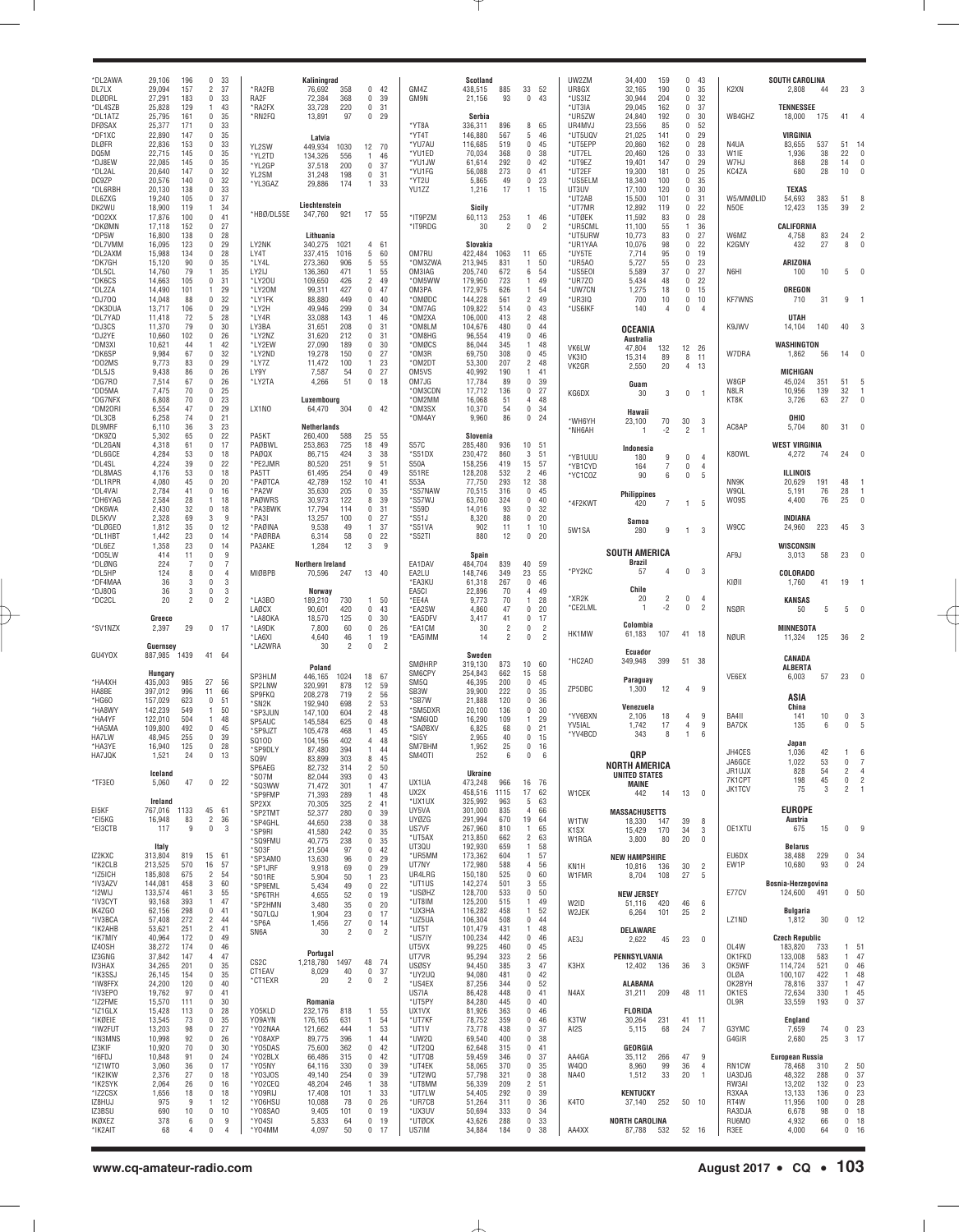| *DL2AWA<br>DL7LX                              | 29,106<br>196<br>33<br>$\Omega$<br>29,094<br>157<br>$\overline{2}$<br>37                                                                           | *RA2FB                            | Kaliningrad<br>76,692<br>358<br>0                                                                   | 42                         | <b>GM47</b>                         | Scotland<br>438,515                  | 885                | 33                                    | 52                               | UW2ZM<br>UR8GX                       | 34,400<br>32,165                             | 159<br>190              | $\Omega$<br>$\mathbf{0}$             | -43<br>35                        | K2XN                       | <b>SOUTH CAROLINA</b><br>2,808     | 44                | 23                                           | 3                                                  |
|-----------------------------------------------|----------------------------------------------------------------------------------------------------------------------------------------------------|-----------------------------------|-----------------------------------------------------------------------------------------------------|----------------------------|-------------------------------------|--------------------------------------|--------------------|---------------------------------------|----------------------------------|--------------------------------------|----------------------------------------------|-------------------------|--------------------------------------|----------------------------------|----------------------------|------------------------------------|-------------------|----------------------------------------------|----------------------------------------------------|
| DLØDRL<br>*DL4SZB<br>*DL1ATZ<br><b>DFØSAX</b> | 27,291<br>183<br>$\mathbf{0}$<br>33<br>129<br>43<br>25,828<br>$\overline{1}$<br>25,795<br>161<br>35<br>$\Omega$<br>171<br>33<br>25,377<br>$\Omega$ | RA2F<br>*RA2FX<br>*RN2FQ          | 72,384<br>368<br>0<br>33,728<br>220<br>0<br>13,891<br>97<br>0                                       | 39<br>31<br>29             | GM9N<br>*YT8A                       | 21,156<br>Serbia<br>336,311          | 93<br>896          | 0<br>8                                | 43<br>65                         | *US3IZ<br>*UT3IA<br>*UR5ZW<br>UR4MVJ | 30,944<br>29,045<br>24,840<br>23,556         | 204<br>162<br>192<br>85 | $\Omega$<br>0<br>$\Omega$<br>0       | 32<br>37<br>30<br>52             | WB4GHZ                     | <b>TENNESSEE</b><br>18,000         | 175               | 41                                           |                                                    |
| *DF1XC<br>DLØFR                               | 147<br>35<br>22,890<br>$\Omega$<br>153<br>33<br>22,836<br>$\Omega$                                                                                 | YL2SW                             | Latvia<br>449.934<br>1030                                                                           | 12 70                      | *YT4T<br>*YU7AU                     | 146,880<br>116,685                   | 567<br>519         | 5<br>0                                | 46<br>45                         | *UT5UQV<br>*UT5EPP                   | 21,025<br>20,860                             | 141<br>162              | 0<br>$\Omega$                        | 29<br>28                         | N4UA                       | VIRGINIA<br>83,655                 | 537               | 51                                           | 14                                                 |
| DQ5M<br>*DJ8EW<br>*DL2AL                      | 22,715<br>145<br>35<br>$\Omega$<br>22,085<br>145<br>35<br>$\Omega$<br>20,640<br>147<br>32<br>$\Omega$                                              | *YL2TD<br>*YL2GP<br>YL2SM         | 134,326<br>556<br>$\mathbf{1}$<br>37,518<br>200<br>$\mathbf{0}$<br>31,248<br>198<br>$\mathbf{0}$    | 46<br>-37<br>31            | *YU1ED<br>*YU1JW<br>*YU1FG          | 70,034<br>61,614<br>56,088           | 368<br>292<br>273  | 0<br>0<br>0                           | 38<br>42<br>41                   | *UT7EL<br>*UT9EZ<br>*UT2EF           | 20,460<br>19,401<br>19,300                   | 126<br>147<br>181       | $\Omega$<br>$\Omega$<br>$\mathbf{0}$ | 33<br>29<br>25                   | W1IE<br>W7HJ<br>KC4ZA      | 1,936<br>868<br>680                | 38<br>28<br>28    | 22<br>14<br>10                               | 0<br>0<br>0                                        |
| DC9ZP<br>*DL6RBH<br>DL6ZXG                    | 20,576<br>140<br>32<br>$\Omega$<br>20,130<br>138<br>33<br>$\Omega$<br>19,240<br>105<br>0<br>37                                                     | *YL3GAZ                           | 29,886<br>174<br>$\mathbf{1}$                                                                       | 33                         | *YT2U<br>YU1ZZ                      | 5,865<br>1,216                       | 49<br>17           | 0<br>1.                               | 23<br>15                         | *US5ELM<br>UT3UV<br>*UT2AB           | 18,340<br>17,100<br>15,500                   | 100<br>120<br>101       | 0<br>$\Omega$<br>0                   | 35<br>30<br>31                   | W5/MMØLID                  | <b>TEXAS</b><br>54,693             | 383               | 51                                           | 8                                                  |
| DK2WU<br>*DO2XX                               | 18,900<br>119<br>34<br>$\overline{1}$<br>17,876<br>100<br>$^{\circ}$<br>41                                                                         | *HBØ/DL5SE                        | Liechtenstein<br>347,760<br>921                                                                     | 17 55                      | *IT9PZM                             | Sicily<br>60,113                     | 253                | $\mathbf{1}$                          | 46                               | *UT7MR<br>*UTØEK                     | 12,892<br>11,592                             | 119<br>83               | 0<br>0                               | 22<br>28                         | N5OE                       | 12,423                             | 135               | 39                                           | 2                                                  |
| *DKØMN<br>*DP5W<br>*DL7VMM                    | 152<br>27<br>17,118<br>$\Omega$<br>16,800<br>138<br>28<br>$\Omega$<br>16,095<br>123<br>29<br>$\Omega$                                              | LY2NK                             | Lithuania<br>340,275<br>1021                                                                        | 4 61                       | *IT9RDG                             | 30<br>Slovakia                       | 2                  | 0                                     | $\overline{2}$                   | *UR5CML<br>*UT5URW<br>*UR1YAA        | 11,100<br>10,773<br>10,076                   | 55<br>83<br>98          | $\mathbf{1}$<br>0<br>0               | 36<br>27<br>22                   | W6MZ<br>K2GMY              | CALIFORNIA<br>4,758<br>432         | 83<br>27          | 24<br>8                                      | 2<br>$\sqrt{ }$                                    |
| *DL2AXM<br>*DK7GH<br>*DL5CL                   | 15,988<br>134<br>28<br>$\Omega$<br>15,120<br>90<br>35<br>$\Omega$<br>14,760<br>79<br>35<br>$\overline{1}$                                          | LY4T<br>*LY4L<br>LY2IJ            | 337,415<br>1016<br>5<br>273,360<br>906<br>5<br>136,360<br>471<br>$\mathbf{1}$                       | 60<br>55<br>55             | OM7RU<br>*OM3ZWA<br>OM3IAG          | 422,484<br>213,945<br>205,740        | 1063<br>831<br>672 | 11<br>1<br>6                          | - 65<br>50<br>54                 | *UY5TE<br>*UR5A0<br>*US5E0I          | 7,714<br>5,727<br>5,589                      | 95<br>55<br>37          | 0<br>$\Omega$<br>0                   | 19<br>23<br>27                   | N6HI                       | <b>ARIZONA</b><br>100              | 10                | 5                                            | C                                                  |
| *DK6CS<br>*DL2ZA                              | 14,663<br>105<br>0<br>31<br>14,490<br>101<br>29<br>$\overline{1}$<br>32<br>$^{\circ}$                                                              | *LY20U<br>*LY20M                  | 109,650<br>$\overline{2}$<br>426<br>99,311<br>427<br>0<br>449<br>0                                  | 49<br>47<br>40             | *OM5WW<br>OM3PA                     | 179,950<br>172,975                   | 723<br>626<br>561  | $\mathbf{1}$<br>$\mathbf{1}$          | 49<br>54<br>49                   | *UR7Z0<br>*UW7CN                     | 5,434<br>1,275                               | 48<br>18                | $\mathbf 0$<br>0                     | 22<br>15                         |                            | OREGON                             |                   |                                              |                                                    |
| *DJ700<br>*DK3DUA<br>*DL7YAD                  | 14,048<br>88<br>13,717<br>106<br>$^{\circ}$<br>29<br>11,418<br>72<br>5<br>28                                                                       | *LY1FK<br>*LY2H<br>*LY4R          | 88,880<br>49,946<br>299<br>0<br>33,088<br>143<br>1                                                  | 34<br>46                   | *OMØDC<br>*OM7AG<br>*OM2XA          | 144,228<br>109,822<br>106,000        | 514<br>413         | $\overline{2}$<br>0<br>$\overline{2}$ | 43<br>48                         | *UR3IQ<br>*US6IKF                    | 700<br>140                                   | 10<br>4                 | 0<br>0                               | 10<br>$\overline{4}$             | <b>KF7WNS</b>              | 710<br>UTAH                        | 31                |                                              |                                                    |
| *DJ3CS<br>*DJ2YE<br>*DM3XI                    | 11,370<br>79<br>30<br>$\Omega$<br>10,660<br>102<br>26<br>$\Omega$<br>10,621<br>42<br>44<br>$\overline{1}$                                          | LY3BA<br>*LY2NZ<br>*LY2EW         | 31,651<br>208<br>0<br>31,620<br>212<br>0<br>27,090<br>189<br>0                                      | 31<br>31<br>30             | *OM8LM<br>*OM8HG<br>*OMØCS          | 104,676<br>96,554<br>86,044          | 480<br>419<br>345  | 0<br>0<br>1                           | 44<br>46<br>48                   | VK6LW                                | <b>OCEANIA</b><br><b>Australia</b><br>47,804 | 132                     | 12 26                                |                                  | K9JWV                      | 14,104<br>WASHINGTON               | 140               | 40                                           |                                                    |
| *DK6SP<br>*DO2MS<br>*DL5JS                    | 9,984<br>67<br>$^{\circ}$<br>32<br>9,773<br>83<br>0<br>29<br>9,438<br>86<br>0<br>26                                                                | *LY2ND<br>*LY7Z<br>LY9Y           | 19,278<br>150<br>0<br>11,472<br>100<br>$\mathbf{1}$<br>7,587<br>0<br>54                             | 27<br>23<br>27             | *OM3R<br>*OM2DT<br>OM5VS            | 69,750<br>53,300<br>40,992           | 308<br>207<br>190  | 0<br>$\overline{2}$<br>1              | 45<br>-48<br>41                  | <b>VK310</b><br>VK2GR                | 15,314<br>2,550                              | 89<br>20                | 8<br>4                               | 11<br>13                         | W7DRA                      | 1,862<br>MICHIGAN                  | 56                | 14                                           |                                                    |
| *DG7RO<br>*DD5MA                              | 7,514<br>67<br>0<br>26<br>7,475<br>70<br>$^{\circ}$<br>25                                                                                          | *LY2TA                            | 4,266<br>51<br>0                                                                                    | 18                         | OM7JG<br>*OM3CDN                    | 17,784<br>17,712                     | 89<br>136          | 0<br>0                                | 39<br>27                         | KG6DX                                | Guam<br>30                                   | 3                       | $\mathbf 0$                          | $\overline{1}$                   | W8GP<br>N8LR               | 45,024<br>10,956                   | 351<br>139        | 51<br>32                                     | $\overline{1}$                                     |
| *DG7NFX<br>*DM20RI<br>*DL3CB                  | 6,808<br>70<br>23<br>$\Omega$<br>6,554<br>47<br>0<br>29<br>6,258<br>74<br>0<br>21                                                                  | LX1NO                             | Luxembourg<br>64,470<br>304                                                                         | $0$ 42                     | *OM2MM<br>*OM3SX<br>*OM4AY          | 16,068<br>10,370<br>9,960            | 51<br>54<br>86     | $\overline{4}$<br>0<br>0              | 48<br>34<br>24                   | *WH6YH                               | Hawaii<br>23,100                             | 70                      | 30                                   | 3                                | KT8K                       | 3,726<br>OHIO                      | 63                | 27                                           | $\mathfrak{a}$                                     |
| DL9MRF<br>*DK9ZQ<br>*DL2GAN                   | 6,110<br>36<br>23<br>3<br>5,302<br>65<br>22<br>0<br>4,318<br>61<br>17<br>$\Omega$                                                                  | PA5KT<br>PAØBWL                   | <b>Netherlands</b><br>260,400<br>25<br>588<br>725<br>18<br>253,863                                  | 55<br>49                   | S57C                                | Slovenia<br>285,480                  | 936                | 10 51                                 |                                  | *NH6AH                               | 1                                            | $-2$                    | $\overline{2}$                       | $\overline{1}$                   | AC8AP                      | 5,704<br><b>WEST VIRGINIA</b>      | 80                | 31                                           |                                                    |
| *DL6GCE<br>*DL4SL                             | 4,284<br>53<br>$^{\circ}$<br>18<br>4,224<br>39<br>22<br>$\Omega$                                                                                   | PAØQX<br>*PE2JMR                  | 424<br>3<br>86,715<br>80,520<br>251<br>9                                                            | 38<br>51                   | *S51DX<br>S50A                      | 230,472<br>158,256                   | 860<br>419         | 3<br>15                               | 51<br>57                         | *YB1UUU<br>*YB1CYD                   | Indonesia<br>180<br>164                      | 9<br>$\overline{7}$     | $\mathbf{0}$<br>$\mathbf 0$          | $\overline{4}$<br>$\overline{4}$ | K80WL                      | 4,272                              | 74                | 24                                           | O                                                  |
| *DL8MAS<br>*DL1RPR<br>*DL4VAI                 | 4,176<br>53<br>18<br>$\Omega$<br>4,080<br>45<br>20<br>$\Omega$<br>2,784<br>41<br>16<br>$\Omega$                                                    | PA5TT<br>*PAØTCA<br>*PA2W         | 61,495<br>254<br>0<br>42,789<br>152<br>10<br>35,630<br>205<br>0                                     | 49<br>41<br>35             | S51RE<br>S53A<br>*S57NAW            | 128,208<br>77,750<br>70,515          | 532<br>293<br>316  | $\overline{2}$<br>12<br>0             | 46<br>38<br>45                   | *YC1COZ                              | 90<br><b>Philippines</b>                     | 6                       | $\mathbf 0$                          | 5                                | NN9K<br>W9QL               | ILLINOIS<br>20,629<br>5,191        | 191<br>76         | 48<br>28                                     | $\overline{1}$                                     |
| *DH6YAG<br>*DK6WA<br>DL5KVV                   | 2,584<br>28<br>18<br>$\overline{1}$<br>2,430<br>32<br>$^{\circ}$<br>18<br>2,328<br>69<br>9<br>3                                                    | <b>PAØWRS</b><br>*PA3BWK<br>*PA3I | 30,973<br>122<br>8<br>17,794<br>0<br>114<br>13,257<br>100<br>0                                      | 39<br>31<br>27             | *S57WJ<br>*S59D<br>$*$ S51J         | 63,760<br>14,016<br>8,320            | 324<br>93<br>88    | 0<br>0<br>0                           | 40<br>32<br>20                   | *4F2KWT                              | 420<br>Samoa                                 | 7                       | $\mathbf{1}$                         | -5                               | W09S                       | 4,400<br>INDIANA                   | 76                | 25                                           | $\mathbf 0$                                        |
| *DLØGEO<br>*DL1HBT<br>*DL6EZ                  | 1,812<br>35<br>12<br>$\Omega$<br>1,442<br>23<br>14<br>$\Omega$<br>1,358<br>23<br>14<br>$\Omega$                                                    | *PAØINA<br>*PAØRBA<br>PA3AKE      | 9,538<br>49<br>1<br>6,314<br>58<br>0<br>1,284<br>12<br>3                                            | 37<br>22<br>9              | *S51VA<br>*S52TI                    | 902<br>880                           | 11<br>12           | $\mathbf{1}$<br>0                     | 10<br>20                         | 5W1SA                                | 280                                          | 9                       | 1                                    | 3                                | W9CC                       | 24,960<br>WISCONSIN                | 223               | 45                                           | 3                                                  |
| *D05LW<br>*DLØNG                              | 414<br>11<br>9<br>$\Omega$<br>224<br>7<br>7<br>$\Omega$                                                                                            |                                   | Northern Ireland                                                                                    |                            | EA1DAV                              | <b>Spain</b><br>484,704              | 839                | 40                                    | 59                               | *PY2KC                               | <b>SOUTH AMERICA</b><br><b>Brazil</b><br>57  | 4                       | $\mathbf 0$                          | 3                                | AF9J                       | 3,013                              | 58                | 23                                           |                                                    |
| *DL5HP<br>*DF4MAA<br>*DJ80G                   | 124<br>8<br>$\Omega$<br>4<br>36<br>3<br>3<br>$\Omega$<br>36<br>3<br>3<br>0                                                                         | MIØBPB                            | 70,596<br>247<br>Norway                                                                             | 13 40                      | EA2LU<br>*EA3KU<br>EA5CI            | 148,746<br>61,318<br>22,896          | 349<br>267<br>70   | 23<br>0<br>4                          | 55<br>46<br>49                   |                                      | Chile                                        |                         |                                      |                                  | KIØII                      | COLORADO<br>1,760                  | 41                | 19                                           |                                                    |
| *DC2CL                                        | 20<br>$\mathfrak{p}$<br>$\overline{2}$<br>$\Omega$<br>Greece                                                                                       | *LA3BO<br><b>LAØCX</b><br>*LA80KA | 189,210<br>730<br>$\mathbf{1}$<br>420<br>0<br>90,601<br>125<br>0<br>18,570                          | 50<br>43<br>30             | *EE4A<br>*EA2SW<br>*EA5DFV          | 9,773<br>4,860<br>3,417              | 70<br>47<br>41     | 1<br>0<br>0                           | 28<br>20<br>17                   | *XR2K<br>*CE2LML                     | 20<br>$\overline{1}$                         | $\overline{2}$<br>$-2$  | $^{\circ}$<br>$\mathbf 0$            | $\overline{4}$<br>$\overline{2}$ | <b>NSØR</b>                | KANSAS<br>50                       | 5                 |                                              |                                                    |
| *SV1NZX                                       | 2,397<br>29<br>17<br>0<br>Guernsey                                                                                                                 | *LA9DK<br>*LA6XI<br>*LA2WRA       | 0<br>7,800<br>60<br>4,640<br>46<br>$\mathbf{1}$<br>30<br>$\overline{2}$<br>0                        | 26<br>19<br>$\overline{2}$ | *EA1CM<br>*EA5IMM                   | 30<br>14                             | 2<br>2             | 0<br>0                                | $\overline{2}$<br>$\overline{2}$ | HK1MW                                | Colombia<br>61,183                           | 107                     | 41                                   | -18                              | NØUR                       | MINNESOTA<br>11,324                | 125               | 36                                           | 2                                                  |
| GU4YOX                                        | 887,985<br>1439<br>41<br>64                                                                                                                        |                                   | Poland                                                                                              |                            | SMØHRP                              | Sweden<br>319,130                    | 873                | 10 60                                 |                                  | *HC2AO                               | Ecuador<br>349,948                           | 399                     | 51                                   | 38                               |                            | CANADA<br><b>ALBERTA</b>           |                   |                                              |                                                    |
| *HA4XH<br>HA8BE                               | Hungary<br>435,003<br>27<br>56<br>985<br>397,012<br>996<br>11<br>66                                                                                | SP3HLM<br>SP2LNW<br>SP9FKQ        | 446,165<br>18<br>1024<br>320,991<br>878<br>12<br>208,278<br>719<br>$\overline{2}$                   | 67<br>59<br>56             | SM6CPY<br>SM5Q<br>SB <sub>3</sub> W | 254,843<br>46,395<br>39,900          | 662<br>200<br>222  | 15<br>0<br>0                          | 58<br>45<br>35                   | ZP5DBC                               | Paraguay<br>1,300                            | 12                      | 4                                    | 9                                | VE6EX                      | 6,003                              | 57                | 23                                           | $\mathbf 0$                                        |
| *HG60<br>*HA8WY<br>*HA4YF                     | 157,029<br>623<br>$\mathbf{0}$<br>51<br>142,239<br>50<br>549<br>$\overline{1}$<br>122,010<br>504<br>48<br>$\overline{1}$                           | *SN2K<br>*SP3JUN                  | 192,940<br>698<br>$\overline{c}$<br>147,100<br>604<br>$\overline{c}$                                | 53<br>48                   | *SB7W<br>*SM5DXR<br>*SM6IQD         | 21,888<br>20,100<br>16,290           | 120<br>136<br>109  | 0<br>0<br>1                           | 36<br>30<br>29                   | *YV6BXN                              | Venezuela<br>2,106                           | 18                      | 4                                    | 9                                | BA411                      | ASIA<br>China<br>141               | 10                | 0                                            | 3                                                  |
| *HA5MA<br>HA7LW                               | 109,800<br>492<br>45<br>$\Omega$<br>48,945<br>39<br>255<br>$\mathbf{0}$<br>$\mathbf{0}$                                                            | SP5AUC<br>*SP9JZT<br>SQ10D        | 145,584<br>625<br>$\mathbf 0$<br>105,478<br>468<br>$\mathbf{1}$<br>104,156<br>402<br>$\overline{4}$ | 48<br>45<br>48             | *SAØBXV<br>*SI5Y                    | 6,825<br>2,955                       | 68<br>40           | 0<br>0                                | 21<br>15                         | YV5IAL<br>*YV4BCD                    | 1,742<br>343                                 | 17<br>8                 | 4<br>$\overline{1}$                  | 9<br>6                           | BA7CK                      | 135<br>Japan                       | 6                 | 0                                            | 5                                                  |
| *HA3YE<br>HA7JQK                              | 16,940<br>125<br>28<br>1,521<br>24<br>0<br>13                                                                                                      | *SP9DLY<br>SQ9V<br>SP6AEG         | 87,480<br>394<br>$\mathbf{1}$<br>83,899<br>8<br>303<br>$\sqrt{2}$<br>82,732<br>314                  | 44<br>45<br>50             | SM7BHM<br>SM40TI                    | 1,952<br>252                         | 25<br>6            | 0<br>0                                | 16<br>6                          |                                      | QRP<br>NORTH AMERICA                         |                         |                                      |                                  | JH4CES<br>JA6GCE           | 1,036<br>1,022                     | 42<br>53          | 0                                            |                                                    |
| *TF3E0                                        | Iceland<br>5,060<br>47<br>$^{\circ}$<br>22                                                                                                         | 'SO7M<br>*SQ3WW<br>*SP9FMP        | 82,044<br>393<br>$\mathbf 0$<br>71,472<br>301<br>$\mathbf{1}$<br>71,393<br>289<br>$\mathbf{1}$      | 43<br>47<br>48             | UX1UA<br>UX2X                       | <b>Ukraine</b><br>473,248<br>458,516 | 966<br>1115        | 16 76<br>17                           | 62                               | W1CEK                                | <b>UNITED STATES</b><br><b>MAINE</b><br>442  | 14                      | 13                                   | $\overline{\mathbf{0}}$          | JR1UJX<br>7K1CPT<br>JK1TCV | 828<br>198<br>75                   | 54<br>45<br>3     | 2<br>0<br>$\overline{c}$                     | $\overline{4}$<br>$\overline{2}$<br>$\overline{1}$ |
| EI5KF<br>*EI5KG                               | Ireland<br>767,016<br>1133<br>45<br>61<br>16,948<br>83<br>$\overline{2}$<br>36                                                                     | SP2XX<br>*SP2TMT                  | 70,305<br>325<br>2<br>52,377<br>280<br>$\mathbf{0}$                                                 | 41<br>39                   | *UX1UX<br>UY5VA<br><b>UYØZG</b>     | 325,992<br>301,000<br>291,994        | 963<br>835<br>670  | 5<br>$\overline{4}$<br>19             | 63<br>66<br>64                   | W1TW                                 | <b>MASSACHUSETTS</b>                         |                         | 39                                   | 8                                |                            | <b>EUROPE</b><br>Austria           |                   |                                              |                                                    |
| *EI3CTB                                       | 9<br>$\mathbf 0$<br>3<br>117                                                                                                                       | *SP4GHL<br>*SP9RI<br>*SQ9FMU      | 44,650<br>238<br>$\mathbf{0}$<br>41,580<br>242<br>$\mathbf{0}$<br>40,775<br>238<br>$\mathbf{0}$     | 38<br>35<br>35             | US7VF<br>*UT5AX                     | 267,960<br>213,850                   | 810<br>662         | 1<br>$\overline{2}$                   | 65<br>63                         | K <sub>1</sub> SX<br>W1RGA           | 18,330<br>15,429<br>3,800                    | 147<br>170<br>80        | 34<br>20                             | 3<br>0                           | OE1XTU                     | 675                                | 15                | 0                                            | g                                                  |
| IZ2KXC<br>*IK2CLB                             | Italy<br>313,804<br>15<br>61<br>819<br>213,525<br>570<br>16<br>57                                                                                  | *SO3F<br>*SP3AMO<br>*SP1JRF       | 21,504<br>97<br>0<br>13,630<br>96<br>$\mathbf{0}$<br>9,918<br>69<br>$\mathbf{0}$                    | 42<br>29<br>29             | UT3QU<br>*UR5MM<br>UT7NY            | 192,930<br>173,362<br>172,980        | 659<br>604<br>588  | 1<br>$\mathbf{1}$<br>4                | 58<br>57<br>56                   | KN <sub>1</sub> H                    | <b>NEW HAMPSHIRE</b><br>10,816               | 136                     | 30                                   | $\overline{2}$                   | EU6DX<br>EW1P              | <b>Belarus</b><br>38,488<br>10,680 | 229<br>93         | 0, 34<br>0 <sub>24</sub>                     |                                                    |
| *IZ5ICH<br>*IV3AZV<br>*I2WIJ                  | 185,808<br>675<br>$\overline{2}$<br>54<br>60<br>144,081<br>458<br>3<br>133,574<br>461<br>3<br>55                                                   | *S01RE<br>*SP9EML<br>*SP6TRH      | 5,904<br>50<br>$\mathbf{1}$<br>5,434<br>49<br>$\mathbf{0}$<br>4,655<br>52<br>$\mathbf{0}$           | 23<br>22<br>19             | UR4LRG<br>*UT1US<br>*USØHZ          | 150,180<br>142,274<br>128,700        | 525<br>501<br>533  | 0<br>3<br>0                           | 60<br>55<br>50                   | W1FMR                                | 8,704<br><b>NEW JERSEY</b>                   | 108                     | 27                                   | 5                                | E77CV                      | Bosnia-Herzegovina<br>124,600      | 491               | 0 <sub>50</sub>                              |                                                    |
| *IV3CYT<br>IK4ZGO<br>*IV3BCA                  | 93,168<br>393<br>47<br>$\overline{1}$<br>62,156<br>298<br>$\mathbf 0$<br>41<br>57,408<br>272<br>$\overline{2}$<br>44                               | *SP2HMN<br>*SQ7LQJ                | 3,480<br>35<br>$\mathbf{0}$<br>23<br>1,904<br>$\mathbf{0}$                                          | 20<br>17                   | *UT8IM<br>*UX3HA<br>*UZ5UA          | 125,200<br>116,282<br>106,304        | 515<br>458<br>508  | $\mathbf{1}$<br>$\mathbf{1}$<br>0.44  | 49<br>52                         | W2ID<br>W2JEK                        | 51,116<br>6,264                              | 420<br>101              | 46<br>25                             | 6<br>$\overline{2}$              | LZ1ND                      | <b>Bulgaria</b><br>1,812           | 30                | $0$ 12                                       |                                                    |
| *IK2AHB<br>*IK7MIY                            | 53,621<br>251<br>$\overline{c}$<br>41<br>40,964<br>172<br>$\mathbf 0$<br>49                                                                        | *SP6A<br>SN6A                     | 27<br>1,456<br>$\mathbf{0}$<br>$\overline{2}$<br>$\mathbf 0$<br>30                                  | -14<br>$\overline{2}$      | *UT5T<br>*US7IY                     | 101,479<br>100,234                   | 431<br>442         | 1.<br>$0$ 46                          | 48                               | AE3J                                 | DELAWARE<br>2,622                            | 45                      | 23                                   | 0                                |                            | <b>Czech Republic</b>              |                   |                                              |                                                    |
| IZ40SH<br>IZ3GNG<br>IV3HAX                    | 38,272<br>174<br>46<br>0<br>37,842<br>147<br>47<br>4<br>34,265<br>201<br>$\mathbf 0$<br>35                                                         | CS <sub>2</sub> C                 | Portugal<br>1,218,780<br>1497<br>48                                                                 | 74                         | UT5VX<br>UT7VR<br><b>USØSY</b>      | 99,225<br>95,294<br>94,450           | 460<br>323<br>385  | 0, 45<br>$\overline{2}$<br>3          | 56<br>47                         | K3HX                                 | PENNSYLVANIA<br>12,402                       | 136                     | 36                                   | 3                                | OL4W<br>OK1FKD<br>OK5WF    | 183,820<br>133,008<br>114,724      | 733<br>583<br>521 | 1 51<br>1<br>0                               | 47<br>-46                                          |
| *IK3SSJ<br>*IW8FFX<br>*IV3EPO                 | 26,145<br>154<br>$\mathbf 0$<br>35<br>24,200<br>120<br>40<br>0<br>19,762<br>97<br>41<br>0                                                          | CT1EAV<br>*CT1EXR                 | 40<br>$\mathbf 0$<br>8,029<br>20<br>$\overline{2}$<br>$\bf{0}$                                      | 37<br>$\overline{2}$       | *UY2UQ<br>*US4EX<br>US7IA           | 94,080<br>87,256<br>86,428           | 481<br>344<br>448  | 0<br>0<br>0                           | 42<br>52<br>41                   | N4AX                                 | <b>ALABAMA</b><br>31,211                     | 209                     | 48 11                                |                                  | OLØA<br>OK2BYH<br>OK1ES    | 100,107<br>78,816<br>72,634        | 422<br>337<br>330 | $\mathbf{1}$<br>$\mathbf{1}$<br>$\mathbf{1}$ | 48<br>47<br>45                                     |
| *IZ2FME<br>*IZ1GLX<br>*IKØEIE                 | 15,570<br>111<br>30<br>0<br>15,428<br>113<br>0<br>28<br>13,545<br>73<br>35<br>0                                                                    | Y05KLD<br>Y09AYN                  | Romania<br>232,176<br>818<br>1<br>176,165<br>631<br>1                                               | 55<br>54                   | *UT5PY<br>UX1VX<br>*UT7KF           | 84,280<br>81,926<br>78,752           | 445<br>363<br>359  | 0<br>0<br>0                           | 40<br>46<br>46                   | K3TW                                 | FLORIDA<br>30,264                            | 231                     | 41 11                                |                                  | OL9R                       | 33,559<br>England                  | 193               | 0                                            | -37                                                |
| *IW2FUT<br>*IN3MNS                            | 13,203<br>98<br>$\mathbf 0$<br>27<br>10,998<br>92<br>$\mathbf 0$<br>26                                                                             | *YO2NAA<br>*Y08AXP                | 121,662<br>444<br>1<br>89,775<br>396<br>$\mathbf{1}$                                                | 53<br>44                   | *UT1V<br>*UW20                      | 73,778<br>69,540                     | 438<br>400         | 0<br>0                                | 37<br>38                         | AI2S                                 | 5,115                                        | 68                      | 24                                   | -7                               | G3YMC<br>G4GIR             | 7,659<br>2,680                     | 74<br>25          | 0<br>3                                       | 23<br>-17                                          |
| IZ3KIF<br>*I6FDJ<br>*IZ1WT0                   | 10,920<br>70<br>$\mathbf 0$<br>30<br>10,848<br>91<br>0<br>24<br>36<br>3,060<br>$\mathbf 0$<br>17                                                   | *Y05DAS<br>*Y02BLX<br>*Y05NY      | 75,600<br>362<br>0<br>66,486<br>315<br>0<br>64,116<br>330<br>0                                      | 42<br>42<br>39             | *UT200<br>*UT7QB<br>*UT4EK          | 62,648<br>59,459<br>58,065           | 315<br>346<br>370  | 041<br>0<br>0                         | -37<br>35                        | AA4GA<br>W4Q0                        | GEORGIA<br>35,112<br>8,960                   | 266<br>99               | 47<br>36                             | 9<br>$\overline{4}$              | RN1CW                      | <b>European Russia</b><br>78,468   | 310               | 2                                            | 50                                                 |
| *IK2IKW<br>*IK2SYK<br>*IZ2CSX                 | 27<br>2,376<br>0<br>18<br>26<br>2,064<br>0<br>16<br>1,656<br>18<br>0<br>18                                                                         | *Y03J0S<br>*Y02CEQ<br>*Y09RIJ     | 49,140<br>254<br>0<br>48,204<br>246<br>$\mathbf{1}$<br>17,408<br>101<br>$\mathbf{1}$                | 39<br>38<br>33             | *UT2WQ<br>*UT8MM<br>*UT7LW          | 57,798<br>56,339<br>54,405           | 321<br>209<br>292  | 0<br>$\overline{2}$<br>0              | 38<br>51<br>39                   | <b>NA40</b>                          | 1,512<br><b>KENTUCKY</b>                     | 33                      | 20                                   | $\overline{1}$                   | UA3DJG<br>RW3AI<br>R3XAA   | 48,322<br>13,202<br>13,133         | 288<br>132<br>136 | 0<br>0<br>0                                  | 37<br>23<br>23                                     |
| IZ8HUJ<br>IZ3BSU                              | 975<br>12<br>9<br>$\overline{1}$<br>690<br>10<br>0<br>10                                                                                           | *Y06HSU<br>*Y08SA0                | 10,088<br>78<br>0<br>9,405<br>101<br>0                                                              | 26<br>19                   | *UR7CB<br>*UX3UV                    | 51,264<br>50,694                     | 311<br>333         | 0<br>0                                | 36<br>34                         | K4TO                                 | 37,140                                       | 252                     | 50                                   | 10                               | RT4W<br>RA3DJA             | 11,956<br>6,678                    | 100<br>98         | 0<br>0                                       | 28<br>18                                           |
| <b>IKØXEZ</b><br>*IK2AIT                      | 378<br>9<br>6<br>0<br>68<br>0<br>$\overline{4}$<br>4                                                                                               | *Y04SI<br>*Y04MM                  | 5,833<br>0<br>64<br>4,097<br>50<br>0                                                                | 19<br>17                   | *UTØCK<br>US7IM                     | 43,626<br>34,884                     | 288<br>184         | 0<br>0                                | 33<br>- 38                       | AA4XX                                | <b>NORTH CAROLINA</b><br>87,788              | 532                     | 52 16                                |                                  | RU6MO<br>R3EE              | 4,932<br>4,000                     | 66<br>64          | 0<br>0 16                                    | 18                                                 |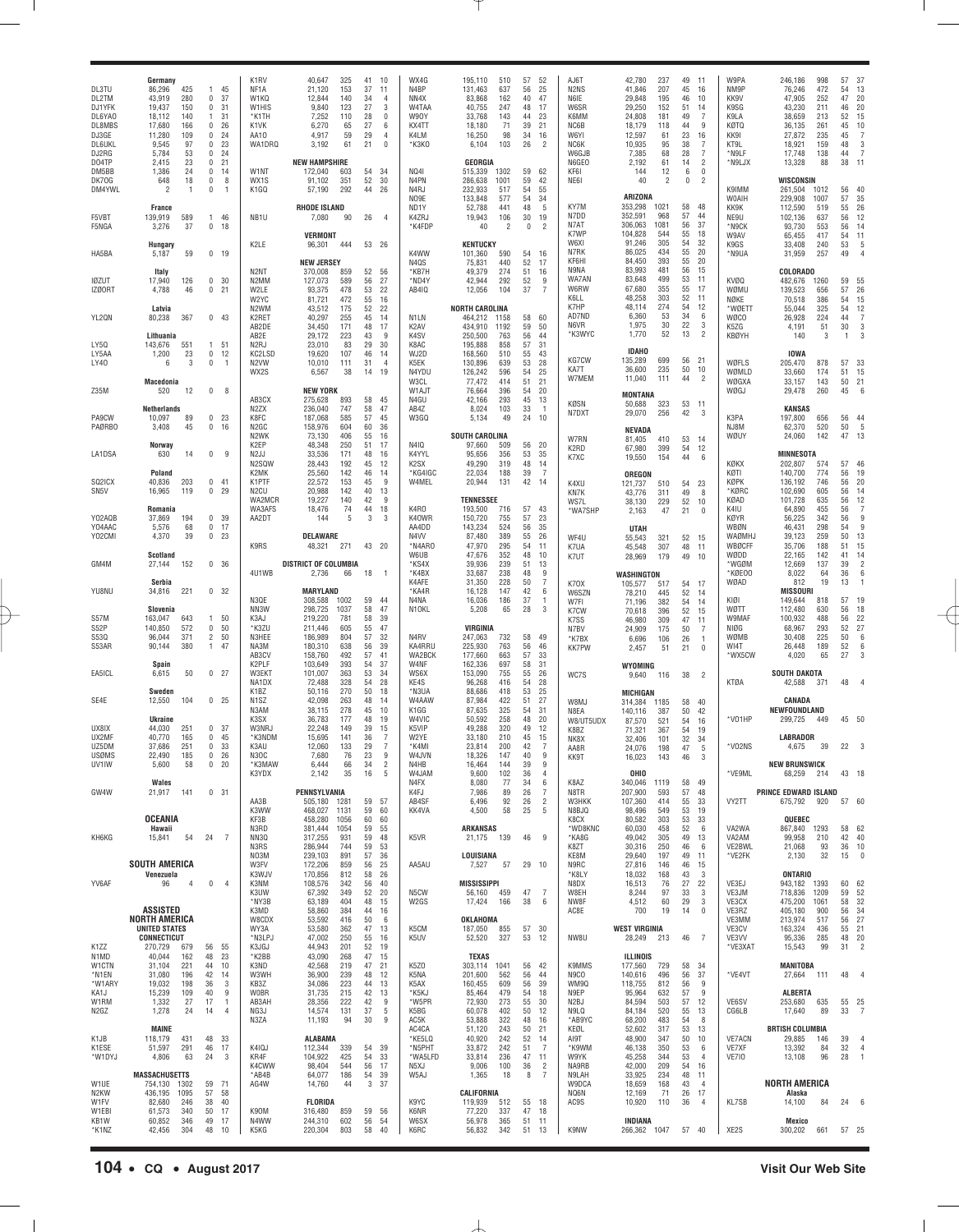| DL3TU<br>DL2TM<br>DJ1YFK<br>DL6YA0<br>DL8MBS<br>DJ3GE<br><b>DL6UKL</b><br>DJ2RG | Germany<br>86,296<br>43,919<br>19,437<br>18,112<br>17,680<br>11,280<br>9,545<br>5,784 | 425<br>280<br>150<br>140<br>166<br>109<br>97<br>53 | $\mathbf{1}$<br>0<br>0<br>$\overline{1}$<br>0<br>0<br>0<br>0 | 45<br>37<br>31<br>31<br>26<br>24<br>23<br>24 | K1RV<br>NF1A<br>W1KQ<br>W1HIS<br>*K1TH<br>K1VK<br>AA10<br>WA1DRQ | 40,647<br>21,120<br>12,844<br>9,840<br>7,252<br>6,270<br>4,917<br>3,192    | 325<br>153<br>140<br>123<br>110<br>65<br>59<br>61 | 41<br>37<br>34<br>27<br>28<br>27<br>29<br>21 | 10<br>11<br>4<br>3<br>0<br>6<br>4<br>$\mathbf 0$ | WX4G<br>N4BP<br>NN4X<br>W4TAA<br>W90Y<br>KX4TT<br>K4LM<br>*K3K0 | 195,110<br>131,463<br>83,868<br>40,755<br>33,768<br>18,180<br>16,250<br>6,104 | 510<br>637<br>162<br>247<br>143<br>71<br>98<br>103 | 57<br>56<br>40<br>48<br>44<br>39<br>34<br>26 | 52<br>25<br>47<br>17<br>23<br>21<br>16<br>$\overline{2}$ | AJ6T<br>N <sub>2</sub> N <sub>S</sub><br>N6IE<br>W6SR<br>K6MM<br>NC6B<br>W6YI<br>NC6K<br>W6GJB | 42,780<br>41,846<br>29,848<br>29,250<br>24,808<br>18,179<br>12,597<br>10,935<br>7,385 | 237<br>207<br>195<br>152<br>181<br>118<br>61<br>95<br>68 | 49<br>45<br>46<br>51<br>49<br>44<br>23<br>38<br>28 | 11<br>16<br>10<br>14<br>7<br>9<br>16<br>7<br>7          | W9PA<br>NM9P<br>KK9V<br>K9SG<br>K9LA<br>KØTQ<br>KK91<br>KT9L<br>*N9LF | 246,186<br>76,246<br>47,905<br>43,230<br>38,659<br>36,135<br>27,872<br>18,921<br>17,748 | 998<br>472<br>252<br>211<br>213<br>261<br>235<br>159<br>138 | 57<br>54<br>47<br>46<br>52<br>45<br>45<br>48<br>44 | -37<br>13<br>20<br>20<br>15<br>10<br>$\overline{7}$<br>3<br>7 |
|---------------------------------------------------------------------------------|---------------------------------------------------------------------------------------|----------------------------------------------------|--------------------------------------------------------------|----------------------------------------------|------------------------------------------------------------------|----------------------------------------------------------------------------|---------------------------------------------------|----------------------------------------------|--------------------------------------------------|-----------------------------------------------------------------|-------------------------------------------------------------------------------|----------------------------------------------------|----------------------------------------------|----------------------------------------------------------|------------------------------------------------------------------------------------------------|---------------------------------------------------------------------------------------|----------------------------------------------------------|----------------------------------------------------|---------------------------------------------------------|-----------------------------------------------------------------------|-----------------------------------------------------------------------------------------|-------------------------------------------------------------|----------------------------------------------------|---------------------------------------------------------------|
| D04TP<br>DM5BB<br>DK70G<br>DM4YWL                                               | 2,415<br>1,386<br>648<br>2<br>France                                                  | 23<br>24<br>18<br>-1                               | 0<br>$\mathbf 0$<br>0<br>0                                   | 21<br>14<br>8<br>$\overline{1}$              | W1NT<br>WX1S<br>K1GQ                                             | <b>NEW HAMPSHIRE</b><br>172,040<br>91,102<br>57,190<br><b>RHODE ISLAND</b> | 603<br>351<br>292                                 | 54<br>52<br>44                               | 34<br>30<br>26                                   | NQ41<br>N4PN<br>N4RJ<br>NO9E<br>ND <sub>1</sub> Y               | <b>GEORGIA</b><br>515,339<br>286,638<br>232,933<br>133,848<br>52,788          | 1302<br>1001<br>517<br>577<br>441                  | 59<br>59<br>54<br>54<br>48                   | 62<br>42<br>55<br>34<br>5                                | N6GEO<br>KF61<br>NE61<br>KY7M<br>N7DD                                                          | 2,192<br>144<br>40<br>ARIZONA<br>353,298<br>352,591                                   | 61<br>12<br>2<br>1021<br>968                             | 14<br>6<br>0<br>58<br>57                           | $\overline{2}$<br>$\bf 0$<br>$\overline{c}$<br>48<br>44 | *N9LJX<br>K9IMM<br>W0AIH<br>KK9K                                      | 13,328<br>WISCONSIN<br>261,504<br>229,908<br>112,590                                    | 88<br>1012<br>1007<br>519                                   | 38<br>56<br>57<br>55                               | 11<br>40<br>35<br>26                                          |
| F5VBT<br>F5NGA                                                                  | 139,919<br>3,276<br>Hungary                                                           | 589<br>37                                          | $\mathbf{1}$<br>0                                            | 46<br>18                                     | NB1U<br>K2LE                                                     | 7,080<br><b>VERMONT</b><br>96,301                                          | 90<br>444                                         | 26<br>53 26                                  | $\overline{4}$                                   | K4ZRJ<br>*K4FDP                                                 | 19,943<br>40<br><b>KENTUCKY</b>                                               | 106<br>2                                           | 30<br>0                                      | 19<br>$\overline{2}$                                     | N7AT<br>K7WP<br>W6XI                                                                           | 306,063<br>104,828<br>91,246                                                          | 1081<br>544<br>305                                       | 56<br>55<br>54                                     | 37<br>18<br>32                                          | NE9U<br>*N9CK<br>W9AV<br>K9GS                                         | 102,136<br>93,730<br>65,455<br>33,408                                                   | 637<br>553<br>417<br>240                                    | 56<br>56<br>54<br>53                               | 12<br>14<br>11<br>5                                           |
| HA5BA                                                                           | 5,187<br>Italy                                                                        | 59                                                 | 0, 19                                                        |                                              | N2NT                                                             | NEW JERSEY<br>370,008                                                      | 859                                               | 52                                           | 56                                               | K4WW<br>N4QS<br>*KB7H                                           | 101,360<br>75,831<br>49,379                                                   | 590<br>440<br>274                                  | 54<br>52<br>51                               | 16<br>17<br>16                                           | N7RK<br>KF6HI<br>N9NA                                                                          | 86,025<br>84,450<br>83,993                                                            | 434<br>393<br>481                                        | 55<br>55<br>56                                     | 20<br>20<br>15                                          | *N9UA                                                                 | 31,959<br>COLORADO                                                                      | 257                                                         | 49                                                 |                                                               |
| <b>IØZUT</b><br>IZØORT                                                          | 17,940<br>4,788<br>Latvia                                                             | 126<br>46                                          | 0<br>0                                                       | 30<br>21                                     | N2MM<br>W2LE<br>W2YC<br>N <sub>2</sub> WM                        | 127,073<br>93,375<br>81,721<br>43,512                                      | 589<br>478<br>472<br>175                          | 56<br>53<br>55<br>52                         | 27<br>22<br>16<br>22                             | *ND4Y<br>AB410                                                  | 42,944<br>12,056<br><b>NORTH CAROLINA</b>                                     | 292<br>104                                         | 52<br>37                                     | 9<br>7                                                   | WA7AM<br>W6RW<br>K6LL<br>K7HP                                                                  | 83,648<br>67,680<br>48,258<br>48,114                                                  | 499<br>355<br>303<br>274                                 | 53<br>55<br>52<br>54                               | 11<br>17<br>11<br>12                                    | <b>KVØQ</b><br>WØMU<br>NØKE<br>*WØETT                                 | 482,676<br>139,523<br>70,518<br>55,044                                                  | 1260<br>656<br>386<br>325                                   | 59<br>57<br>54<br>54                               | 55<br>26<br>15<br>12                                          |
| YL2QN                                                                           | 80,238<br>Lithuania                                                                   | 367                                                | $0$ 43                                                       |                                              | K2RET<br>AB2DE<br>AB2E                                           | 40,297<br>34,450<br>29,172                                                 | 255<br>171<br>223                                 | 45<br>48<br>43                               | 14<br>17<br>9                                    | N1LN<br>K <sub>2</sub> AV<br>K4SV                               | 464,212<br>434,910<br>250,500                                                 | 1158<br>1192<br>763                                | 58<br>59<br>56                               | 60<br>50<br>44                                           | AD7ND<br>N6VR<br>*K3WYC                                                                        | 6,360<br>1,975<br>1,770                                                               | 53<br>30<br>52                                           | 34<br>22<br>13                                     | 6<br>3<br>$\overline{2}$                                | WØCO<br>K5ZG<br>KBØYH                                                 | 26,928<br>4,191<br>140                                                                  | 224<br>51<br>3                                              | 44<br>30<br>$\overline{1}$                         | 7<br>3<br>3                                                   |
| LY5Q<br>LY5AA<br>LY40                                                           | 143,676<br>1,200<br>6<br>Macedonia                                                    | 551<br>23<br>3                                     | 1<br>0<br>0                                                  | 51<br>12<br>$\overline{1}$                   | N <sub>2</sub> RJ<br>KC2LSD<br>N <sub>2</sub> VW<br>WX2S         | 23,010<br>19,620<br>10,010<br>6,567                                        | 83<br>107<br>111<br>38                            | 29<br>46<br>31<br>14                         | 30<br>14<br>4<br>19                              | K8AC<br>WJ2D<br>K5EK<br>N4YDU<br>W3CL                           | 195,888<br>168,560<br>130,896<br>126,242<br>77,472                            | 858<br>510<br>639<br>596<br>414                    | 57<br>55<br>53<br>54<br>51                   | 31<br>43<br>28<br>25<br>21                               | KG7CW<br>KA7T<br>W7MEM                                                                         | <b>IDAHO</b><br>135,289<br>36,600<br>11,040                                           | 699<br>235<br>111                                        | 56<br>50<br>44                                     | 21<br>10<br>$\overline{2}$                              | WØFLS<br>WØMLD<br>WØGXA                                               | <b>IOWA</b><br>205,470<br>33,660<br>33,157                                              | 878<br>174<br>143                                           | 57<br>51<br>50                                     | 33<br>15<br>21                                                |
| Z35M                                                                            | 520<br>Netherlands                                                                    | 12                                                 | 0                                                            | -8                                           | AB3CX<br>N <sub>2</sub> ZX                                       | <b>NEW YORK</b><br>275,628<br>236,040                                      | 893<br>747                                        | 58<br>58                                     | 45<br>47                                         | W1AJT<br>N4GU<br>AB4Z                                           | 76,664<br>42,166<br>8,024                                                     | 396<br>293<br>103                                  | 54<br>45<br>33                               | 20<br>13<br>$\overline{1}$                               | KØSN                                                                                           | <b>MONTANA</b><br>50,688                                                              | 323                                                      | 53 11                                              |                                                         | WØGJ                                                                  | 29,478<br><b>KANSAS</b>                                                                 | 260                                                         | 45                                                 | 6                                                             |
| PA9CW<br><b>PAØRBO</b>                                                          | 10,097<br>3,408<br>Norway                                                             | 89<br>45                                           | 0<br>0                                                       | 23<br>16                                     | K8FC<br>N <sub>2</sub> GC<br>N <sub>2</sub> WK<br>K2EP           | 187,068<br>158,976<br>73,130<br>48,348                                     | 585<br>604<br>406<br>250                          | 57<br>60<br>55<br>51                         | 45<br>36<br>16<br>17                             | W3GQ<br>N410                                                    | 5,134<br>SOUTH CAROLINA<br>97,660                                             | 49<br>509                                          | 24<br>56                                     | 10<br>-20                                                | N7DXT<br>W7RN                                                                                  | 29,070<br>NEVADA<br>81,405                                                            | 256<br>410                                               | 42<br>53                                           | 3<br>14                                                 | K3PA<br>NJ8M<br>WØUY                                                  | 197,800<br>62,370<br>24,060                                                             | 656<br>520<br>142                                           | 56<br>50<br>47                                     | -44<br>5<br>13                                                |
| LA1DSA                                                                          | 630<br>Poland                                                                         | 14                                                 | 0                                                            | 9                                            | N <sub>2</sub> JJ<br>N2SQW<br>K2MK                               | 33,536<br>28,443<br>25,560                                                 | 171<br>192<br>142                                 | 48<br>45<br>46                               | 16<br>12<br>14                                   | K4YYL<br>K <sub>2</sub> SX<br>*KG4IGC                           | 95,656<br>49,290<br>22,034                                                    | 356<br>319<br>188                                  | 53<br>48<br>39                               | 35<br>-14<br>- 7                                         | K2RD<br>K7XC                                                                                   | 67,980<br>19,550<br>OREGON                                                            | 399<br>154                                               | 54<br>44                                           | 12<br>6                                                 | KØKX<br>KØTI                                                          | <b>MINNESOTA</b><br>202,807<br>140,700                                                  | 574<br>774                                                  | 57<br>56                                           | 46<br>19                                                      |
| SQ2ICX<br>SN <sub>5</sub> V                                                     | 40,836<br>16,965<br>Romania                                                           | 203<br>119                                         | 0<br>0                                                       | 41<br>29                                     | K1PTF<br>N <sub>2</sub> CU<br>WA2MCR<br>WA3AFS                   | 22,572<br>20,988<br>19,227<br>18,476                                       | 153<br>142<br>140<br>74                           | 45<br>40<br>42<br>44                         | 9<br>13<br>9<br>18                               | W4MEL<br>K4RO                                                   | 20,944<br><b>TENNESSEE</b><br>193,500                                         | 131<br>716                                         | 42<br>57                                     | - 14<br>43                                               | K4XU<br>KN7K<br>WS7L<br>*WA7SHP                                                                | 121,737<br>43,776<br>38,130<br>2,163                                                  | 510<br>311<br>229<br>47                                  | 54<br>49<br>52<br>21                               | 23<br>8<br>10<br>$^{\circ}$                             | KØPK<br>*KØRC<br>KØAD<br>K4IU                                         | 136,192<br>102,690<br>101,728<br>64,890                                                 | 746<br>605<br>635<br>455                                    | 56<br>56<br>56<br>56                               | 20<br>14<br>12<br>$\overline{7}$                              |
| Y02AQB<br>Y04AAC<br>Y02CMI                                                      | 37,869<br>5,576<br>4,370                                                              | 194<br>68<br>39                                    | 0 <sub>39</sub><br>$0$ 17<br>0                               | 23                                           | AA2DT<br>K9RS                                                    | 144<br>DELAWARE<br>48,321                                                  | 5<br>271                                          | 3<br>43                                      | 3<br>-20                                         | K40WR<br>AA4DD<br>N4VV<br>*N4ARO                                | 150,720<br>143,234<br>87,480<br>47,970                                        | 755<br>524<br>389<br>295                           | 57<br>56<br>55<br>54                         | 23<br>35<br>26<br>11                                     | WF4U<br>K7UA                                                                                   | <b>UTAH</b><br>55,543<br>45,548                                                       | 321<br>307                                               | 52<br>48                                           | 15<br>11                                                | KØYR<br>WBØN<br>WAØMHJ<br><b>WBØCFF</b>                               | 56,225<br>46,431<br>39,123<br>35,706                                                    | 342<br>298<br>259<br>188                                    | 56<br>54<br>50<br>51                               | 9<br>9<br>13<br>15                                            |
| GM4M                                                                            | Scotland<br>27,144                                                                    | 152                                                | 0 <sup>36</sup>                                              |                                              | 4U1WB                                                            | <b>DISTRICT OF COLUMBIA</b><br>2,736                                       | 66                                                | 18                                           | $\overline{1}$                                   | W6UB<br>*KS4X<br>*K4BX                                          | 47,676<br>39,936<br>33,687                                                    | 352<br>239<br>238                                  | 48<br>51<br>48                               | 10<br>13<br>9                                            | K7UT                                                                                           | 28,969<br>WASHINGTON                                                                  | 179                                                      | 49                                                 | 10                                                      | WØDD<br>*WGØM<br>*KØEOO                                               | 22,165<br>12,669<br>8,022                                                               | 142<br>137<br>64                                            | 41<br>39<br>36                                     | 14<br>$\overline{2}$<br>6                                     |
| YU8NU                                                                           | Serbia<br>34,816                                                                      | 221                                                | 0 32                                                         |                                              | N3QE                                                             | <b>MARYLAND</b><br>308,588                                                 | 1002                                              | 59                                           | 44                                               | K4AFE<br>*KA4R<br>N4NA                                          | 31,350<br>16,128<br>16,036                                                    | 228<br>147<br>186                                  | 50<br>42<br>37                               | 7<br>6<br>$\overline{1}$                                 | K70X<br>W6SZN<br>W7FI                                                                          | 105,577<br>78,210<br>71,196                                                           | 517<br>445<br>382                                        | 54<br>52<br>54                                     | 17<br>14<br>14                                          | WØAD<br>KIØI                                                          | 812<br><b>MISSOURI</b><br>149,644                                                       | 19<br>818                                                   | 13<br>57                                           | 19                                                            |
| S57M<br>S <sub>52</sub> P                                                       | Slovenia<br>163,047<br>140,850                                                        | 643<br>572                                         | $\mathbf{1}$<br>$\mathbf{0}$                                 | 50<br>50                                     | NN3W<br>K3AJ<br>*K3ZU                                            | 298,725<br>219,220<br>211,446                                              | 1037<br>781<br>605                                | 58<br>58<br>55                               | 47<br>39<br>47                                   | N <sub>1</sub> OKL                                              | 5,208<br>VIRGINIA                                                             | 65                                                 | 28                                           | -3                                                       | K7CW<br>K7SS                                                                                   | 70,618<br>46,980                                                                      | 396<br>309                                               | 52<br>47                                           | 15<br>11                                                | WØTT<br>W9MAF<br>NIØG                                                 | 112,480<br>100,932<br>68,967                                                            | 630<br>488<br>293                                           | 56<br>56<br>52                                     | 18<br>22<br>27                                                |
| S530<br>S53AR                                                                   | 96,044<br>90,144                                                                      | 371<br>380                                         | $\overline{2}$<br>$\mathbf{1}$                               | 50<br>47                                     | N3HEE<br>NA3M<br>AB3CV                                           | 186,989<br>180,310<br>158,760                                              | 804<br>638<br>492                                 | 57<br>56<br>57                               | 32<br>39<br>41                                   | N4RV<br>KA4RRU<br>WA2BCK                                        | 247,063<br>225,930<br>177,660                                                 | 732<br>763<br>663                                  | 58<br>56<br>57                               | 49<br>46<br>33                                           | N7BV<br>*K7BX<br><b>KK7PW</b>                                                                  | 24,909<br>6,696<br>2,457                                                              | 175<br>106<br>51                                         | 50<br>26<br>21                                     | $\overline{7}$<br>$\overline{1}$<br>$\pmb{0}$           | WØMB<br>WI4T<br>*WX5CW                                                | 30,408<br>26,448<br>4,020                                                               | 225<br>189<br>65                                            | 50<br>52<br>27                                     | 6<br>6<br>3                                                   |
| EA5ICL                                                                          | Spain<br>6,615                                                                        | 50                                                 | $0$ 27                                                       |                                              | K2PLF<br>W3EKT<br>NA1DX                                          | 103,649<br>101,007<br>72,488                                               | 393<br>363<br>328<br>270                          | 54<br>53<br>54<br>50                         | 37<br>34<br>28                                   | W4NF<br>WS6X<br>KE4S<br>*N3UA                                   | 162,336<br>153,090<br>96,268<br>88,686                                        | 697<br>755<br>416                                  | 58<br>55<br>54<br>53                         | 31<br>26<br>28<br>25                                     | WC7S                                                                                           | WYOMING<br>9,640                                                                      | 116                                                      | 38                                                 | $\overline{2}$                                          | <b>KTØA</b>                                                           | <b>SOUTH DAKOTA</b><br>42,588                                                           | 371                                                         | 48                                                 |                                                               |
| SE4E                                                                            | Sweden<br>12,550<br><b>Ukraine</b>                                                    | 104                                                | 0 <sub>25</sub>                                              |                                              | K1BZ<br>N <sub>1</sub> SZ<br>N3AM<br>K3SX                        | 50,116<br>42,098<br>38,115<br>36,783                                       | 263<br>278<br>177                                 | 48<br>45<br>48                               | 18<br>14<br>10<br>19                             | W4AAW<br>K1GG<br>W4VIC                                          | 87,984<br>87,635<br>50,592                                                    | 418<br>422<br>325<br>258                           | 51<br>54<br>48                               | 27<br>31<br>20                                           | W8MJ<br>N8EA                                                                                   | <b>MICHIGAN</b><br>314,384<br>140,116                                                 | 1185<br>387                                              | 58<br>50                                           | 40<br>42                                                | *V01HP                                                                | CANADA<br>NEWFOUNDLAND<br>299,725                                                       | 449                                                         | 45 50                                              |                                                               |
| UX8IX<br>UX2MF                                                                  | 44,030<br>40,770                                                                      | 251<br>165                                         | 0<br>0                                                       | -37<br>45                                    | W3NRJ<br>*K3NDM                                                  | 22,248<br>15,695                                                           | 149<br>141                                        | 39<br>36                                     | 15<br>7                                          | K5VIP<br>W2YE                                                   | 49,288<br>33,180                                                              | 320<br>210                                         | 49<br>45                                     | 12<br>15                                                 | W8/UT5UDX<br>K8BZ<br>NK8X                                                                      | 87,570<br>71,321<br>32,406                                                            | 521<br>367<br>101                                        | 54<br>54<br>32                                     | 16<br>19<br>34                                          |                                                                       | <b>LABRADOR</b>                                                                         |                                                             |                                                    |                                                               |
| UZ5DM<br>USØMS<br>UV1IW                                                         | 37,686<br>22.490<br>5,600                                                             | 251<br>185<br>58                                   | 0<br>$0\quad26$<br>0 <sub>20</sub>                           | 33                                           | K3AU<br>N30C<br>*K3MAW                                           | 12,060<br>7,680<br>6,444                                                   | 133<br>76<br>66                                   | 29<br>23<br>34                               | 7<br>9<br>$\sqrt{2}$                             | *K4MI<br>W4JVN<br>N4HB                                          | 23,814<br>18.326<br>16,464                                                    | 200<br>147<br>144                                  | 42<br>40<br>39                               | 7<br>9<br>9                                              | AA8R<br>KK9T                                                                                   | 24,076<br>16,023                                                                      | 198<br>143                                               | 47<br>46                                           | 5<br>3                                                  | *V02NS                                                                | 4,675<br><b>NEW BRUNSWICK</b>                                                           | 39                                                          | 22                                                 |                                                               |
|                                                                                 | Wales                                                                                 |                                                    |                                                              |                                              | K3YDX                                                            | 2,142                                                                      | 35                                                | 16                                           | 5                                                | W4JAM<br>N4FX                                                   | 9,600<br>8,080                                                                | 102<br>77                                          | 36<br>34                                     | $\overline{4}$<br>6                                      | K8AZ                                                                                           | OHIO<br>340,046 1119                                                                  |                                                          | 58 49                                              |                                                         | *VE9ML                                                                | 68,259                                                                                  | 214                                                         | 43 18                                              |                                                               |
| GW4W                                                                            | 21,917<br><b>OCEANIA</b>                                                              | 141                                                | 0 <sup>31</sup>                                              |                                              | AA3B<br>K3WW<br>KF3B                                             | PENNSYLVANIA<br>505,180 1281<br>468,027<br>458,280                         | 1131<br>1056                                      | 59<br>59<br>60                               | 57<br>60<br>60                                   | K4FJ<br>AB4SF<br>KK4VA                                          | 7,986<br>6,496<br>4,500                                                       | 89<br>92<br>58                                     | 26<br>26<br>25                               | 7<br>$\overline{2}$<br>-5                                | N8TR<br>W3HKK<br>N8BJQ<br>K8CX                                                                 | 207,900<br>107,360<br>98,496<br>80,582                                                | 593<br>414<br>549<br>303                                 | 57<br>55<br>53<br>53                               | 48<br>33<br>19<br>33                                    | VY2TT                                                                 | <b>PRINCE EDWARD ISLAND</b><br>675,792 920<br>QUEBEC                                    |                                                             | 57 60                                              |                                                               |
| KH6KG                                                                           | Hawaii<br>15,841                                                                      | 54                                                 | 24                                                           | $\overline{7}$                               | N3RD<br>NN3Q<br>N3RS                                             | 381,444<br>317,255<br>286,944                                              | 1054<br>931<br>744                                | 59<br>59<br>59                               | 55<br>48<br>53                                   | K5VR                                                            | <b>ARKANSAS</b><br>21,175 139                                                 |                                                    | 46                                           | - 9                                                      | *WD8KNC<br>*KA8G<br>K8ZT                                                                       | 60,030<br>49,042<br>30,316                                                            | 458<br>305<br>250                                        | 52<br>49<br>46                                     | 6<br>13<br>6                                            | VA2WA<br>VA2AM<br>VE2BWL                                              | 867,840 1293<br>99,958<br>21,068                                                        | 210<br>93                                                   | 58 62<br>42<br>36 10                               | 40                                                            |
|                                                                                 | <b>SOUTH AMERICA</b>                                                                  |                                                    |                                                              |                                              | NO3M<br>W3FV                                                     | 239,103<br>172,206                                                         | 891<br>859                                        | 57<br>56                                     | 36<br>25                                         | AA5AU                                                           | LOUISIANA<br>7,527                                                            | 57                                                 | 29                                           | 10                                                       | KE8M<br>N9RC                                                                                   | 29,640<br>27,816                                                                      | 197<br>146                                               | 49<br>46                                           | 11<br>15                                                | *VE2FK                                                                | 2,130                                                                                   | 32                                                          | 15                                                 | $\overline{0}$                                                |
| YV6AF                                                                           | Venezuela<br>96                                                                       | $\overline{4}$                                     | $\mathbf 0$                                                  | $\overline{4}$                               | K3WJV<br>K3NM<br>K3UW                                            | 170,856<br>108,576<br>67,392                                               | 812<br>342<br>349                                 | 58<br>56<br>52                               | 26<br>40<br>20                                   | N <sub>5</sub> CW                                               | <b>MISSISSIPPI</b><br>56,160 459                                              |                                                    | 47                                           | - 7                                                      | *K8LY<br>N8DX<br>W8EH                                                                          | 18,032<br>16,513<br>8,244                                                             | 168<br>76<br>97                                          | 43<br>27<br>33                                     | -3<br>22<br>3                                           | VE3EJ<br>VE3JM                                                        | <b>ONTARIO</b><br>943,182 1393<br>718,836                                               | 1209                                                        | 60<br>59                                           | 62<br>52                                                      |
|                                                                                 | ASSISTED<br>NORTH AMERICA                                                             |                                                    |                                                              |                                              | *NY3B<br>K3MD<br>W8CDX                                           | 63,189<br>58,860<br>53,592                                                 | 404<br>384<br>416                                 | 48<br>44<br>50                               | 15<br>16<br>6                                    | W <sub>2</sub> GS                                               | 17,424<br>OKLAHOMA                                                            | 166                                                | 38                                           | - 6                                                      | NW8F<br>AC8E                                                                                   | 4,512<br>700                                                                          | 60<br>19                                                 | 29<br>14                                           | 3<br>$\pmb{0}$                                          | VE3CX<br>VE3RZ<br>VE3MM                                               | 475,200<br>405,180<br>213,974                                                           | 1061<br>900<br>517                                          | 58<br>56<br>56                                     | 32<br>34<br>27                                                |
| K <sub>1</sub> ZZ                                                               | <b>UNITED STATES</b><br><b>CONNECTICUT</b><br>270,729                                 | 679                                                | 56                                                           | 55                                           | WY3A<br>*N3LPJ<br>K3JGJ                                          | 53,580<br>47,002<br>44,943                                                 | 362<br>250<br>201                                 | 47<br>55<br>52                               | 13<br>16<br>19                                   | K5CM<br>K <sub>5</sub> UV                                       | 187,050<br>52,520                                                             | 855<br>327                                         | 57 30<br>53 12                               |                                                          | NW8U                                                                                           | <b>WEST VIRGINIA</b><br>28,249                                                        | 213                                                      | 46                                                 | $\overline{7}$                                          | VE3CV<br>VE3VV<br>*VE3XAT                                             | 163,324<br>95,336<br>15,543                                                             | 436<br>285<br>99                                            | 55<br>48<br>31                                     | 21<br>20<br>$\overline{2}$                                    |
| N1MD<br>W1CTN                                                                   | 40,044<br>31,104                                                                      | 162<br>221                                         | 48<br>44                                                     | 23<br>10                                     | *K2BB<br>K3ND                                                    | 43,090<br>42,568                                                           | 268<br>219                                        | 47<br>47                                     | 15<br>21                                         | K <sub>5</sub> Z <sub>0</sub>                                   | TEXAS<br>303,114 1041                                                         |                                                    | 56                                           | 42                                                       | K9MMS                                                                                          | ILLINOIS<br>177,560                                                                   | 729                                                      | 58                                                 | -34                                                     |                                                                       | <b>MANITOBA</b>                                                                         |                                                             |                                                    |                                                               |
| *N1EN<br>*W1ARY<br>KA1J                                                         | 31,080<br>19,032<br>15,239                                                            | 196<br>198<br>109                                  | 42<br>36<br>40                                               | 14<br>3<br>9                                 | W3WH<br>KB3Z<br><b>W0BR</b>                                      | 36,900<br>34,086<br>31,735                                                 | 239<br>223<br>215                                 | 48<br>44<br>42                               | 12<br>13<br>13                                   | K5NA<br>K5AX<br>*K5KJ                                           | 201,600<br>160,455<br>85,464                                                  | 562<br>609<br>479                                  | 56<br>56<br>54                               | 44<br>39<br>18                                           | N9CO<br>WM9Q<br>N9EP                                                                           | 140,616<br>118,755<br>95,964                                                          | 496<br>812<br>632                                        | 56<br>56<br>57                                     | 37<br>9<br>9                                            | *VE4VT                                                                | 27,664<br><b>ALBERTA</b>                                                                | 111                                                         | 48                                                 | -4                                                            |
| W1RM<br>N2GZ                                                                    | 1,332<br>1,278                                                                        | 27<br>24                                           | 17<br>14                                                     | $\overline{1}$<br>4                          | AB3AH<br>NG3J<br>N3ZA                                            | 28,356<br>14,574<br>11,193                                                 | 222<br>131<br>94                                  | 42<br>37<br>30                               | 9<br>5<br>9                                      | *W5PR<br>K5BG<br>AC5K                                           | 72,930<br>60,078<br>53,888                                                    | 273<br>402<br>322                                  | 55<br>50<br>48                               | 30<br>- 12<br>- 16                                       | N2BJ<br>N9LQ<br>*AB9YC                                                                         | 84,594<br>84,184<br>68,200                                                            | 503<br>520<br>483                                        | 57<br>55<br>54                                     | 12<br>13<br>8                                           | VE6SV<br>CG6LB                                                        | 253,680<br>17,640                                                                       | 635<br>89                                                   | 55 25<br>33                                        | - 7                                                           |
| K1JB<br>K1ESE                                                                   | <b>MAINE</b><br>118,179<br>51,597                                                     | 431<br>291                                         | 48<br>46                                                     | -33<br>-17                                   | K4IQJ                                                            | <b>ALABAMA</b><br>112,344                                                  | 339                                               | 54                                           | 39                                               | AC4CA<br>*KE5LQ<br>*N5PHT                                       | 51,120<br>40,920<br>33,872                                                    | 243<br>242<br>242                                  | 50<br>52<br>51                               | 21<br>- 14<br>$\overline{7}$                             | KEØL<br>AI9T<br>*K9WM                                                                          | 52,602<br>48,900<br>46,138                                                            | 317<br>347<br>350                                        | 53<br>50<br>53                                     | 13<br>10<br>6                                           | <b>VE7ACN</b><br>VE7XF                                                | <b>BRTISH COLUMBIA</b><br>29,885<br>13,392                                              | 146<br>84                                                   | 39<br>32                                           | $\overline{4}$<br>$\overline{4}$                              |
| *W1DYJ                                                                          | 4,806<br><b>MASSACHUSETTS</b>                                                         | 63                                                 | 24                                                           | 3                                            | KR4F<br>K4CWW<br>*AB4B                                           | 104,922<br>98,404<br>64,077                                                | 425<br>544<br>186                                 | 54<br>56<br>54                               | 33<br>17<br>39                                   | *WA5LFD<br>N5XJ<br>W5AJ                                         | 33,814<br>9,006<br>1,365                                                      | 236<br>100<br>18                                   | 47<br>36<br>8                                | 11<br>$\overline{2}$<br>- 7                              | W9YK<br>NA9RB<br>N9LAH                                                                         | 45,258<br>42,000<br>33,925                                                            | 344<br>209<br>234                                        | 53<br>54<br>48                                     | $\frac{4}{3}$<br>16<br>11                               | <b>VE710</b>                                                          | 13,108                                                                                  | 96                                                          | 28                                                 | $\overline{1}$                                                |
| W1UE<br>N <sub>2</sub> KW                                                       | 754,130<br>436,195                                                                    | 1302<br>1095                                       | 59<br>57                                                     | - 71<br>58                                   | AG4W                                                             | 14,760                                                                     | 44                                                | 3                                            | -37                                              |                                                                 | CALIFORNIA                                                                    |                                                    |                                              |                                                          | W9DCA<br>NQ6N                                                                                  | 18,659<br>12,169                                                                      | 168<br>71                                                | 43<br>26                                           | $\frac{4}{3}$<br>17                                     |                                                                       | <b>NORTH AMERICA</b><br>Alaska                                                          |                                                             |                                                    |                                                               |
| W1FV<br>W1EBI<br>KB1W                                                           | 82,680<br>61,573<br>60,852                                                            | 246<br>340<br>346                                  | 38<br>50<br>49                                               | 40<br>17<br>17                               | K90M<br>N4WW                                                     | FLORIDA<br>316,480<br>244,310                                              | 859<br>602                                        | 59<br>56                                     | -56<br>54                                        | K9YC<br>K6NR<br>W6SX                                            | 119,939<br>77,220<br>56,978                                                   | 512<br>337<br>365                                  | 55<br>47<br>51 11                            | - 18<br>- 18                                             | AC9S                                                                                           | 10,920<br>INDIANA                                                                     | 110                                                      | 36                                                 | 4                                                       | KL7SB                                                                 | 14,100<br>Mexico                                                                        | 84                                                          | 24                                                 | 6                                                             |
| *K1NZ                                                                           | 42,456                                                                                | 304                                                | 48                                                           | 10                                           | K5KG                                                             | 220,304                                                                    | 803                                               | 58                                           | 40                                               | K6RC                                                            | 56,832                                                                        | 342                                                | 51 13                                        |                                                          | K9NW                                                                                           | 266,362 1047                                                                          |                                                          | 57 40                                              |                                                         | XE2S                                                                  | 300,202                                                                                 | 661                                                         | 57 25                                              |                                                               |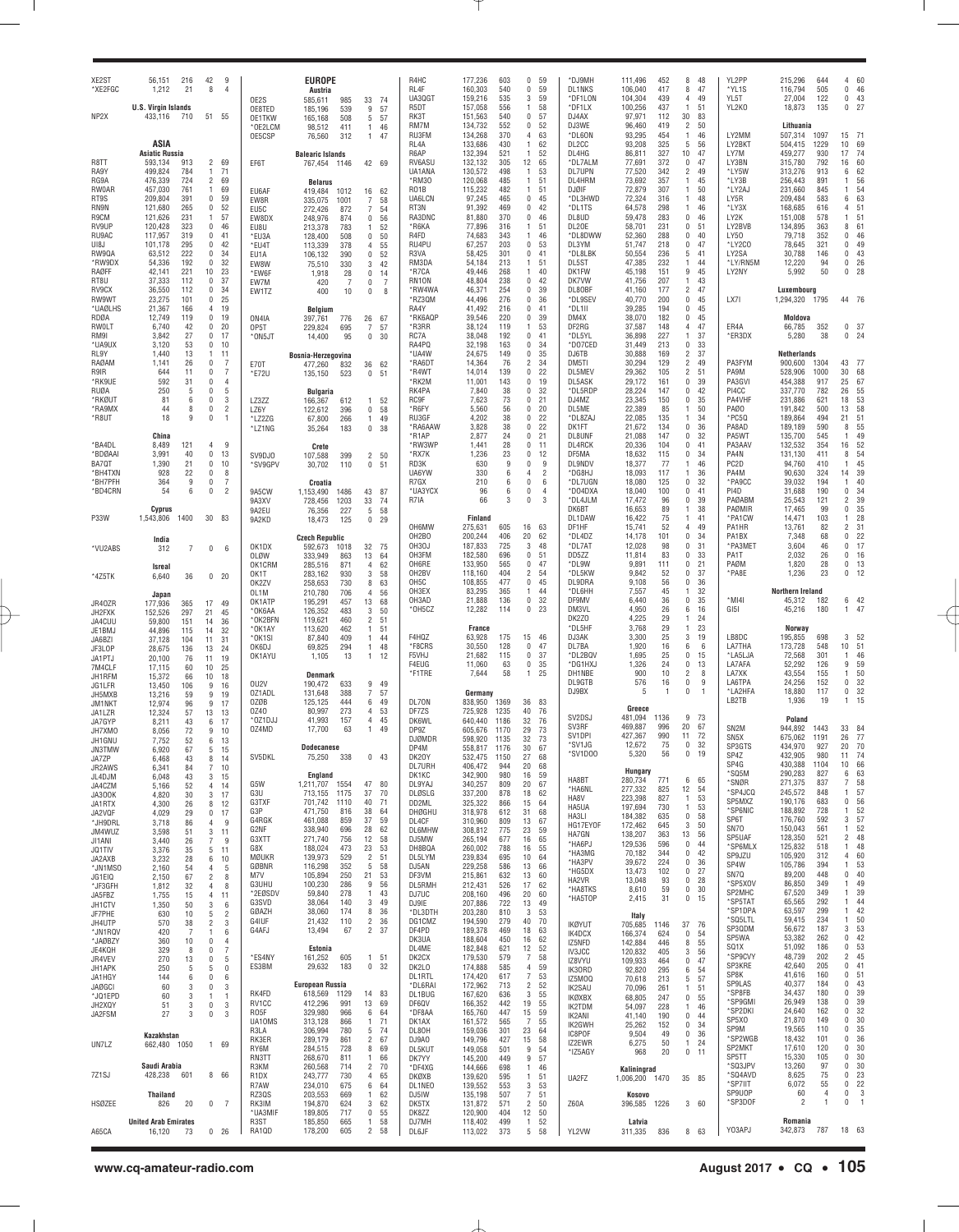| XE <sub>2</sub> ST<br>*XE2FGC | 56,151<br>1,212                       | 216<br>21            | 42<br>8                          | 9<br>$\overline{4}$              |                           | <b>EUROPE</b><br>Austria                        |                                              | R4HC<br>RL4F                           | 177,236<br>603<br>160,303<br>540                   | $\Omega$<br>$\Omega$ | 59<br>59            | *DJ9MH<br><b>DL1NKS</b>          | 111,496<br>106,040            | 452<br>417        | 48<br>8<br>47<br>8                                     | YL2PP<br>*YL1S                         | 215,296<br>116,794      | 644<br>505          | 60<br>4<br>0<br>46               |
|-------------------------------|---------------------------------------|----------------------|----------------------------------|----------------------------------|---------------------------|-------------------------------------------------|----------------------------------------------|----------------------------------------|----------------------------------------------------|----------------------|---------------------|----------------------------------|-------------------------------|-------------------|--------------------------------------------------------|----------------------------------------|-------------------------|---------------------|----------------------------------|
|                               | <b>U.S. Virgin Islands</b>            |                      |                                  |                                  | OE2S<br>OE8TED            | 985<br>585,611<br>539<br>185,196                | 33<br>-74<br>9<br>57                         | UA3QGT<br>R5DT                         | 159,216<br>535<br>157,058<br>556                   | 3<br>1.              | 59<br>58            | *DF1LON<br>*DF1LX                | 104,304<br>100,256            | 439<br>437        | 49<br>$\overline{4}$<br>51<br>$\mathbf{1}$             | YL5T<br>YL2K0                          | 27,004<br>18,873        | 122<br>135          | 0<br>43<br>0<br>27               |
| NP2X                          | 433,116                               | 710                  | 51 55                            |                                  | OE1TKW<br>*OE2LCM         | 508<br>165,168<br>411<br>98,512                 | 5<br>57<br>1<br>46                           | RK3T<br>RM7M<br>RU3FM                  | 151,563<br>540<br>134,732<br>552<br>134,268<br>370 | 0<br>0<br>4          | 57<br>52<br>63      | DJ4AX<br>DJ3WE<br>*DL6ON         | 97,971<br>96,460<br>93,295    | 112<br>419<br>454 | 30<br>83<br>$\overline{c}$<br>50<br>46<br>$\mathbf{1}$ | LY2MM                                  | Lithuania<br>507,314    |                     | 71                               |
|                               | ASIA<br><b>Asiatic Russia</b>         |                      |                                  |                                  | OE5CSP                    | 76,560<br>312                                   | $\overline{1}$<br>47                         | RL4A<br>R6AP                           | 133,686<br>430<br>132,394<br>521                   | 1<br>1               | 62<br>52            | DL2CC<br>DL4HG                   | 93,208<br>86,811              | 325<br>327        | 5<br>56<br>10<br>47                                    | LY2BKT<br>LY7M                         | 504,415<br>459,277      | 1097<br>1229<br>930 | 15<br>10<br>69<br>17<br>74       |
| R8TT<br>RA9Y                  | 593,134<br>499,824                    | 913<br>784           | $\overline{2}$<br>1              | 69<br>71                         | EF6T                      | <b>Balearic Islands</b><br>767,454 1146         | 42 69                                        | RV6ASU<br>UA1ANA                       | 132,132<br>305<br>130,572<br>498                   | 12<br>$\mathbf{1}$   | 65<br>53            | *DL7ALM<br>DL7UPN                | 77,691<br>77,520              | 372<br>342        | 0<br>47<br>2<br>49                                     | LY3BN<br>*LY5W                         | 315,780<br>313,276      | 792<br>913          | 60<br>16<br>62<br>6              |
| RG9A<br><b>RW0AR</b>          | 476,339<br>457,030                    | 724<br>761           | $\overline{2}$<br>$\overline{1}$ | 69<br>69                         |                           | <b>Belarus</b>                                  |                                              | *RM30<br>R <sub>0</sub> 1B             | 120,068<br>485<br>115,232<br>482                   | 1.<br>1.             | 51<br>51            | DL4HRM<br><b>DJØIF</b>           | 73,692<br>72,879              | 357<br>307        | $\mathbf{1}$<br>45<br>50<br>$\mathbf{1}$               | *LY3B<br>*LY2AJ                        | 256,443<br>231,660      | 891<br>845          | 56<br>-1<br>-1<br>54             |
| RT9S<br>RN9N                  | 209,804<br>121,680                    | 391<br>265           | $\bf{0}$<br>$\bf{0}$             | 59<br>52                         | EU6AF<br>EW8R             | 419,484<br>1012<br>335,075<br>1001              | 16<br>62<br>7<br>58                          | UA6LCN<br>RT3N                         | 97,245<br>465<br>91,392<br>469                     | 0<br>$\Omega$        | 45<br>42            | *DL3HWD<br>*DL1TS                | 72,324<br>64,578              | 316<br>298        | 48<br>$\mathbf{1}$<br>46<br>1                          | LY5R<br>*LY3X                          | 209,484<br>168,685      | 583<br>616          | 63<br>6<br>5 <sup>1</sup><br>4   |
| R9CM<br>RV9UP                 | 121,626<br>120,428                    | 231<br>323           | $\overline{1}$<br>0              | 57<br>46                         | EU5C<br>EW8DX             | 272,426<br>872<br>248,976<br>874                | 7<br>54<br>$\bf{0}$<br>56                    | RA3DNC<br>*R6KA                        | 81,880<br>370<br>77,896<br>316                     | $\Omega$<br>1.       | 46<br>51            | DL8UD<br>DL20E                   | 59,478<br>58,701              | 283<br>231        | 0<br>46<br>0<br>51                                     | LY2K<br>LY2BVB                         | 151,008<br>134,895      | 578<br>363          | 5 <sup>1</sup><br>-1<br>8<br>61  |
| RU9AC<br>UI8J                 | 117,957<br>101,178                    | 319<br>295           | 0<br>0                           | 41<br>42                         | EU8U<br>*EU3A             | 213,378<br>783<br>128,400<br>508                | 52<br>1.<br>$\bf{0}$<br>50                   | R4FD<br>RU4PU                          | 74,683<br>343<br>67,257<br>203                     | 1<br>0               | 46<br>53            | *DL8DWW<br>DL3YM                 | 52,360<br>51,747              | 288<br>218        | 0<br>40<br>0<br>47                                     | LY50<br>*LY2CO                         | 79,718<br>78,645        | 352<br>321          | 0<br>46<br>49<br>$\Omega$        |
| RW90A<br>*RW9DX               | 63,512<br>54,336                      | 222<br>192           | 0<br>0                           | 34<br>32                         | *EU4T<br>EU1A             | 113,339<br>378<br>390<br>106,132                | 55<br>4<br>$\mathbf 0$<br>52                 | R3VA<br>RM3DA                          | 58,425<br>301<br>54,184                            | 0<br>1.              | 41<br>51            | *DL8LBK<br>DL5ST                 | 50,554<br>47,385              | 236<br>232        | 5<br>41<br>44<br>1                                     | LY2SA<br>*LY/RN5M                      | 30,788<br>12,220        | 146<br>94           | 43<br>0<br>0<br>26               |
| RAØFF                         | 42,141<br>37,333                      | 221                  | 10<br>0                          | 23<br>37                         | EW8W<br>*EW6F             | 330<br>75,510<br>1,918<br>28                    | 3<br>42<br>$\bf{0}$<br>14                    | *R7CA                                  | 213<br>49,446<br>268<br>48,804<br>238              | 1                    | 40<br>42            | DK1FW<br>DK7VW                   | 45,198                        | 151<br>207        | 9<br>45<br>$\mathbf{1}$<br>43                          | LY2NY                                  | 5,992                   | 50                  | 0<br>28                          |
| RT8U<br>RV9CX<br>RW9WT        | 36,550<br>23,275                      | 112<br>112<br>101    | 0<br>0                           | 34<br>25                         | EW7M<br>EW1TZ             | 420<br>7<br>400<br>10                           | 0<br>$\overline{7}$<br>0<br>8                | RN <sub>1</sub> ON<br>*RW4WA<br>*RZ3QM | 46,371<br>254<br>44,496<br>276                     | 0<br>0<br>0          | 39<br>36            | DL80BF<br>*DL9SEV                | 41,756<br>41,160<br>40,770    | 177<br>200        | 2<br>47<br>0<br>45                                     | LX71                                   | Luxembourg<br>1,294,320 | 1795                | 44 76                            |
| *UAØLHS<br>RDØA               | 21,367<br>12,749                      | 166<br>119           | 4<br>$\bf{0}$                    | 19<br>19                         |                           | Belgium                                         |                                              | RA4Y<br>*RK6AQP                        | 41,492<br>216<br>39,546<br>220                     | 0<br>0               | 41<br>39            | *DL1II<br>DM4X                   | 39,285<br>38,070              | 194<br>182        | 0<br>45<br>0<br>45                                     |                                        | Moldova                 |                     |                                  |
| RWOLT<br>RM9I                 | 6,740<br>3,842                        | 42<br>27             | 0<br>0                           | 20<br>17                         | ON4IA<br>OP5T             | 397,761<br>776<br>229,824<br>695                | 26<br>67<br>7<br>57                          | *R3RR<br>RC7A                          | 38,124<br>119<br>38,048<br>192                     | 1<br>$\Omega$        | 53<br>41            | DF2RG<br>*DL5YL                  | 37,587<br>36,898              | 148<br>227        | $\overline{4}$<br>47<br>$\mathbf{1}$<br>37             | ER4A<br>*ER3DX                         | 66,785<br>5,280         | 352<br>38           | 0<br>-37<br>24<br>0              |
| *UA9UX<br>RL9Y                | 3,120<br>1,440                        | 53<br>13             | $\bf{0}$<br>$\mathbf{1}$         | 10<br>11                         | *ON5JT                    | 14,400<br>95                                    | $\bf{0}$<br>30                               | RA4PQ<br>*UA4W                         | 32,198<br>163<br>24,675<br>149                     | 0<br>$\Omega$        | 34<br>35            | *DO7CED<br>DJ6TB                 | 31,449<br>30,888              | 213<br>169        | 0<br>33<br>2<br>37                                     |                                        | Netherlands             |                     |                                  |
| RAØAM<br>R9IR                 | 1,141<br>644                          | 26<br>11             | $\mathbf 0$<br>0                 | $\overline{7}$<br>$\overline{7}$ | E70T                      | Bosnia-Herzegovina<br>477,260<br>832            | 36<br>62                                     | *RA6DT<br>*R4WT                        | 14,364<br>76<br>14,014<br>139                      | 2<br>0               | 34<br>22            | DM5TI<br>DL5ME\                  | 30,294<br>29,362              | 129<br>105        | 2<br>49<br>$\overline{c}$<br>51                        | PA3FYM<br>PA9M                         | 900,600<br>528,906      | 1304<br>1000        | 43<br>-77<br>30<br>68            |
| *RK9UE<br>RUØA                | 592<br>250                            | 31<br>5              | 0<br>0                           | $\overline{4}$<br>5              | *E72U                     | 135,150<br>523                                  | 0<br>51                                      | *RK2M<br>RK4PA                         | 11,001<br>143<br>7,840<br>38                       | 0<br>0               | 19<br>32            | DL5ASK<br>*DL5RDP                | 29,172<br>28,224              | 161<br>147        | 0<br>39<br>0<br>42                                     | PA3GVI<br>PI4CC                        | 454,388<br>337,770      | 917<br>782          | 25<br>67<br>26<br>55             |
| *RKØUT<br>*RA9MX              | 81<br>44                              | 6<br>8               | 0<br>0                           | 3<br>$\overline{2}$              | LZ3ZZ                     | <b>Bulgaria</b><br>166,367<br>612               | 52<br>$\mathbf{1}$                           | <b>RC9F</b><br>*R6FY                   | 7,623<br>73<br>5,560<br>56                         | 0<br>0               | 21<br>20            | DJ4MZ<br>DL5ME                   | 23,345<br>22,389              | 150<br>85         | 0<br>35<br>50<br>1                                     | PA4VHF<br>PAØ0                         | 231,886<br>191,842      | 621<br>500          | 18<br>53<br>58<br>13             |
| *R8UT                         | 18                                    | 9                    | 0                                | $\overline{1}$                   | LZ6Y<br>*LZ2ZG            | 122,612<br>396<br>67,800<br>266                 | $\bf{0}$<br>58<br>1<br>49                    | RU3GF<br>*RA6AAW                       | 4,202<br>38<br>3,828<br>38                         | 0<br>0               | 22<br>22            | *DL8ZAJ<br>DK1FT                 | 22,085<br>21,672              | 135<br>134        | 34<br>1<br>0<br>36                                     | *PC5Q<br>PA8AD                         | 189,864<br>189,189      | 494<br>590          | 21<br>51<br>8<br>55              |
| 'BA4DL                        | China<br>8,489                        | 121                  | 4                                | $\mathfrak{g}$                   | *LZ1NG                    | 35,264<br>183                                   | $\bf{0}$<br>38                               | *R1AP<br>*RW3WP                        | 24<br>2,877<br>28<br>1,441                         | $\Omega$<br>$\Omega$ | 21<br>11            | DL8UNF<br>DL4RCK                 | 21,088<br>20,336              | 147<br>104        | 0<br>32<br>0<br>41                                     | PA5WT<br>PA3AAV                        | 135,700<br>132,532      | 545<br>354          | 49<br>$\overline{1}$<br>16<br>52 |
| *BDØAAI<br>BA70T              | 3,991<br>1,390                        | 40<br>21             | $\bf{0}$<br>0                    | 13<br>10                         | SV9DJ0                    | Crete<br>399<br>107,588                         | $\overline{c}$<br>50                         | *RX7K<br>RD3K                          | 23<br>1,236<br>630<br>9                            | $\Omega$<br>0        | 12<br>9             | DF5MA<br>DL9NDV                  | 18,632<br>18,377              | 115<br>77         | 0<br>34<br>46<br>1                                     | PA4N<br>PC <sub>2</sub> D              | 131,130<br>94,760       | 411<br>410          | 54<br>8<br>45<br>$\overline{1}$  |
| 'BH4TXN<br>*BH7PFH            | 928<br>364                            | 22<br>9              | 0<br>0                           | 8<br>$\overline{7}$              | *SV9GPV                   | 30,702<br>110                                   | $\bf{0}$<br>51                               | UA6YW<br>R7GX                          | 330<br>6<br>210<br>6                               | 4<br>0               | $\overline{2}$<br>6 | *DG8HJ<br>*DL7UGN                | 18,093<br>18,080              | 117<br>125        | 36<br>1<br>0<br>32                                     | PA4M<br>*PA9CC                         | 90,630<br>39,032        | 324<br>194          | 14<br>39<br>40<br>$\overline{1}$ |
| *BD4CRN                       | 54                                    | 6                    | 0                                | $\overline{2}$                   | 9A5CW<br>9A3XV            | Croatia<br>1486<br>1,153,490<br>728,456<br>1203 | 43<br>87<br>33<br>74                         | *UA3YCX<br>R7IA                        | 96<br>6<br>66<br>3                                 | 0<br>$\Omega$        | $\overline{4}$<br>3 | *D04DXA<br>*DL4JLM               | 18,040<br>17,472              | 100<br>96         | 0<br>41<br>0<br>39                                     | PI4D<br>PAØABN                         | 31,688<br>25,543        | 190<br>121          | 0<br>34<br>39<br>2               |
| P33W                          | Cyprus<br>1,543,806                   | 1400                 | 30 <sup>°</sup>                  | 83                               | 9A2EU<br>9A2KD            | 227<br>76,356<br>18,473<br>125                  | 5<br>58<br>$\bf{0}$<br>29                    |                                        | Finland                                            |                      |                     | DK6BT<br>DL1DAW                  | 16,653<br>16,422              | 89<br>75          | $\mathbf{1}$<br>38<br>41<br>$\mathbf{1}$               | PAØMIR<br>*PA1CW                       | 17,465<br>14,471        | 99<br>103           | 35<br>0<br>28<br>-1              |
|                               |                                       |                      |                                  |                                  |                           | <b>Czech Republic</b>                           |                                              | OH6MW<br>OH <sub>2</sub> BO            | 275,631<br>605<br>200,244<br>406                   | 16<br>20             | 63<br>62            | DF1HF<br>*DL4DZ                  | 15,741<br>14,178              | 52<br>101         | 49<br>$\overline{4}$<br>0<br>34                        | PA1HR<br>PA1BX                         | 13,761<br>7,348         | 82<br>68            | $\overline{2}$<br>31<br>22<br>0  |
| *VU2ABS                       | India<br>312                          | 7                    | $\bf{0}$                         | 6                                | OK1DX<br><b>OLØW</b>      | 592,673<br>1018<br>333,949<br>863               | 32<br>75<br>13<br>64                         | OH3OJ<br>OH3FM                         | 187,833<br>725<br>182,580<br>696                   | 3<br>0               | 48<br>51            | *DL7A1<br>DD5ZZ                  | 12,028<br>11,814              | 98<br>83          | 0<br>31<br>0<br>33                                     | *PA3MET<br>PA1T                        | 3,604<br>2,032          | 46<br>26            | 0<br>17<br>0<br>16               |
|                               | <b>Isreal</b>                         |                      |                                  |                                  | OK1CRM<br>OK1T            | 871<br>285,516<br>283,162<br>930                | 4<br>62<br>3<br>58                           | OH6RE<br>OH2BV                         | 133,950<br>565<br>118,160<br>404                   | 0<br>2               | 47<br>54            | *DL9W<br>*DL5KW                  | 9,891<br>9,842                | 111<br>52         | 0<br>21<br>0<br>37                                     | PAØM<br>*PA8E                          | 1,820<br>1,236          | 28<br>23            | 0<br>13<br>12<br>0               |
| *4Z5TK                        | 6,640                                 | 36                   | 0 <sub>20</sub>                  |                                  | OK2ZV<br>OL1M             | 730<br>258,653<br>210,780<br>706                | 8<br>63<br>4<br>56                           | OH <sub>5</sub> C<br>OH3EX             | 108,855<br>477<br>83,295<br>365                    | 0<br>1               | 45<br>44            | DL9DRA<br>*DL6HH                 | 9,108<br>7,557                | 56<br>45          | 0<br>36<br>32<br>1                                     |                                        | Northern Ireland        |                     |                                  |
| JR40ZR                        | Japan<br>177,936                      | 365                  | 17                               | 49                               | OK1ATP<br>*OK6AA          | 457<br>195,291<br>483<br>126,352                | 13<br>68<br>3<br>50                          | OH3AD<br>*OH5CZ                        | 21,888<br>136<br>12,282<br>114                     | 0<br>0               | 32<br>23            | DF9MV<br>DM3VL                   | 6,440<br>4,950                | 36<br>26          | 0<br>35<br>6<br>16                                     | *MI4I<br>GI5I                          | 45,312<br>45,216        | 182<br>180          | 6 42<br>1.<br>47                 |
| JH2FXK<br>JA4CUU              | 152,526<br>59,800                     | 297<br>151           | 21<br>14                         | 45<br>36                         | *OK2BFN<br>*OK1AY         | 460<br>119,621<br>462<br>113,620                | 2<br>51<br>1<br>51                           |                                        | France                                             |                      |                     | DK2Z0<br>*DL5HF                  | 4,225<br>3,768                | 29<br>29          | $\mathbf{1}$<br>24<br>23<br>$\mathbf{1}$               |                                        | Norway                  |                     |                                  |
| JE1BMJ<br>JA6BZI              | 44,896<br>37,128                      | 115<br>104           | 14<br>11                         | 32<br>31                         | *OK1SI<br>OK6DJ           | 87,840<br>409<br>69,825<br>294                  | $\overline{1}$<br>44<br>1<br>48              | F4HQZ<br>*F8CRS                        | 63,928<br>175<br>30,550<br>128                     | 15<br>$\Omega$       | 46<br>47            | DJ3AK<br>DL7BA                   | 3,300<br>1,920                | 25<br>16          | 3<br>19<br>6<br>6                                      | LB8DC<br>LA7THA                        | 195,855<br>173,728      | 698<br>548          | 3<br>52<br>10<br>51              |
| JF3LOP<br>JA1PTJ              | 28,675<br>20,100                      | 136<br>76            | 13<br>11                         | 24<br>19                         | OK1AYU                    | 1,105<br>13                                     | -1<br>12                                     | F5VHJ<br>F4EUG                         | 21,682<br>115<br>11,060<br>63                      | 0<br>0               | 37<br>35            | *DL2BQV<br>*DG1HXJ               | 1,695<br>1,326                | 25<br>24          | 0<br>15<br>0<br>13                                     | *LA5LJA<br>LA7AFA                      | 72,568<br>52,292        | 301<br>126          | 46<br>$\overline{1}$<br>9<br>59  |
| 7M4CLF<br>JH1RFM              | 17,115<br>15,372                      | 60<br>66             | 10<br>10                         | 25<br>18                         | OU2V                      | <b>Denmark</b><br>190,472<br>633                | 9<br>49                                      | *F1TRE                                 | 58<br>7,644                                        | $\mathbf{1}$         | 25                  | DH1NBE<br>DL9GTB                 | 900<br>576                    | 10<br>16          | 2<br>8<br>0<br>9                                       | LA7XK<br>LA6TPA                        | 43,554<br>24,256        | 155<br>152          | 50<br>-1<br>32<br>0              |
| JG1LFR<br>JH5MXB              | 13,450<br>13,216                      | 106<br>59            | 9<br>9                           | 16<br>19                         | OZ1ADL<br>0ZØB            | 131,648<br>388<br>125,125<br>444                | $\overline{7}$<br>57<br>6<br>49              | DL70N                                  | Germany<br>838,950<br>1369                         |                      | 83                  | DJ9BX                            | 5                             | $\overline{1}$    | 0<br>$\mathbf{1}$                                      | *LA2HFA<br>LB2TB                       | 18,880<br>1,936         | 117<br>19           | 32<br>0<br>15<br>1               |
| JM1NKT<br>JA1LZR              | 12,974<br>12,324                      | 96<br>57             | 9<br>13                          | 17<br>13                         | 0Z40<br>*OZ1DJJ           | 273<br>80,997<br>41,993<br>157                  | 4<br>53<br>4<br>45                           | DF7ZS<br>DK6WL                         | 725,928<br>1235<br>640,440<br>1186                 | 36<br>40<br>32       | 76<br>76            | SV <sub>2</sub> D <sub>S</sub> J | Greece<br>481,094             | 1136              | 9<br>73                                                |                                        | Poland                  |                     |                                  |
| JA7GYP<br>JH7XMO              | 8,211<br>8,056                        | 43<br>72             | 6<br>9                           | 17<br>10                         | 0Z4MD                     | 17,700<br>63                                    | 1.<br>49                                     | DP9Z<br><b>DJØMDR</b>                  | 605,676<br>1170<br>598,920<br>1135                 | 29<br>32             | 73<br>73            | SV3RF<br>SV <sub>1</sub> DPI     | 469.887<br>427,367            | 996<br>990        | 20<br>67<br>72<br>11                                   | SN <sub>2</sub> M<br>SN <sub>5</sub> X | 944,892<br>675,062      | 1443<br>1191        | 33<br>84<br>26<br>77             |
| JH1GNU<br><b>JN3TMW</b>       | 7,752<br>6,920                        | 52<br>67             | 6<br>5                           | 13<br>15                         | SV5DKL                    | <b>Dodecanese</b><br>75,250<br>338              | 0<br>43                                      | DP4M                                   | 558,817<br>1176                                    | 30                   | 67<br>68            | *SV1JG<br>SV1D00                 | 12,672<br>5.32U               | 75<br>56          | $\mathbf 0$<br>32<br>19                                | SP3GTS<br>SP4Z                         | 434,970<br>432,905      | 927<br>980          | 20<br>70<br>11                   |
| JA7ZP<br>JR2AWS               | 6,468<br>6,341                        | 43<br>84             | 8<br>$\overline{7}$              | 14<br>10                         |                           | England                                         |                                              | DK20Y<br>DL7URH                        | 532,475<br>1150<br>406,472<br>944<br>980           | 27<br>20             | 68<br>59            |                                  | Hungary                       |                   |                                                        | SP4G<br>*SQ5M                          | 430,388<br>290,283      | 1104<br>827         | 10<br>66<br>63<br>6              |
| JL4DJM<br>JA4CZM              | 6,048<br>5,166                        | 43<br>52             | 3<br>$\overline{4}$              | 15<br>14                         | G5W<br>G3U                | 1,211,707<br>1554<br>713,155<br>1175            | 47<br>80<br>37<br>70                         | DK1KC<br>DL9YAJ                        | 342,900<br>340,257<br>809<br>878                   | 16<br>20             | 67<br>62            | HA8BT<br>*HA6NL                  | 280,734<br>277,332            | 771<br>825        | 6<br>65<br>12<br>54                                    | *SNØR<br>*SP4JCQ                       | 271,375<br>245,572      | 837<br>848          | 58<br>7<br>57<br>1               |
| JA300K<br>JA1RTX              | 4,820<br>4,300                        | 30<br>26             | 3<br>8                           | 17<br>12                         | G3TXF<br>G3P              | 701,742<br>1110<br>471,750<br>816               | 40<br>71<br>38<br>64                         | DLØSLG<br>DD2ML                        | 337,200<br>325,322<br>866<br>612                   | 18<br>15<br>31       | 64<br>68            | HA8V<br>HA5UA                    | 223,398<br>197,694            | 827<br>730        | 1<br>53<br>1<br>53                                     | SP5MXZ<br>*SP6NIC                      | 190,176<br>188,892      | 683<br>728          | 56<br>0<br>52<br>1               |
| JA2VQF<br>*JH9DRL             | 4,029<br>3,718                        | 29<br>86             | $\bf{0}$<br>$\overline{4}$       | 17<br>9                          | G4RGK<br>G2NF             | 461,088<br>859<br>338,940<br>696                | 37<br>59<br>28<br>62                         | DHØGHU<br>DL4CF<br><b>DL6MHW</b>       | 318,978<br>809<br>310,960<br>308,812<br>775        | 13<br>23             | 67<br>59            | HA3LI<br>HG17EYOF                | 184,382<br>172,462            | 635<br>645        | 0<br>58<br>3<br>50                                     | SP6T<br>SN70                           | 176,760<br>150,043      | 592<br>561          | 57<br>3<br>52<br>-1              |
| JM4WUZ<br>JI1ANI              | 3,598<br>3,440                        | 51<br>26             | 3<br>$\overline{7}$              | 11<br>9                          | G3XTT<br>G8X              | 271,740<br>756<br>188,024<br>473                | 12<br>58<br>23<br>53                         | DJ5MW<br>DH8BQA                        | 265,194<br>677<br>788<br>260,002                   | 16<br>16             | 65<br>55            | HA7GN<br>*HA6PJ                  | 138,207<br>129,536            | 363<br>596        | 56<br>13<br>0<br>44                                    | SP5UAF<br>*SP6MLX                      | 128,350<br>125,832      | 521<br>518          | $\overline{2}$<br>48<br>48<br>1  |
| JQ1TIV<br>JA2AXB              | 3,376<br>3,232                        | 35<br>28             | 5<br>6                           | 11<br>10                         | MØUKR<br>GØBNR            | 139,973<br>529<br>352<br>116,298                | $\overline{c}$<br>51<br>5<br>58              | DL5LYM<br>DJ5AN                        | 239,834<br>695<br>229,258<br>586                   | 10<br>13             | 64<br>66            | *HA3MG<br>*HA3PV                 | 70,182<br>39,672              | 344<br>224        | 0<br>42<br>0<br>36                                     | SP9JZU<br>SP4W                         | 105,920<br>105,786      | 312<br>394          | 4<br>60<br>53<br>-1              |
| *JN1MSO<br>JG1EIQ             | 2,160<br>2,150                        | 54<br>67             | $\overline{4}$<br>$\overline{2}$ | 5<br>8                           | M7V<br>G3UHU              | 250<br>105,894<br>100,230<br>286                | 21<br>53<br>9<br>56                          | DF3VM<br>DL5RMH                        | 632<br>215,861<br>526                              | 13<br>17             | 60                  | *HG5DX<br>HA2VR                  | 13,473<br>13,048              | 102<br>93         | 0<br>27<br>0<br>28                                     | SN7Q<br>*SP5XOV                        | 89,200<br>86,850        | 448<br>349          | 0<br>40<br>49<br>-1              |
| *JF3GFH<br>JA5FBZ             | 1,812<br>1,755                        | 32<br>15             | $\overline{4}$<br>$\overline{4}$ | 8<br>11                          | *2EØSDV<br>G3SVD          | 59,840<br>278<br>38,064<br>140                  | 1<br>43<br>3<br>49                           | DJ7UC                                  | 212,431<br>496<br>208,160                          | 20                   | 62<br>60            | *HA8TKS<br>*HA5TOP               | 8,610<br>2,415                | 59<br>31          | 0<br>30<br>0<br>15                                     | SP2MHC<br>*SP5TAT                      | 67,520<br>65,565        | 349<br>292          | 39<br>1<br>44<br>1               |
| JH1CTV<br>JF7PHE              | 1,350<br>630                          | 50<br>10             | 3<br>5                           | 6<br>$\overline{c}$              | GØAZH<br>G4IUF            | 38,060<br>174<br>21,432<br>110                  | 8<br>36<br>$\overline{c}$<br>36              | DJ9IE<br>*DL3DTH                       | 722<br>207,886<br>810<br>203,280                   | 13<br>3              | 49<br>53            |                                  | Italy                         |                   |                                                        | *SP1DPA<br>*SQ5LTL                     | 63,597<br>59,415        | 299<br>234          | 42<br>1<br>50<br>1               |
| JH4UTP<br>*JN1RQV             | 570<br>420                            | 38<br>$\overline{7}$ | $\overline{c}$<br>$\mathbf{1}$   | 3<br>6                           | G4AFJ                     | 13,494<br>67                                    | $\overline{c}$<br>37                         | DG1CMZ<br>DF4PD                        | 194,590<br>279<br>189,378<br>469<br>450            | 40<br>18             | 70<br>63            | <b>IKØYUT</b><br>IK4DCX          | 705,685<br>166,374            | 1146<br>624       | 37<br>76<br>0<br>54                                    | SP3QDM<br>SP5WA                        | 56,672<br>53,382        | 187<br>262          | 53<br>3<br>42<br>0               |
| *JAØBZY<br>JE4KQH             | 360<br>329                            | 10<br>8              | $\mathbf{0}$<br>$\bf{0}$         | $\overline{4}$<br>7              | *ES4NY                    | Estonia<br>161,252<br>605                       | 51<br>1                                      | DK3UA<br>DL4ME                         | 188,604<br>182,848<br>621                          | 16<br>12<br>7        | 62<br>52            | IZ5NFD<br><b>IV3JCC</b>          | 142,884<br>120,832            | 446<br>405        | 8<br>55<br>3<br>56                                     | SQ1X<br>*SP9CVY                        | 51,092<br>48,739        | 186<br>202          | 53<br>0<br>$\overline{2}$<br>45  |
| JR4VEV<br>JH1APK              | 270<br>250                            | 13<br>5              | $\bf{0}$<br>5                    | 5<br>$\mathbf{0}$                | ES3BM                     | 29,632<br>183                                   | $\mathbb O$<br>32                            | DK2CX<br>DK2L0                         | 179,530<br>579<br>174,888<br>585                   | 4<br>$\overline{7}$  | 58<br>59            | IZ8VYU<br>IK30RD                 | 109,933<br>92,820             | 464<br>295        | 0<br>47<br>6<br>54                                     | SP3KRE<br>SP8K                         | 42,640<br>41,616        | 205<br>160          | 0<br>41<br>0<br>51               |
| JA1HGY<br><b>JAØGCI</b>       | 144<br>60                             | 6<br>3               | $\mathbf{0}$<br>$\mathbf{0}$     | 6<br>3                           |                           | <b>European Russia</b>                          |                                              | DL1RTL<br>*DL6RAI                      | 174,420<br>617<br>172,962<br>713                   | 2                    | 53<br>52            | IZ5MOQ<br>IK2SAU                 | 70,618<br>70,096              | 213<br>261        | 5<br>57<br>51<br>1                                     | SP9LAS<br>*SP8FB                       | 40,377<br>34,437        | 184<br>180          | 43<br>0<br>39<br>0               |
| *JQ1EPD<br>JH2XQY             | 60<br>51                              | 3<br>3               | $\overline{1}$<br>$\mathbf{0}$   | $\overline{1}$<br>3              | RK4FD<br>RV1CC            | 618,569<br>1129<br>412,296<br>991               | 83<br>14<br>13<br>69                         | DL1BUG<br>DF6QV                        | 167,620<br>636<br>166,352<br>442                   | 3<br>19              | 55<br>55            | <b>IKØXBX</b><br>IK2TDM          | 68,805<br>54,097              | 247<br>228        | 0<br>55<br>46<br>1                                     | *SP9GMI<br>*SP2DKI                     | 26,949<br>24,640        | 138<br>162          | 39<br>0<br>32<br>0               |
| JA2FSM                        | 27                                    | 3                    | $\bf{0}$                         | 3                                | RO5F<br>UA10MS            | 966<br>329,980<br>866<br>313,128<br>780         | 6<br>64<br>1<br>71<br>5<br>74                | *DF8AA<br>DK1AX                        | 447<br>165,760<br>161,572<br>565                   | 15<br>7              | 59<br>55            | IK2ANI<br>IK2GWH                 | 41,140<br>25,262              | 190<br>152        | 0<br>44<br>0<br>34                                     | SP5X0<br>SP9M                          | 21,870<br>19,565        | 149<br>110          | 30<br>0<br>35<br>0               |
| UN7LZ                         | Kazakhstan<br>662,480                 | 1050                 | 1                                | 69                               | R3LA<br>RK3ER             | 306,994<br>289,179<br>861                       | $\overline{c}$<br>67                         | DL80H<br>DJ9A0                         | 159,036<br>301<br>149,796<br>427                   | 23<br>15             | 64<br>58            | IC8POF<br>IZ2EWR                 | 9,504<br>6,275                | 49<br>50          | 0<br>36<br>24<br>1                                     | *SP2WGB<br>SP2MKT                      | 18,432<br>17,610        | 101<br>120          | 36<br>0<br>30<br>0               |
|                               | Saudi Arabia                          |                      |                                  |                                  | RY6M<br>RN3TT             | 728<br>284,515<br>268,670<br>811                | 8<br>69<br>1<br>66                           | DL5KUT<br>DK7YY                        | 149,058<br>501<br>145,200<br>449                   | 9<br>9               | 54<br>57            | *IZ5AGY                          | 968                           | 20                | 0<br>11                                                | SP5TT<br>*SQ3JPV                       | 15,330<br>13,260        | 105<br>97           | 30<br>0<br>30<br>0               |
| 7Z1SJ                         | 428,238                               | 601                  | 8 66                             |                                  | R3KM<br>R <sub>1</sub> DX | 260,568<br>714<br>243,777<br>730                | $\overline{c}$<br>70<br>$\overline{4}$<br>65 | *DF4XG<br><b>DKØXB</b>                 | 144,666<br>698<br>139,620<br>595                   | 1<br>$\mathbf{1}$    | 46<br>51            | UA2FZ                            | Kaliningrad<br>1,006,200 1470 |                   | 35 85                                                  | *SQ4AVD<br>*SP7IIT                     | 8,625<br>6,072          | 75<br>55            | 23<br>0<br>22<br>0               |
|                               | <b>Thailand</b>                       |                      |                                  |                                  | R7AW<br>RZ3QS             | 234,010<br>675<br>203,553<br>669                | 6<br>64<br>$\mathbf{1}$<br>62                | DL1NEO<br>DJ5IW                        | 139,552<br>553<br>135,198<br>507                   | 3<br>7               | 53<br>51            |                                  | Kosovo                        |                   |                                                        | SP9U0P<br>*SP3DOF                      | 60<br>$\overline{2}$    | 4<br>$\mathbf{1}$   | 0<br>3<br>0                      |
| <b>HSØZEE</b>                 | 826                                   | 20                   | 0                                | 7                                | RK3IM<br>*UA3MIF          | 194,870<br>624<br>189,805<br>717                | 3<br>62<br>0<br>55                           | DK5TX<br>DK8ZZ                         | 131,872<br>571<br>120,900<br>404                   | $\overline{2}$<br>12 | 50<br>50            | Z60A                             | 396,585                       | 1226              | 360                                                    |                                        | Romania                 |                     |                                  |
| A65CA                         | <b>United Arab Emirates</b><br>16,120 | 73                   | 0 <sub>26</sub>                  |                                  | R3ST<br>RA1QD             | 185,850<br>665<br>178,200<br>605                | 1<br>58<br>$\overline{c}$<br>58              | DJ7MH<br>DL6JF                         | 499<br>118,402<br>113,022<br>373                   | $\mathbf{1}$         | 52<br>5 58          | YL2VW                            | Latvia<br>311,335             | 836               | 8 63                                                   | Y03APJ                                 | 342,873                 | 787                 | 18 63                            |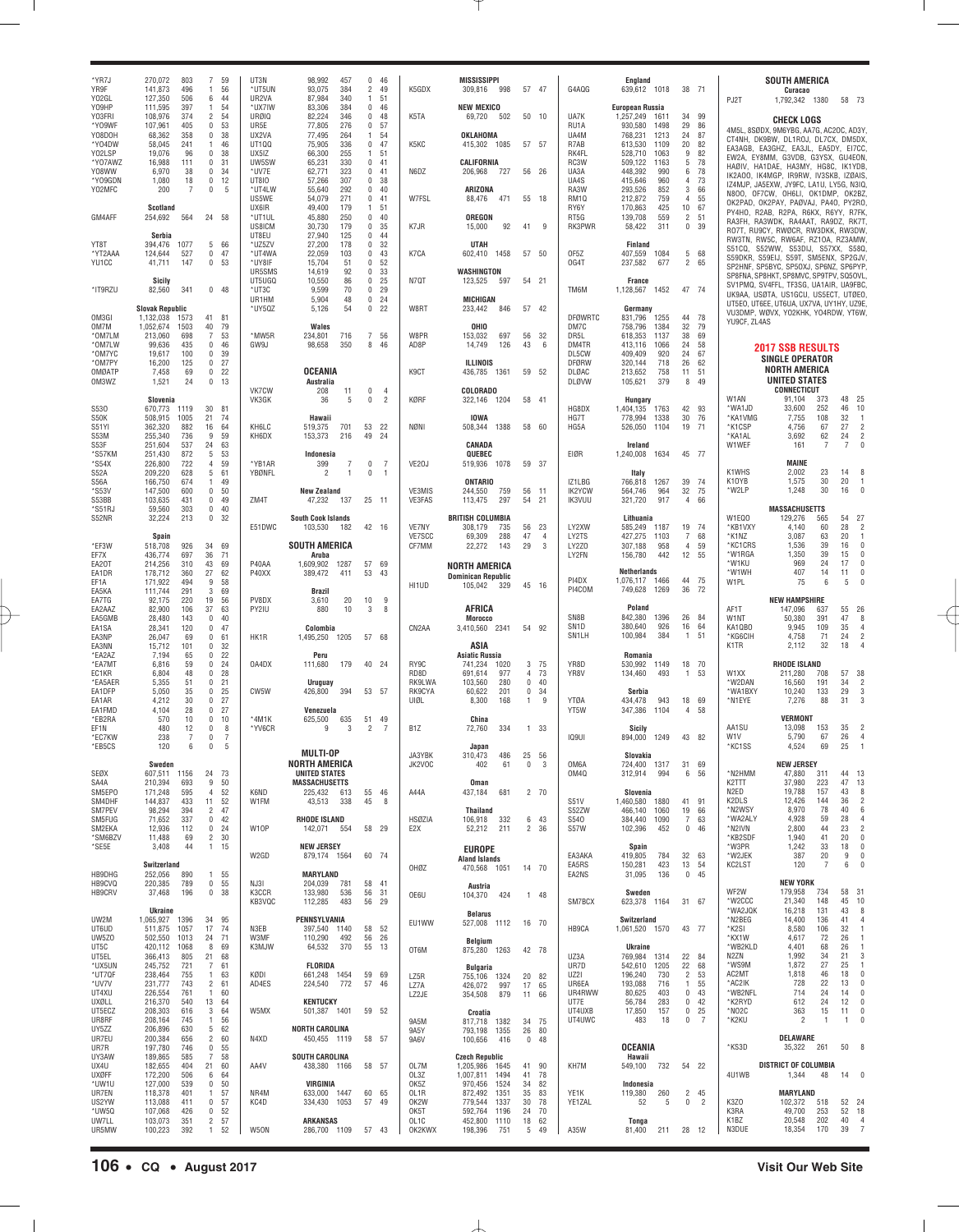| *YR7J<br>YR9F<br>Y02GL                        | 803<br>270,072<br>496<br>141,873<br>127,350<br>506                                   | 7 59<br>56<br>$\overline{1}$<br>6<br>44                                                                     | UT3N<br>*UT5UN<br>UR2VA                          | 98,992<br>457<br>93,075<br>384<br>87,984<br>340                                   | 046<br>$\overline{2}$<br>49<br>51<br>$\mathbf{1}$                                  | K5GDX                             | <b>MISSISSIPPI</b><br>309,816<br>998                                     | 57 47                                             | G4AQG                                   | England<br>639,612 1018                                                            | 38 71                                                                | PJ2T                                           | SOUTH AMERICA<br>Curacao<br>1,792,342 1380                                                                                                                       |                         | 58 73                                                                                    |
|-----------------------------------------------|--------------------------------------------------------------------------------------|-------------------------------------------------------------------------------------------------------------|--------------------------------------------------|-----------------------------------------------------------------------------------|------------------------------------------------------------------------------------|-----------------------------------|--------------------------------------------------------------------------|---------------------------------------------------|-----------------------------------------|------------------------------------------------------------------------------------|----------------------------------------------------------------------|------------------------------------------------|------------------------------------------------------------------------------------------------------------------------------------------------------------------|-------------------------|------------------------------------------------------------------------------------------|
| Y09HP<br>Y03FRI<br>*Y09WF<br>Y08D0H<br>*Y04DW | 111,595<br>397<br>108,976<br>374<br>107,961<br>405<br>68,362<br>358<br>58,045<br>241 | 54<br>$\overline{1}$<br>$\overline{2}$<br>54<br>53<br>$\bf{0}$<br>$\mathbf 0$<br>38<br>46<br>$\overline{1}$ | *UX7IW<br><b>URØIQ</b><br>UR5E<br>UX2VA<br>UT100 | 83,306<br>384<br>82,224<br>346<br>77,805<br>276<br>77,495<br>264<br>75,905<br>336 | $\mathbf 0$<br>46<br>0<br>48<br>0<br>57<br>$\mathbf{1}$<br>54<br>$\mathbf 0$<br>47 | K5TA<br>K5KC                      | <b>NEW MEXICO</b><br>69,720<br>502<br>OKLAHOMA<br>415,302 1085           | 50 10<br>57 57                                    | UA7K<br>RU1A<br>UA4M<br>R7AB            | European Russia<br>1611<br>1,257,249<br>1498<br>930,580<br>768,231<br>1213<br>1109 | 99<br>34<br>29<br>86<br>24<br>87<br>20<br>82                         |                                                | CHECK LOGS<br>4M5L, 8SØDX, 9M6YBG, AA7G, AC2OC, AD3Y.<br>CT4NH, DK9BW, DL1ROJ, DL7CX, DM5DX,                                                                     |                         |                                                                                          |
| Y02LSP<br>*Y07AWZ<br>Y08WW                    | 19,076<br>96<br>16,988<br>111<br>38<br>6,970                                         | $\bf{0}$<br>38<br>$\mathbf 0$<br>31<br>$\mathbf 0$<br>34                                                    | UX51Z<br>UW5SW<br>*UV7E                          | 66,300<br>255<br>65,231<br>330<br>62,771<br>323                                   | 51<br>$\mathbf{1}$<br>$\mathbf 0$<br>41<br>0<br>41                                 | N6DZ                              | CALIFORNIA<br>206,968<br>727                                             | 56 26                                             | RK4FL<br>RC3W<br>UA3A                   | 613,530<br>528,710<br>1063<br>509,122<br>1163<br>990<br>448,392                    | 9<br>82<br>78<br>5<br>78<br>6                                        |                                                | EA3AGB, EA3GHZ, EA3JL, EA5DY, EI7CC.<br>EW2A, EY8MM, G3VDB, G3YSX, GU4EON,<br>HAØIV, HA1DAE, HA3MY, HG8C, IK1YDB                                                 |                         |                                                                                          |
| *Y09GDN<br>Y02MFC                             | 1,080<br>18<br>200<br>$\overline{7}$                                                 | $\bf{0}$<br>12<br>$\pmb{0}$<br>5                                                                            | <b>UT8IO</b><br>*UT4LW<br>US5WE                  | 57,266<br>307<br>55,640<br>292<br>54,079<br>271                                   | 0<br>38<br>0<br>40<br>0<br>41                                                      | W7FSL                             | ARIZONA<br>471<br>88,476                                                 | 55<br>18                                          | UA4S<br>RA3W<br>RM <sub>10</sub>        | 960<br>415,646<br>293,526<br>852<br>212,872<br>759                                 | 73<br>4<br>3<br>66<br>55<br>$\overline{4}$                           |                                                | IK2A00, IK4MGP, IR9RW, IV3SKB, IZØAIS,<br>IZ4MJP, JA5EXW, JY9FC, LA1U, LY5G, N3IQ,<br>N8OO, OF7CW, OH6LI, OK1DMP, OK2BZ,<br>OK2PAD, OK2PAY, PAØVAJ, PA40, PY2RO, |                         |                                                                                          |
| GM4AFF                                        | Scotland<br>564<br>254,692<br>Serbia                                                 | 24 58                                                                                                       | UX6IR<br>*UT1UL<br>US8ICM<br>UT8EU               | 49,400<br>179<br>45,880<br>250<br>30,730<br>179<br>27,940<br>125                  | 51<br>$\mathbf{1}$<br>0<br>40<br>0<br>35<br>0<br>44                                | K7JR                              | <b>OREGON</b><br>92<br>15,000                                            | 41<br>9                                           | RY6Y<br>RT5G<br>RK3PWR                  | 425<br>170,863<br>139,708<br>559<br>58,422<br>311                                  | $10$<br>67<br>$\overline{c}$<br>51<br>$\mathbf 0$<br>39              |                                                | PY4HO, R2AB, R2PA, R6KX, R6YY, R7FK<br>RA3FH, RA3WDK, RA4AAT, RA9DZ, RK7T,<br>RO7T, RU9CY, RWØCR, RW3DKK, RW3DW                                                  |                         |                                                                                          |
| YT8T<br>*YT2AAA<br>YU1CC                      | 1077<br>394,476<br>527<br>124,644<br>41,711<br>147                                   | 5 66<br>47<br>$\bf{0}$<br>$\bf{0}$<br>53                                                                    | *UZ5ZV<br>*UT4WA<br>*UY8IF                       | 27,200<br>178<br>22,059<br>103<br>15,704<br>51                                    | 0<br>32<br>0<br>43<br>0<br>52                                                      | K7CA                              | <b>UTAH</b><br>1458<br>602,410                                           | 57 50                                             | OF5Z<br>OG4T                            | Finland<br>1084<br>407,559<br>677<br>237,582                                       | 68<br>5<br>$\overline{c}$<br>65                                      |                                                | RW3TN, RW5C, RW6AF, RZ10A, RZ3AMW<br>S51CQ, S52WW, S53DIJ, S57XX, S58Q,<br>S59DKR, S59EIJ, S59T, SM5ENX, SP2GJV,<br>SP2HNF, SP5BYC, SP50XJ, SP6NZ, SP6PYP,       |                         |                                                                                          |
| *IT9RZU                                       | <b>Sicily</b><br>341<br>82,560                                                       | $0$ 48                                                                                                      | UR5SMS<br>UT5UGQ<br>*UT3C<br>UR1HM               | 14,619<br>92<br>10,550<br>86<br>9,599<br>70<br>5,904<br>48                        | 0<br>33<br>0<br>25<br>0<br>29<br>$\mathbf 0$<br>24                                 | N7QT                              | WASHINGTON<br>123,525<br>597<br><b>MICHIGAN</b>                          | 54 21                                             | TM6M                                    | <b>France</b><br>1452<br>1,128,567                                                 | 47 74                                                                |                                                | SP8FNA, SP8HKT, SP8MVC, SP9TPV, SQ5OVL,<br>SV1PMQ, SV4FFL, TF3SG, UA1AIR, UA9FBC.<br>UK9AA, USØTA, US1GCU, US5ECT, UTØEO.                                        |                         |                                                                                          |
| OM3GI<br>OM7M                                 | <b>Slovak Republic</b><br>1,132,038<br>1573<br>1,052,674<br>1503                     | 41 81<br>40<br>79                                                                                           | *UY5QZ                                           | 5,126<br>54<br>Wales                                                              | $\mathbf 0$<br>22                                                                  | W8RT                              | 846<br>233,442<br>OHIO                                                   | 57 42                                             | DFØWRTC<br>DM7C                         | Germany<br>831,796<br>1255<br>758,796<br>1384                                      | 78<br>44<br>32<br>79                                                 | YU9CF, ZL4AS                                   | UT5EO, UT6EE, UT6UA, UX7VA, UY1HY, UZ9E,<br>VU3DMP, WØVX, YO2KHK, YO4RDW, YT6W,                                                                                  |                         |                                                                                          |
| *OM7LM<br>*OM7LW<br>*OM7YC<br>*OM7PY          | 213,060<br>698<br>99,636<br>435<br>19,617<br>100<br>16,200<br>125                    | $\overline{7}$<br>53<br>$\bf{0}$<br>46<br>$\mathbf 0$<br>39<br>$\bf{0}$<br>27                               | *MW5R<br>GW9J                                    | 234,801<br>716<br>350<br>98,658                                                   | $\overline{7}$<br>56<br>8<br>46                                                    | W8PR<br>AD8P                      | 153,032<br>697<br>14,749<br>126<br><b>ILLINOIS</b>                       | 56<br>32<br>43<br>6                               | DR5L<br>DM4TR<br>DL5CW<br>DFØRW         | 1137<br>618,353<br>413,116<br>1066<br>409,409<br>920<br>320,144<br>718             | 38<br>69<br>24<br>58<br>24<br>67<br>26<br>62                         |                                                | <b>2017 SSB RESULTS</b><br><b>SINGLE OPERATOR</b>                                                                                                                |                         |                                                                                          |
| OMØATP<br>OM3WZ                               | 7,458<br>69<br>24<br>1,521                                                           | $\mathbf 0$<br>22<br>$\bf{0}$<br>13                                                                         | VK7CW                                            | OCEANIA<br>Australia<br>208<br>11                                                 | 0<br>$\overline{4}$                                                                | K9CT                              | 436,785 1361<br>COLORADO                                                 | 59 52                                             | DLØAC<br><b>DLØVW</b>                   | 213,652<br>758<br>379<br>105,621                                                   | 51<br>11<br>8<br>49                                                  |                                                | <b>NORTH AMERICA</b><br><b>UNITED STATES</b><br><b>CONNECTICUT</b>                                                                                               |                         |                                                                                          |
| S530<br>S50K<br>S51YI                         | Slovenia<br>1119<br>670,773<br>1005<br>508,915<br>362,320<br>882                     | 30 <sup>°</sup><br>81<br>21<br>74<br>64<br>16                                                               | VK3GK<br>KH6LC                                   | 36<br>5<br>Hawaii<br>701<br>519,375                                               | 0<br>$\overline{2}$<br>53 22                                                       | KØRF<br>NØNI                      | 322,146 1204<br><b>IOWA</b><br>1388<br>508,344                           | 58 41<br>58 60                                    | HG8DX<br>HG7T<br>HG5A                   | Hungary<br>1763<br>1,404,135<br>1338<br>778,994<br>1104<br>526,050                 | 42<br>93<br>30<br>76<br>71<br>19                                     | W1AN<br>*WA1JD<br>*KA1VMG<br>*K1CSP            | 91.104<br>33,600<br>7,755<br>4,756                                                                                                                               | 373<br>252<br>108<br>67 | 48 25<br>46<br>10<br>32<br>$\overline{1}$<br>27<br>$\overline{2}$                        |
| S53M<br>S53F<br>*S57KM                        | 255,340<br>736<br>537<br>251,604<br>872<br>251,430                                   | 9<br>59<br>24<br>63<br>$5\phantom{.0}$<br>53                                                                | KH6DX                                            | 153,373<br>216<br>Indonesia                                                       | 49<br>-24                                                                          |                                   | CANADA<br>QUEBEC                                                         |                                                   | EIØR                                    | Ireland<br>1634<br>1,240,008                                                       | 45 77                                                                | *KA1AL<br>W1WEF                                | 3.692<br>161                                                                                                                                                     | 62<br>7                 | 24<br>$\overline{2}$<br>7<br>$\mathbf{0}$                                                |
| *S54X<br>S52A<br>S56A<br>*S53V                | 226,800<br>722<br>209,220<br>628<br>674<br>166,750<br>147,500<br>600                 | 59<br>$\overline{4}$<br>5<br>61<br>49<br>$\overline{1}$<br>$\bf{0}$<br>50                                   | *YB1AR<br>YBØNFL                                 | $\overline{7}$<br>399<br>$\overline{1}$<br>2<br><b>New Zealand</b>                | 0<br>$\overline{7}$<br>$\bf{0}$<br>$\overline{1}$                                  | VE20J<br>VE3MIS                   | 519,936 1078<br><b>ONTARIO</b><br>244,550<br>759                         | 59 37<br>56<br>11                                 | IZ1LBG<br>IK2YCW                        | Italy<br>1267<br>766,818<br>964<br>564,746                                         | 39<br>74<br>32<br>75                                                 | K1WHS<br>K10YB<br>*W2LP                        | <b>MAINE</b><br>2.002<br>1,575<br>1,248                                                                                                                          | 23<br>30<br>30          | 14<br>8<br>20<br>$\overline{1}$<br>16<br>$\mathbf{0}$                                    |
| S53BB<br>*S51RJ<br>S52NR                      | 431<br>103,635<br>303<br>59,560<br>213<br>32,224                                     | $\bf{0}$<br>49<br>$\bf{0}$<br>40<br>$\mathbf 0$<br>32                                                       | ZM4T                                             | 137<br>47,232<br><b>South Cook Islands</b>                                        | 25 11                                                                              | VE3FAS                            | 113,475<br>297<br><b>BRITISH COLUMBIA</b>                                | 54<br>21                                          | IK3VUU                                  | 321,720<br>917<br>Lithuania                                                        | 66<br>4                                                              | W1EQ0                                          | <b>MASSACHUSETTS</b><br>129,276                                                                                                                                  | 565                     | 27<br>54                                                                                 |
| *EF3W<br>EF7X                                 | Spain<br>926<br>518,708<br>697<br>436,774                                            | 34<br>69<br>36<br>71                                                                                        | E51DWC                                           | 103,530<br>182<br><b>SOUTH AMERICA</b><br>Aruba                                   | 42 16                                                                              | VE7NY<br>VE7SCC<br>CF7MM          | 735<br>308,179<br>288<br>69,309<br>22,272<br>143                         | - 23<br>56<br>47<br>$\overline{4}$<br>29<br>3     | LY2XW<br>LY2TS<br>LY2Z0<br>LY2FN        | 1187<br>585,249<br>427,275<br>1103<br>958<br>307,188<br>442<br>156,780             | 19<br>74<br>$\overline{7}$<br>68<br>59<br>$\overline{4}$<br>12<br>55 | *KB1VXY<br>*K1NZ<br>*KC1CRS<br>*W1RGA          | 4,140<br>3,087<br>1.536<br>1,350                                                                                                                                 | 60<br>63<br>39<br>39    | 28<br>$\overline{2}$<br>20<br>$\overline{1}$<br>16<br>$\mathbf{0}$<br>15<br>$\mathbf{0}$ |
| EA20T<br>EA1DR<br>EF1A                        | 214,256<br>310<br>360<br>178,712<br>171,922<br>494                                   | 43<br>69<br>27<br>62<br>9<br>58<br>3<br>69                                                                  | P40AA<br>P40XX                                   | 1,609,902<br>1287<br>389,472<br>411                                               | 57 69<br>53<br>43                                                                  | HI1UD                             | <b>NORTH AMERICA</b><br><b>Dominican Republic</b><br>105,042<br>329      | 45 16                                             | PI4DX<br>PI4COM                         | <b>Netherlands</b><br>1,076,117 1466<br>1269<br>749,628                            | 44 75<br>36<br>72                                                    | *W1KU<br>*W1WH<br>W1PL                         | 969<br>407<br>75                                                                                                                                                 | 24<br>14<br>6           | 17<br>$\mathbf{0}$<br>11<br>$\Omega$<br>5                                                |
| EA5KA<br>EA7TG<br>EA2AAZ<br>EA5GMB            | 111,744<br>291<br>92,175<br>220<br>82,900<br>106<br>28,480<br>143                    | 19<br>56<br>37<br>63<br>$\mathbf 0$<br>40                                                                   | PV8DX<br>PY2IU                                   | Brazil<br>20<br>3,610<br>880<br>10                                                | 10<br>9<br>3<br>8                                                                  |                                   | AFRICA<br>Morocco                                                        |                                                   | SN8B                                    | Poland<br>842,380<br>1396                                                          | 26<br>84                                                             | AF1T<br>W1NT                                   | <b>NEW HAMPSHIRE</b><br>147.096<br>50.380                                                                                                                        | 637<br>391              | 26<br>55<br>47<br>8                                                                      |
| EA1SA<br>EA3NP<br>EA3NN<br>*EA2AZ             | 28,341<br>120<br>26,047<br>69<br>15,712<br>101<br>65<br>7,194                        | $\mathbf 0$<br>47<br>$\mathbf 0$<br>61<br>$\bf{0}$<br>32<br>$\mathbf 0$<br>22                               | HK1R                                             | Colombia<br>1205<br>1,495,250<br>Peru                                             | 57 68                                                                              | CN2AA                             | 3,410,560 2341<br>ASIA<br><b>Asiatic Russia</b>                          | 54 92                                             | SN <sub>1</sub> D<br>SN <sub>1</sub> LH | 926<br>380,640<br>384<br>100,984<br>Romania                                        | 64<br>16<br>51<br>$\overline{1}$                                     | KA1QBO<br>*KG6CIH<br>K <sub>1</sub> TR         | 9.945<br>4,758<br>2,112                                                                                                                                          | 109<br>71<br>32         | 35<br>$\overline{4}$<br>24<br>$\overline{2}$<br>18<br>$\Delta$                           |
| *EA7MT<br>EC1KR<br>*EA5AER                    | 6,816<br>59<br>6,804<br>48<br>5,355<br>51                                            | $\mathbf 0$<br>24<br>$\mathbf 0$<br>28<br>$\mathbf 0$<br>21                                                 | 0A4DX                                            | 179<br>111,680<br>Uruguay                                                         | 40 24                                                                              | RY9C<br>RD8D<br>RK9LWA            | 741,234<br>1020<br>691,614<br>977<br>280<br>103,560                      | 3 75<br>73<br>$\overline{4}$<br>$\mathbf 0$<br>40 | YR8D<br>YR8V                            | 1149<br>530,992<br>493<br>134,460                                                  | 18<br>70<br>1<br>53                                                  | W1XX<br>*W2DAN                                 | <b>RHODE ISLAND</b><br>211,280<br>16,560                                                                                                                         | 708<br>191              | 57 38<br>34<br>$\overline{2}$                                                            |
| EA1DFP<br>EA1AR<br>EA1FMD                     | 5,050<br>35<br>4,212<br>30<br>28<br>4,104<br>10                                      | $\mathbf 0$<br>25<br>$\mathbf 0$<br>27<br>27<br>$\bf{0}$<br>$\bf{0}$<br>10                                  | CW5W<br>$*4M1K$                                  | 394<br>426,800<br>Venezuela                                                       | 53 57<br>49                                                                        | RK9CYA<br>UIØL                    | 201<br>60,622<br>168<br>8,300<br>China                                   | $\mathbf 0$<br>34<br>-1<br>-9                     | YTØA<br>YT5W                            | Serbia<br>943<br>434,478<br>1104<br>347,386                                        | 18<br>69<br>58<br>4                                                  | *WA1BXY<br>*N1EYE                              | 10,240<br>7,276<br>VERMONT                                                                                                                                       | 133<br>88               | 29<br>3<br>31<br>3                                                                       |
| *EB2RA<br>EF1N<br>*EC7KW<br>*EB5CS            | 570<br>12<br>480<br>238<br>7<br>120<br><b>6</b>                                      | $\bf{0}$<br>8<br>0<br>7<br>$\cap$<br>5                                                                      | *YV6CR                                           | 625,500<br>635<br>3<br>9                                                          | 51<br>2<br>- 7                                                                     | B <sub>1</sub> Z                  | 334<br>72,760<br>Japan                                                   | 1 33                                              | IQ9UI                                   | Sicily<br>1249<br>894,000                                                          | 43 82                                                                | AA1SU<br>W <sub>1</sub> V<br>*KC1SS            | 13,098<br>5,790<br>4,524                                                                                                                                         | 153<br>67<br>69         | 35<br>$\overline{2}$<br>26<br>$\overline{4}$<br>25<br>-1                                 |
| SEØX<br>SA4A                                  | Sweden<br>607,511 1156<br>210,394<br>693                                             | 24<br>- 73<br>9<br>50                                                                                       |                                                  | <b>MULTI-OP</b><br>NORTH AMERICA<br><b>UNITED STATES</b><br><b>MASSACHUSETTS</b>  |                                                                                    | JA3YBK<br>JK2VOC                  | 486<br>310,473<br>402<br>61<br><b>Oman</b>                               | 25<br>56<br>0<br>3                                | OM6A<br>0M40                            | Slovakia<br>724,400 1317<br>312,914<br>994                                         | 31<br>69<br>6<br>56                                                  | *N2HMM<br>K <sub>2</sub> TTT                   | <b>NEW JERSEY</b><br>47,880<br>37,980                                                                                                                            | 311<br>223              | 44 13<br>47 13                                                                           |
| SM5EP0<br>SM4DHF<br>SM7PEV                    | 171,248<br>595<br>144,837<br>433<br>98,294<br>394                                    | 52<br>4<br>52<br>11<br>47<br>$\overline{2}$                                                                 | K6ND<br>W1FM                                     | 225,432<br>613<br>43,513<br>338                                                   | 55 46<br>45<br>8                                                                   | A44A                              | 437,184<br>681<br><b>Thailand</b>                                        | 2, 70                                             | S51V<br>S52ZW                           | Slovenia<br>1880<br>1,460,580<br>466,140<br>1060                                   | 41<br>91<br>19<br>66                                                 | N <sub>2ED</sub><br>K2DLS<br>*N2WSY            | 19,788<br>12,426<br>8,970                                                                                                                                        | 157<br>144<br>78        | 43<br>8<br>36<br>$\overline{2}$<br>40<br>6                                               |
| SM5FUG<br>SM2EKA<br>*SM6BZV<br>*SE5E          | 71,652<br>337<br>12,936<br>112<br>11,488<br>69<br>3,408<br>44                        | 42<br>$\bf{0}$<br>$\bf{0}$<br>24<br>$\overline{2}$<br>30<br>$\mathbf{1}$<br>15                              | W10P                                             | <b>RHODE ISLAND</b><br>142,071 554<br><b>NEW JERSEY</b>                           | 58 29                                                                              | <b>HSØZIA</b><br>E <sub>2</sub> X | 332<br>106,918<br>52,212<br>211                                          | 6 43<br>2 36                                      | S540<br>S57W                            | 384,440<br>1090<br>102,396<br>452                                                  | $\overline{I}$<br>63<br>$\bf{0}$<br>46                               | *WA2ALY<br>*N2IVN<br>*KB2SDF<br>*W3PR          | 4,928<br>2,800<br>1,940<br>1,242                                                                                                                                 | 59<br>44<br>41<br>33    | 28<br>$\overline{4}$<br>23<br>$\overline{2}$<br>20<br>$\mathbf{0}$<br>18<br>$\mathbf{0}$ |
| HB9DHG                                        | Switzerland<br>252,056<br>890                                                        | 1 55                                                                                                        | W2GD                                             | 879,174 1564<br>MARYLAND                                                          | 60 74                                                                              | OHØZ                              | <b>EUROPE</b><br><b>Aland Islands</b><br>470,568 1051                    | 14 70                                             | EA3AKA<br>EA5RS<br>EA2NS                | Spain<br>419,805<br>784<br>423<br>150,281<br>136<br>31,095                         | 32<br>63<br>54<br>13<br>$\mathbf 0$<br>45                            | *W2JEK<br>KC2LST                               | 387<br>120                                                                                                                                                       | 20<br>$\overline{7}$    | 9<br>$\mathbf{0}$<br>6<br>$\theta$                                                       |
| HB9CVQ<br><b>HB9CRV</b>                       | 220,385<br>789<br>37,468<br>196                                                      | 0 <sub>55</sub><br>$\bf{0}$<br>38                                                                           | NJ3I<br>K3CCR<br>KB3VQC                          | 204,039<br>781<br>133,980<br>536<br>112,285<br>483                                | 58 41<br>56<br>31<br>29<br>56                                                      | OE6U                              | Austria<br>104,370<br>424                                                | 1 48                                              | SM7BCX                                  | Sweden<br>623,378 1164                                                             | 31 67                                                                | WF2W<br>*W2CCC<br>*WA2JQK                      | <b>NEW YORK</b><br>179,958<br>21,340<br>16,218                                                                                                                   | 734<br>148<br>131       | 58<br>31<br>45<br>10<br>43<br>8                                                          |
| UW2M<br>UT6UD<br>UW5Z0                        | Ukraine<br>1,065,927<br>1396<br>511,875<br>1057<br>502,550<br>1013                   | 34 95<br>17<br>74<br>71<br>24                                                                               | N3EB<br>W3MF                                     | PENNSYLVANIA<br>397,540<br>1140<br>110,290<br>492                                 | 58 52<br>56<br>26                                                                  | EU1WW                             | <b>Belarus</b><br>527,008 1112<br>Belgium                                | 16 70                                             | HB9CA                                   | Switzerland<br>1,061,520 1570                                                      | 43 77                                                                | *N2BEG<br>*K2SI<br>*KX1W                       | 14,400<br>8,580<br>4,617                                                                                                                                         | 136<br>106<br>72        | 41<br>$\overline{4}$<br>32<br>$\overline{1}$<br>26<br>$\overline{1}$                     |
| UT5C<br>UT5EL<br>*UX5UN<br>*UT7QF             | 420,112<br>1068<br>366,413<br>805<br>245,752<br>721<br>238,464<br>755                | 8<br>69<br>21<br>68<br>7<br>61<br>63<br>$\overline{1}$                                                      | K3MJW<br>KØDI                                    | 370<br>64,532<br><b>FLORIDA</b><br>661,248 1454                                   | 55<br>13<br>59 69                                                                  | OT6M                              | 875,280 1263<br>Bulgaria                                                 | 42 78                                             | UZ3A<br>UR7D<br>UZ2I                    | <b>Ukraine</b><br>769,984 1314<br>542,610<br>1205<br>196,240<br>730                | 22<br>- 84<br>22<br>68<br>$\overline{2}$<br>53                       | *WB2KLD<br>N <sub>2</sub> ZN<br>*WS9M<br>AC2MT | 4,401<br>1,992<br>1,872<br>1,818                                                                                                                                 | 68<br>34<br>27<br>46    | 26<br>$\overline{1}$<br>21<br>3<br>25<br>$\overline{1}$<br>18<br>$\mathbf{0}$            |
| *UV7V<br>UT4XU<br>UXØLL                       | 231,777<br>743<br>226,554<br>761<br>216,370<br>540                                   | $\overline{2}$<br>61<br>60<br>$\overline{1}$<br>13<br>64                                                    | AD4ES                                            | 224,540<br>772<br><b>KENTUCKY</b>                                                 | 57<br>46                                                                           | LZ5R<br>LZ7A<br>LZ2JE             | 755,106 1324<br>426,072<br>997<br>354,508<br>879                         | 20 82<br>17<br>65<br>11 66                        | UR6EA<br>UR4RWW<br>UT7E                 | 193,088<br>716<br>80,625<br>403<br>283<br>56,784                                   | $\overline{1}$<br>55<br>$\mathbb O$<br>43<br>42<br>$\bf{0}$          | *AC2IK<br>*WB2NFL<br>*K2RYD                    | 728<br>714<br>612                                                                                                                                                | 22<br>24<br>24          | 13<br>$\mathbf{0}$<br>14<br>$\mathbf{0}$<br>12<br>$\mathbf{0}$                           |
| UT5ECZ<br>UR8RF<br>UY5ZZ<br>UR7EU             | 208,303<br>616<br>208,164<br>745<br>206,896<br>630<br>200,384<br>656                 | 3<br>64<br>56<br>$\overline{1}$<br>5<br>62<br>$\overline{c}$<br>60                                          | W5MX<br>N4XD                                     | 501,387 1401<br><b>NORTH CAROLINA</b><br>450,455 1119                             | 59 52<br>58 57                                                                     | 9A5M<br>9A5Y                      | Croatia<br>817,718 1382<br>793,198 1355                                  | 34 75<br>26<br>80                                 | UT4UXB<br>UT4UWC                        | 17,850<br>157<br>483<br>18                                                         | 25<br>$\bf{0}$<br>$\overline{7}$<br>$\mathbf 0$                      | *NO2C<br>*K2KU                                 | 363<br>$\overline{2}$<br>DELAWARE                                                                                                                                | 15<br>$\mathbf{1}$      | 11<br>$\mathbf{0}$<br>-1<br>$\Omega$                                                     |
| UR7R<br>UY3AW                                 | 197,780<br>746<br>189,865<br>585                                                     | $\bf{0}$<br>55<br>7<br>58                                                                                   |                                                  | <b>SOUTH CAROLINA</b>                                                             |                                                                                    | 9A6V                              | 100,656<br>416<br><b>Czech Republic</b>                                  | 0.48                                              |                                         | <b>OCEANIA</b><br>Hawaii                                                           |                                                                      | *KS3D                                          | 35,322                                                                                                                                                           | 261                     | 50<br>8                                                                                  |
| UX4U<br><b>UXØFF</b><br>*UW1U                 | 182,655<br>404<br>172,200<br>506<br>127,000<br>539                                   | 21<br>60<br>64<br>6<br>50<br>$\bf{0}$                                                                       | AA4V                                             | 438,380 1166<br>VIRGINIA                                                          | 58 57                                                                              | OL7M<br>OL3Z<br>OK5Z              | 1,205,986<br>1645<br>1,007,811<br>1494<br>970,456<br>1524                | 41 90<br>41<br>78<br>34<br>82                     | KH7M                                    | 732<br>549,100<br>Indonesia                                                        | 54 22                                                                | 4U1WB                                          | <b>DISTRICT OF COLUMBIA</b><br>1,344<br>MARYLAND                                                                                                                 | 48                      | 14<br>$\Omega$                                                                           |
| UR7EN<br>US2YW<br>*UW5Q<br>UW7LL              | 118,378<br>401<br>113,088<br>411<br>107,068<br>426<br>103,073<br>351                 | 57<br>$\overline{1}$<br>$\bf{0}$<br>57<br>$\bf{0}$<br>52<br>$\overline{2}$<br>57                            | NR4M<br>KC4D                                     | 1447<br>633,000<br>334,430<br>1053<br><b>ARKANSAS</b>                             | 60 65<br>57<br>-49                                                                 | OL1R<br>OK2W<br>OK5T<br>OL1C      | 872,492<br>1351<br>1337<br>779,544<br>592,764<br>1196<br>452,800<br>1110 | 35<br>83<br>30<br>78<br>70<br>24<br>62<br>18      | YE1K<br>YE1ZAL                          | 260<br>119,380<br>52<br>5<br>Tonga                                                 | $\overline{c}$<br>45<br>$\overline{2}$<br>$\bf{0}$                   | K3ZO<br>K3RA<br>K1BZ                           | 102,372<br>49,700<br>20,548                                                                                                                                      | 518<br>253<br>202       | 52 24<br>52 18<br>40<br>$\overline{4}$                                                   |
| UR5MW                                         | 100,223<br>392                                                                       | 52<br>$\overline{1}$                                                                                        | W50N                                             | 286,700 1109                                                                      | 57 43                                                                              | OK2KWX                            | 751<br>198,396                                                           | 5<br>49                                           | A35W                                    | 81,400<br>211                                                                      | 28 12                                                                | N3DUE                                          | 18,354                                                                                                                                                           | 170                     | 39 7                                                                                     |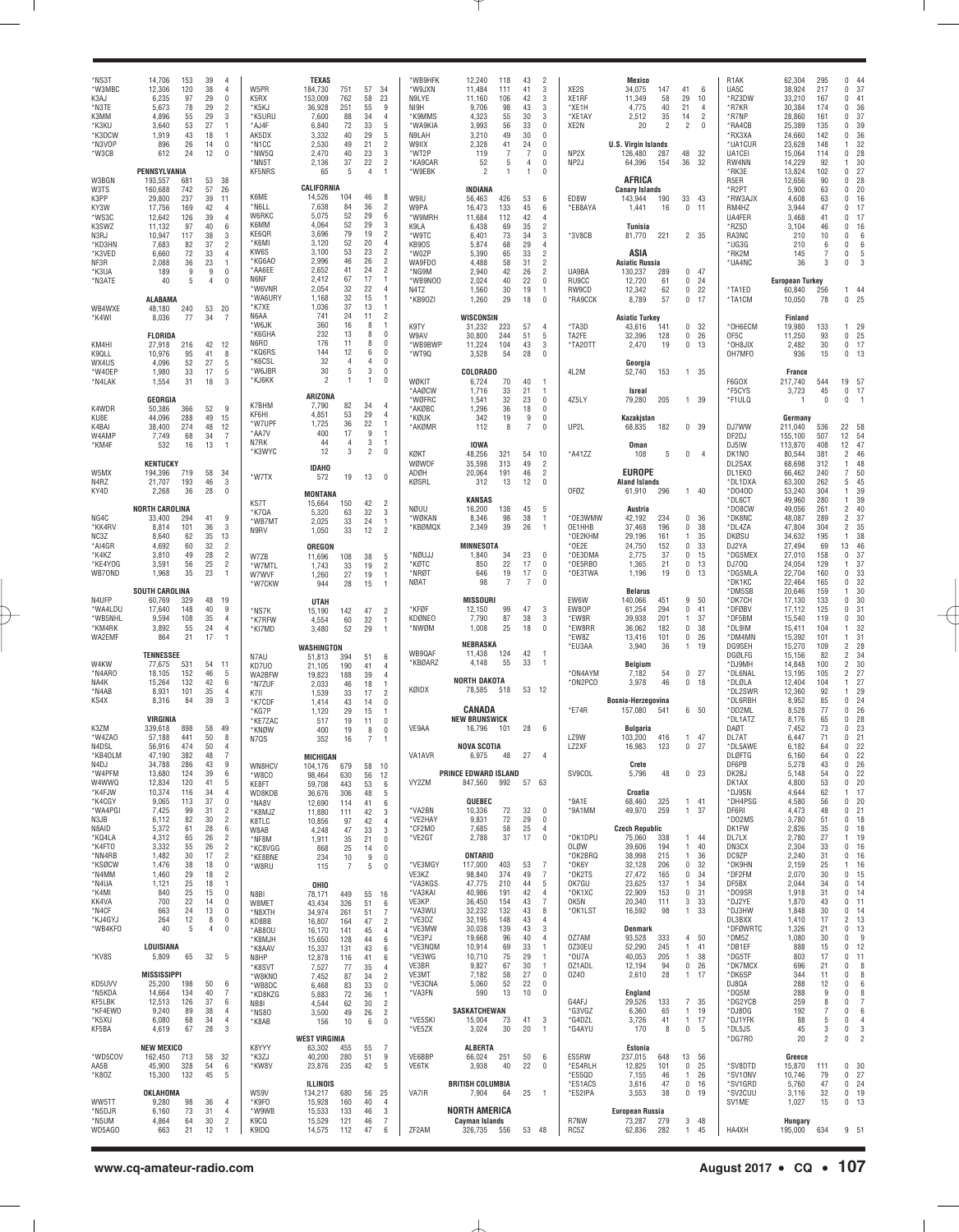| MS3T*<br>*W3MBC<br>K3AJ<br>*N3TE<br>K3MM<br>*K3KU<br>*K3DCW<br>*N3VOP<br>*W3CB      | 153<br>14,706<br>120<br>12,306<br>6,235<br>97<br>5,673<br>78<br>4,896<br>55<br>3,640<br>53<br>1,919<br>43<br>896<br>26<br>612<br>24<br>PENNSYLVANIA               | 39<br>38<br>29<br>29<br>29<br>27<br>18<br>14<br>12       | $\overline{4}$<br>4<br>0<br>$\overline{2}$<br>3<br>$\mathbf{1}$<br>$\mathbf{1}$<br>0<br>$\Omega$ | W5PR<br>K5RX<br>*K5KJ<br>*K5URU<br>*AJ4F<br>AK5DX<br>*N1CC<br>*NW5Q<br>*NN5T<br>KF5NRS | <b>TEXAS</b><br>184,730<br>153,009<br>36,928<br>7,600<br>6,840<br>3,332<br>2,530<br>2,470<br>2,136<br>65 | 751<br>762<br>251<br>88<br>72<br>40<br>49<br>40<br>37<br>5 | 57<br>58<br>55<br>34<br>33<br>29<br>21<br>23<br>22<br>$\overline{4}$ | 34<br>23<br>9<br>4<br>5<br>5<br>2<br>3<br>2                                              | *WB9HFK<br>*W9JXN<br>N9LYE<br>NI9H<br>*K9MMS<br>*WA9KIA<br>N9LAH<br>W9IIX<br>*WT2P<br>*KA9CAR<br>*W9EBK | 12,240<br>118<br>11,484<br>111<br>11,160<br>106<br>9,706<br>98<br>4,323<br>55<br>3,993<br>56<br>3,210<br>49<br>41<br>2,328<br>7<br>119<br>52<br>5<br>$\overline{c}$<br>1 | 43<br>41<br>42<br>43<br>30<br>33<br>30<br>24<br>7<br>4<br>$\overline{1}$ | $\overline{2}$<br>3<br>3<br>3<br>3<br>$\mathbf 0$<br>$\mathbf 0$<br>$\mathbf 0$<br>$\mathbf 0$<br>$\mathbf 0$<br>$\Omega$ | XE <sub>2</sub> S<br>XE1RF<br>*XE1H<br>*XE1AY<br>XE2N<br>NP <sub>2</sub> X<br>NP <sub>2</sub> J | Mexico<br>34,075<br>11,349<br>4,775<br>2,512<br>20<br><b>U.S. Virgin Islands</b><br>126,480<br>64,396     | 147<br>58<br>40<br>35<br>2<br>287<br>154 | 41<br>29<br>21<br>14<br>2<br>48<br>36                 | 6<br>10<br>4<br>$\overline{2}$<br>$\Omega$<br>32<br>32 | R <sub>1</sub> AK<br>UA5C<br>*RZ3DW<br>*R7KR<br>*R7NP<br>*RA4CB<br>*RX3XA<br>*UA1CUR<br>UA1CEI<br>RW4NN<br>*RK3E | 62,304<br>38,924<br>33,210<br>30,384<br>28,860<br>25,389<br>24,660<br>23,628<br>15,064<br>14,229<br>13,824 | 295<br>217<br>167<br>174<br>161<br>135<br>142<br>148<br>114<br>92<br>102 | 44<br>0<br>37<br>0<br>41<br>0<br>36<br>0<br>37<br>$\Omega$<br>39<br>$\Omega$<br>36<br>$\Omega$<br>32<br>$\mathbf{1}$<br>28<br>0<br>30<br>$\mathbf{1}$<br>27<br>$\Omega$ |
|-------------------------------------------------------------------------------------|-------------------------------------------------------------------------------------------------------------------------------------------------------------------|----------------------------------------------------------|--------------------------------------------------------------------------------------------------|----------------------------------------------------------------------------------------|----------------------------------------------------------------------------------------------------------|------------------------------------------------------------|----------------------------------------------------------------------|------------------------------------------------------------------------------------------|---------------------------------------------------------------------------------------------------------|--------------------------------------------------------------------------------------------------------------------------------------------------------------------------|--------------------------------------------------------------------------|---------------------------------------------------------------------------------------------------------------------------|-------------------------------------------------------------------------------------------------|-----------------------------------------------------------------------------------------------------------|------------------------------------------|-------------------------------------------------------|--------------------------------------------------------|------------------------------------------------------------------------------------------------------------------|------------------------------------------------------------------------------------------------------------|--------------------------------------------------------------------------|-------------------------------------------------------------------------------------------------------------------------------------------------------------------------|
| W3BGN<br>W3TS<br>K3PP<br>KY3W<br>*WS3C<br>K3SWZ<br>N3RJ<br>*KD3HN<br>*K3VED<br>NF3R | 193,557<br>681<br>160,688<br>742<br>237<br>29,800<br>17,756<br>169<br>12,642<br>126<br>11,132<br>97<br>10,947<br>117<br>7,683<br>82<br>72<br>6,660<br>2,088<br>36 | 53<br>57<br>39<br>42<br>39<br>40<br>38<br>37<br>33<br>23 | 38<br>26<br>11<br>4<br>4<br>6<br>3<br>$\overline{2}$<br>4<br>$\mathbf{1}$                        | K6ME<br>*N6LL<br>W6RKC<br>K6MM<br>KE6QR<br>*K6MI<br>KW6S<br>*KG6A0                     | CALIFORNIA<br>14,526<br>7,638<br>5,075<br>4,064<br>3,696<br>3,120<br>3,100<br>2,996                      | 104<br>84<br>52<br>52<br>79<br>52<br>53<br>46              | 46<br>36<br>29<br>29<br>19<br>20<br>23<br>26                         | 8<br>2<br>6<br>3<br>$\overline{2}$<br>$\overline{4}$<br>$\overline{2}$<br>$\overline{2}$ | W9IU<br>W9PA<br>*W9MRH<br>K9LA<br>*W9TC<br>KB90S<br>*W0ZP<br>WA9FD0                                     | INDIANA<br>56,463<br>426<br>133<br>16,473<br>11,684<br>112<br>6,438<br>69<br>73<br>6,401<br>5,874<br>68<br>5,390<br>65<br>4,488<br>58                                    | 53<br>45<br>42<br>35<br>34<br>29<br>33<br>31                             | 6<br>6<br>$\overline{4}$<br>$\overline{2}$<br>3<br>$\overline{4}$<br>$\overline{2}$<br>$\overline{c}$                     | ED8W<br>*EB8AYA<br>*3V8CB                                                                       | AFRICA<br><b>Canary Islands</b><br>143,944<br>1,441<br>Tunisia<br>81,770<br>ASIA<br><b>Asiatic Russia</b> | 190<br>16<br>221                         | 33<br>0                                               | 43<br>11<br>2 35                                       | R <sub>5</sub> ER<br>*R2PT<br>*RW3AJX<br>RM4HZ<br>UA4FER<br>*RZ5D<br>RA3NC<br>*UG3G<br>*RK2M<br>*UA4NC           | 12,656<br>5,900<br>4,608<br>3,944<br>3,468<br>3,104<br>210<br>210<br>145<br>36                             | 90<br>63<br>63<br>47<br>41<br>46<br>10<br>6<br>7<br>3                    | 28<br>$\Omega$<br>20<br>$\Omega$<br>16<br>$\Omega$<br>$\Omega$<br>17<br>$\Omega$<br>17<br>0<br>16<br>0<br>6<br>0<br>6<br>0<br>5<br>$\Omega$<br>З                        |
| *K3UA<br>*N3ATE<br>WB4WXE                                                           | 9<br>189<br>5<br>40<br><b>ALABAMA</b><br>48,180<br>240                                                                                                            | 9<br>$\overline{4}$<br>53                                | 0<br>$\Omega$<br>20                                                                              | *AA6EE<br>N6NF<br>*W6VNR<br>*WA6URY<br>*K7XE                                           | 2,652<br>2,412<br>2,054<br>1,168<br>1,036                                                                | 41<br>67<br>32<br>32<br>37                                 | 24<br>17<br>22<br>15<br>13                                           | $\overline{2}$<br>$\mathbf{1}$<br>$\overline{4}$<br>$\mathbf{1}$<br>$\overline{1}$       | *NG9M<br>*WB9N00<br>N4TZ<br>*KB90ZI                                                                     | 2,940<br>42<br>2,024<br>40<br>1,560<br>30<br>29<br>1,260                                                                                                                 | 26<br>22<br>19<br>18                                                     | $\overline{2}$<br>$\mathbf 0$<br>$\overline{1}$<br>$\overline{0}$                                                         | UA9BA<br>RU9CC<br>RW9CD<br>*RA9CCK                                                              | 130,237<br>12,720<br>12,342<br>8,789                                                                      | 289<br>61<br>62<br>57                    | 0<br>0<br>$\mathbf 0$<br>0                            | 47<br>24<br>22<br>17                                   | *TA1ED<br>*TA1CM                                                                                                 | <b>European Turkey</b><br>60,840<br>10,050                                                                 | 256<br>78                                                                | 144<br>25<br>0                                                                                                                                                          |
| *K4WI<br>KM4HI<br>K <sub>9</sub> QLL                                                | 77<br>8,036<br><b>FLORIDA</b><br>27,918<br>216<br>10,976<br>95                                                                                                    | 34<br>42<br>41                                           | $\overline{7}$<br>12<br>8                                                                        | N6AA<br>*W6JK<br>*K6GHA<br>N6RO<br>*KQ6RS<br>*K6CSL                                    | 741<br>360<br>232<br>176<br>144<br>32                                                                    | 24<br>16<br>13<br>11<br>12<br>4                            | 11<br>8<br>8<br>8<br>6<br>$\overline{4}$                             | $\overline{2}$<br>$\mathbf{1}$<br>$\theta$<br>$\Omega$<br>$\Omega$<br>$\mathbf{0}$       | K9TY<br>W9AV<br>*WB9BWP<br>*WT9Q                                                                        | WISCONSIN<br>31,232<br>223<br>244<br>30,800<br>104<br>11,224<br>3,528<br>54                                                                                              | 57<br>51<br>43<br>28                                                     | $\overline{4}$<br>5<br>3<br>$\mathbf 0$                                                                                   | *TA3D<br>TA2FE<br>*TA2OTT                                                                       | <b>Asiatic Turkey</b><br>43,616<br>32,396<br>2,470                                                        | 141<br>128<br>19                         | 0<br>0<br>0                                           | 32<br>26<br>13                                         | *OH6ECM<br>OF5C<br>*OH8JIX<br>OH7MFO                                                                             | Finland<br>19,980<br>11,250<br>2,482<br>936                                                                | 133<br>93<br>30<br>15                                                    | 29<br>1.<br>25<br>0<br>17<br>0<br>0<br>13                                                                                                                               |
| WX4US<br>*W40EP<br>*N4LAK<br>K4WDR                                                  | 52<br>4,096<br>1,980<br>33<br>1,554<br>31<br>GEORGIA<br>366<br>50,386                                                                                             | 27<br>17<br>18<br>52                                     | 5<br>5<br>3<br>9                                                                                 | *W6JBR<br>*KJ6KK<br>K7BHM                                                              | 30<br>$\mathfrak{p}$<br>ARIZONA<br>7,790                                                                 | 5<br>$\mathbf{1}$<br>82                                    | 3<br>$\mathbf{1}$<br>34                                              | $\mathbf{0}$<br>$\theta$<br>$\overline{4}$                                               | WØKIT<br>*AAØCW<br>*WØFRC<br>*AKØBC                                                                     | COLORADO<br>6,724<br>70<br>1,716<br>33<br>32<br>1,541<br>1,296<br>36                                                                                                     | 40<br>21<br>23<br>18                                                     | $\overline{1}$<br>$\overline{1}$<br>$\mathbf 0$<br>0                                                                      | 4L2M<br>4Z5LY                                                                                   | Georgia<br>52,740<br>Isreal<br>79,280                                                                     | 153<br>205                               | $\mathbf{1}$<br>1                                     | 35<br>39                                               | F6GOX<br>*F5CYS<br>*F1ULQ                                                                                        | France<br>217,740<br>3,723<br>-1                                                                           | 544<br>45<br>$\Omega$                                                    | 57<br>19<br>$\mathbf 0$<br>17<br>0<br>J.                                                                                                                                |
| KU8E<br>K4BAI<br>W4AMP<br>*KM4F                                                     | 288<br>44,096<br>274<br>38,400<br>7,749<br>68<br>532<br>16                                                                                                        | 49<br>48<br>34<br>13                                     | 15<br>12<br>$\overline{7}$<br>$\mathbf{1}$                                                       | KF6HI<br>*W7UPF<br>*AA7V<br>N7RK<br>*K3WYC                                             | 4,851<br>1,725<br>400<br>44<br>12                                                                        | 53<br>36<br>17<br>$\overline{4}$<br>3                      | 29<br>22<br>9<br>3<br>$\overline{2}$                                 | $\overline{4}$<br>-1<br>$\overline{1}$<br>$\overline{1}$<br>$\overline{0}$               | *KØUK<br>*AKØMR<br>KØKT                                                                                 | 19<br>342<br>112<br>-8<br><b>IOWA</b><br>48,256<br>321                                                                                                                   | 9<br>7<br>54                                                             | $\mathbf 0$<br>$\Omega$<br>10                                                                                             | UP2L<br>*A41ZZ                                                                                  | Kazakjstan<br>68,835<br>Oman<br>108                                                                       | 182<br>5                                 | 0<br>0                                                | 39<br>$\overline{4}$                                   | DJ7WW<br>DF2DJ<br>DJ5IW<br>DK1NO                                                                                 | Germany<br>211,040<br>155,100<br>113,870<br>80,544                                                         | 536<br>507<br>408<br>381                                                 | 22<br>58<br>12<br>54<br>47<br>12<br>46<br>2                                                                                                                             |
| W5MX<br>N4RZ<br>KY4D                                                                | <b>KENTUCKY</b><br>719<br>194,396<br>21,707<br>193<br>2,268<br>36                                                                                                 | 58<br>46<br>28                                           | 34<br>3<br>$\mathbf 0$                                                                           | *W7TX                                                                                  | <b>IDAHO</b><br>572<br><b>MONTANA</b>                                                                    | 19                                                         | 13                                                                   | $\Omega$                                                                                 | WØWDF<br>ADØH<br>KØSRL                                                                                  | 35,598<br>313<br>191<br>20,064<br>312<br>13<br><b>KANSAS</b>                                                                                                             | 49<br>46<br>12                                                           | $\overline{2}$<br>$\overline{c}$<br>$\Omega$                                                                              | OFØZ                                                                                            | <b>EUROPE</b><br><b>Aland Islands</b><br>61,910                                                           | 296                                      | 1                                                     | 40                                                     | DL2SAX<br>DL1EK0<br>*DL1DXA<br>*D040D<br>*DL6CT                                                                  | 68,698<br>66,462<br>63,300<br>53,240<br>49,960                                                             | 312<br>240<br>262<br>304<br>280                                          | 48<br>-1<br>50<br>7<br>45<br>5<br>39<br>-1<br>39<br>1                                                                                                                   |
| NG4C<br>*KK4RV<br>NC3Z<br>*AI4GR                                                    | <b>NORTH CAROLINA</b><br>33,400<br>294<br>8,814<br>101<br>8,640<br>62<br>4,692<br>60                                                                              | 41<br>36<br>35<br>32                                     | 9<br>3<br>13<br>$\overline{2}$                                                                   | KS7T<br>*K7QA<br>*WB7MT<br>N9RV                                                        | 15,664<br>5,320<br>2,025<br>1,050<br>OREGON                                                              | 150<br>63<br>33<br>33                                      | 42<br>32<br>24<br>12                                                 | $\overline{2}$<br>3<br>$\overline{1}$<br>$\overline{2}$                                  | NØUU<br>*WØKAN<br>*KBØMQX                                                                               | 16,200<br>138<br>98<br>8,346<br>39<br>2,349<br><b>MINNESOTA</b>                                                                                                          | 45<br>38<br>26                                                           | 5<br>$\overline{1}$<br>$\overline{1}$                                                                                     | *OE3WMW<br>OE1HHB<br>*OE2KHM<br>$*$ OE2E                                                        | Austria<br>42,192<br>37,468<br>29,196<br>24,750                                                           | 234<br>196<br>161<br>152                 | 0<br>0<br>1<br>$\mathbf 0$                            | 36<br>38<br>35<br>33                                   | *DO8CW<br>*DK8NC<br>*DL4ZA<br>DKØSU<br>DJ2YA                                                                     | 49,056<br>48,087<br>47,804<br>34,632<br>27,494                                                             | 261<br>289<br>304<br>195<br>69                                           | 40<br>2<br>37<br>2<br>35<br>2<br>38<br>$\mathbf{1}$<br>13<br>46                                                                                                         |
| *K4KZ<br>*KE4YOG<br>WB70ND                                                          | 3,810<br>49<br>56<br>3,591<br>1,968<br>35<br><b>SOUTH CAROLINA</b>                                                                                                | 28<br>25<br>23                                           | $\overline{2}$<br>$\overline{2}$<br>$\mathbf{1}$                                                 | W7ZB<br>*W7MTL<br>W7WVF<br>*W7CKW                                                      | 11,696<br>1,743<br>1,260<br>944                                                                          | 108<br>33<br>27<br>28                                      | 38<br>19<br>19<br>15                                                 | -5<br>$\overline{2}$<br>-1<br>-1                                                         | *NØUJJ<br>*KØTC<br>*NRØT<br>NØAT                                                                        | 1,840<br>34<br>22<br>850<br>19<br>646<br>98<br>$\overline{7}$                                                                                                            | 23<br>17<br>17<br>$\overline{7}$                                         | $\mathbf 0$<br>$\mathbf 0$<br>$\mathbf 0$<br>$^{\circ}$                                                                   | *OE3DMA<br>*OE5RBO<br>*OE3TWA                                                                   | 2,775<br>1,365<br>1,196<br><b>Belarus</b>                                                                 | 37<br>21<br>19                           | 0<br>0<br>0                                           | 15<br>13<br>13                                         | *DG5MEX<br>DJ700<br>*DG5MLA<br>*DK1KC<br>*DM5SB                                                                  | 27,010<br>24,054<br>22,704<br>22,464<br>20,646                                                             | 158<br>129<br>160<br>165<br>159                                          | 37<br>0<br>37<br>$\mathbf{1}$<br>33<br>$\Omega$<br>32<br>0<br>30<br>$\mathbf{1}$                                                                                        |
| N4UFP<br>*WA4LDU<br>*WB5NHL<br>*KM4RK<br>WA2EMF                                     | 60,769<br>329<br>148<br>17,640<br>9,594<br>108<br>55<br>3,892<br>864<br>21                                                                                        | 48<br>40<br>35<br>24<br>17                               | 19<br>9<br>4<br>4<br>$\mathbf{1}$                                                                | *NS7K<br>*K7RFW<br>*KI7MD                                                              | <b>UTAH</b><br>15,190<br>4,554<br>3,480<br>WASHINGTON                                                    | 142<br>60<br>52                                            | 47<br>32<br>29                                                       | $\overline{2}$<br>$\overline{1}$<br>$\overline{1}$                                       | *KFØF<br>KDØNEO<br>*NWØM                                                                                | <b>MISSOUR</b><br>99<br>12,150<br>87<br>7,790<br>25<br>1,008<br>NEBRASKA                                                                                                 | 47<br>38<br>18                                                           | 3<br>3<br>$\mathbf{0}$                                                                                                    | EW6W<br>EW80P<br>*EW8R<br>*EW8RR<br>*EW8Z<br>*EU3AA                                             | 140,066<br>61,254<br>39,938<br>36,062<br>13,416<br>3,940                                                  | 451<br>294<br>201<br>182<br>101<br>36    | 9<br>0<br>1<br>0<br>0<br>1                            | 50<br>41<br>37<br>38<br>26<br>19                       | *DK7CH<br>*DFØBV<br>*DF5BM<br>*DL9IM<br>*DM4MM<br>DG9SEH                                                         | 17,130<br>17,112<br>15,540<br>15,411<br>15,392<br>15,270                                                   | 133<br>125<br>119<br>104<br>101<br>109                                   | 30<br>$\Omega$<br>31<br>$\Omega$<br>30<br>0<br>32<br>$\mathbf{1}$<br>31<br>1<br>2<br>28                                                                                 |
| W4KW<br>*N4ARO<br>NA4K<br>*N4AB                                                     | <b>TENNESSEE</b><br>77,675<br>531<br>152<br>18,105<br>15,264<br>132<br>8,931<br>101                                                                               | 54<br>46<br>42<br>35                                     | 11<br>5<br>6<br>4                                                                                | N7AU<br>KD7U0<br>WA2BFW<br>*N7ZUF<br>K7II                                              | 51,813<br>21,105<br>19,823<br>2,033<br>1,539                                                             | 394<br>190<br>188<br>46<br>33                              | 51<br>41<br>39<br>18<br>17                                           | 6<br>$\overline{4}$<br>$\overline{4}$<br>$\overline{1}$<br>$\overline{2}$                | WB9QAF<br>*KBØARZ<br>KØIDX                                                                              | 11,438<br>124<br>4,148<br>55<br><b>NORTH DAKOTA</b><br>78,585<br>518                                                                                                     | 42<br>33                                                                 | $\overline{1}$<br>$\overline{1}$<br>53 12                                                                                 | *ON4AYM<br>*ON2PCO                                                                              | Belgium<br>7,182<br>3,978                                                                                 | 54<br>46                                 | 0<br>0                                                | 27<br>18                                               | DGØLFG<br>*DJ9MH<br>*DL6NAL<br>*DLØLA<br>*DL2SWR                                                                 | 15,156<br>14,848<br>13,195<br>12,404<br>12,360                                                             | 82<br>100<br>105<br>104<br>92                                            | 34<br>2<br>30<br>2<br>27<br>2<br>27<br>1<br>29<br>$\mathbf{1}$                                                                                                          |
| KS4X<br>K3ZM<br>*W4ZAO                                                              | 8,316<br>84<br>VIRGINIA<br>898<br>339,618<br>57,188<br>441                                                                                                        | 39<br>58<br>50                                           | 3<br>49<br>8                                                                                     | *K7CDF<br>*KG7P<br>*KE7ZAC<br>*KNØW<br>N7QS                                            | 1,414<br>1,120<br>517<br>400<br>352                                                                      | 43<br>29<br>19<br>19<br>16                                 | 14<br>15<br>11<br>8<br>7                                             | $\overline{0}$<br>-1<br>$^{\circ}$<br>$\mathbf{0}$<br>$\mathbf{1}$                       | VE9AA                                                                                                   | CANADA<br><b>NEW BRUNSWICK</b><br>16,796<br>101                                                                                                                          | 28                                                                       | - 6                                                                                                                       | E74R<br>LZ9W                                                                                    | Bosnia-Herzegovina<br>157,080<br>Bulgaria<br>103,200                                                      | 541<br>416                               | 1                                                     | 6 50<br>47                                             | *DL6RBH<br>*DD2ML<br>*DL1ATZ<br>DAØT<br>DL7AT                                                                    | 8,952<br>8,528<br>8,176<br>7,452<br>6,447                                                                  | 85<br>77<br>65<br>73<br>71                                               | 24<br>0<br>26<br>$\Omega$<br>28<br>$\Omega$<br>23<br>0<br>21<br>$\Omega$                                                                                                |
| N4DSL<br>*KB4OLM<br>N4DJ<br>*W4PFM<br>W4WWQ                                         | 56,916<br>474<br>47,190<br>382<br>34,788<br>286<br>13,680<br>124<br>12,834<br>120<br>116                                                                          | 50<br>48<br>43<br>39<br>41<br>34                         | 4<br>9<br>6<br>5<br>4                                                                            | WN8HCV<br>*W8CO<br>KE8FT                                                               | MICHIGAN<br>104,176<br>98,464<br>59,708                                                                  | 679<br>630<br>443                                          | 58<br>56<br>53                                                       | 10<br>12<br>6                                                                            | VA1AVR<br>VY2ZM                                                                                         | <b>NOVA SCOTIA</b><br>6,975<br>PRINCE EDWARD ISLAND<br>847,560<br>992                                                                                                    | 48 27 4<br>57                                                            | 63                                                                                                                        | LZ2XF<br>SV9COL                                                                                 | 16,983<br>Crete<br>5,796<br>Croatia                                                                       | 123<br>48                                | 0<br>0                                                | 27<br>23                                               | *DL5AWE<br>DLØFTG<br>DF6PB<br>DK2BJ<br>DK1AX<br>*DJ9SN                                                           | 6,182<br>6,160<br>5,278<br>5,148<br>4,800                                                                  | 64<br>64<br>43<br>54<br>53<br>62                                         | 22<br>0<br>22<br>26<br>0<br>22<br>0<br>20<br>0<br>17<br>1                                                                                                               |
| *K4FJW<br>*K4CGY<br>*WA4PGI<br>N3JB<br>N8AID<br>*KQ4LA                              | 10,374<br>9,065<br>113<br>7,425<br>99<br>6,112<br>82<br>5,372<br>61<br>4,312<br>65                                                                                | 37<br>31<br>30<br>28<br>26                               | 0<br>$\overline{2}$<br>$\overline{2}$<br>6<br>$\overline{2}$                                     | WD8KDB<br>*NA8V<br>*K8MJZ<br>K8TLC<br>W8AB<br>*NF8M                                    | 36,676<br>12,690<br>11,880<br>10,856<br>4,248<br>1,911                                                   | 306<br>114<br>111<br>97<br>47<br>35                        | 48<br>41<br>42<br>42<br>33<br>21                                     | 5<br>6<br>3<br>4<br>3<br>$\mathbf 0$                                                     | *VA2BN<br>*VE2HAY<br>*CF2MO<br>*VE2GT                                                                   | QUEBEC<br>10,336<br>72<br>9,831<br>72<br>7,685<br>58<br>37<br>2,788                                                                                                      | 32<br>29<br>25<br>17                                                     | $\mathbf 0$<br>$\mathbf 0$<br>$\overline{4}$<br>$\mathbf 0$                                                               | *9A1E<br>*9A1MM<br>*OK1DPU                                                                      | 68,460<br>49,970<br><b>Czech Republic</b><br>75,060                                                       | 325<br>259<br>338                        | 1<br>$\mathbf{1}$<br>1                                | 41<br>37<br>44                                         | *DH4PSG<br>DF6RI<br>*D02MS<br>DK1FW<br>DL7LX                                                                     | 4,644<br>4,580<br>4,473<br>3,780<br>2,826<br>2,780                                                         | 56<br>48<br>51<br>35<br>27                                               | 20<br>0<br>21<br>0<br>18<br>0<br>18<br>0<br>19<br>1                                                                                                                     |
| *K4FT0<br>*NN4RB<br>*KSØCW<br>*N4MM<br>*N4UA                                        | 3,332<br>55<br>1,482<br>30<br>1,476<br>38<br>1,460<br>29<br>1,121<br>25                                                                                           | 26<br>17<br>18<br>18<br>18                               | $\overline{2}$<br>$\overline{2}$<br>0<br>$\overline{2}$<br>1                                     | *KC8VGG<br>*KE8BNE<br>*W8RU                                                            | 868<br>234<br>115<br>OHIO                                                                                | 25<br>10<br>7                                              | 14<br>9<br>5                                                         | $\mathbf 0$<br>$\mathbf 0$<br>$\mathbf{0}$                                               | *VE3MGY<br>VE3KZ<br>*VA3KGS                                                                             | <b>ONTARIO</b><br>403<br>117,000<br>98,840<br>374<br>47,775<br>210                                                                                                       | 53<br>49<br>44                                                           | $\overline{7}$<br>7<br>5                                                                                                  | OLØW<br>*OK2BRQ<br>*0K6Y<br>*OK2TS<br>OK7GU                                                     | 39,606<br>38,998<br>32,128<br>27,472<br>23,625                                                            | 194<br>215<br>206<br>165<br>137          | $\overline{1}$<br>$\overline{1}$<br>0<br>0<br>1       | 40<br>36<br>32<br>34<br>34                             | DN3CX<br>DC9ZP<br>*DK9HN<br>*DF2FM<br>DF5BX                                                                      | 2,304<br>2,240<br>2,159<br>2,070<br>2,044                                                                  | 33<br>31<br>25<br>30<br>34                                               | 16<br>0<br>16<br>0<br>16<br>1<br>15<br>0<br>0<br>14                                                                                                                     |
| *K4MI<br>KK4VA<br>*N4CF<br>*KJ4GYJ<br>*WB4KF0                                       | 25<br>840<br>700<br>22<br>663<br>24<br>264<br>12<br>5<br>40                                                                                                       | 15<br>14<br>13<br>8<br>4                                 | 0<br>0<br>0<br>0<br>0                                                                            | N8BI<br>W8MET<br>*N8XTH<br>KD8BB<br>*AB8OU                                             | 78,171<br>43,434<br>34,974<br>16,807<br>16,170                                                           | 449<br>326<br>261<br>164<br>141                            | 55<br>51<br>51<br>47<br>45                                           | 16<br>6<br>7<br>$\overline{2}$<br>4                                                      | *VA3KAI<br>VE3KP<br>*VA3WU<br>*VE3DZ<br>*VE3MW                                                          | 40,986<br>191<br>36,450<br>154<br>132<br>32,232<br>32,195<br>148<br>30,038<br>139                                                                                        | 42<br>43<br>43<br>43<br>43                                               | $\overline{4}$<br>7<br>8<br>$\overline{4}$<br>3                                                                           | *OK1XC<br>OK5N<br>*OK1LST                                                                       | 22,909<br>20,340<br>16,592<br>Denmark                                                                     | 153<br>111<br>98                         | 0<br>3<br>1                                           | 31<br>33<br>33                                         | *DO9SR<br>*DJ2YE<br>*DJ3HW<br>DL3BXX<br>*DFØWRTC                                                                 | 1,918<br>1,870<br>1,848<br>1,410<br>1,326                                                                  | 31<br>43<br>30<br>17<br>21                                               | 0<br>14<br>0<br>11<br>0<br>14<br>2<br>13<br>13<br>0                                                                                                                     |
| *KV8S                                                                               | LOUISIANA<br>5,809<br>65<br><b>MISSISSIPPI</b>                                                                                                                    | 32                                                       | 5                                                                                                | *K8MJH<br>*K8AAV<br>N8HP<br>*K8SVT<br>*W8KNO                                           | 15,650<br>15,337<br>12,878<br>7,527<br>7,452                                                             | 128<br>131<br>116<br>77<br>87                              | 44<br>43<br>41<br>35<br>34                                           | 6<br>6<br>6<br>4<br>$\overline{2}$                                                       | *VE3PJ<br>*VE3NQM<br>*VE3WG<br>VE3BR<br>VE3MT                                                           | 19,668<br>96<br>10,914<br>69<br>10,710<br>75<br>67<br>9,827<br>7,182<br>58                                                                                               | 40<br>33<br>29<br>30<br>27                                               | $\overline{4}$<br>$\overline{1}$<br>$\overline{1}$<br>$\overline{1}$<br>$\mathbf 0$                                       | 0Z7AM<br>0Z30EU<br>*OU7A<br>0Z1ADL<br>0Z40                                                      | 93,528<br>52,290<br>40,053<br>12,194<br>2,610                                                             | 333<br>245<br>205<br>94<br>28            | 4<br>1<br>1<br>$\mathbf 0$<br>$\mathbf{1}$            | 50<br>41<br>38<br>26<br>17                             | *DM5Z<br>*DB1EF<br>*DG5TF<br>*DK7MCX<br>*DK6SP                                                                   | 1,080<br>888<br>803<br>696<br>344                                                                          | 30<br>15<br>17<br>21<br>11                                               | 0<br>-9<br>0<br>12<br>0<br>11<br>0<br>8<br>0<br>8<br>$\Omega$                                                                                                           |
| KD5UVV<br>*N5KDA<br>KF5LBK<br>*KF4EW0<br>*K5XU<br>KF5BA                             | 25,200<br>198<br>14,664<br>134<br>12,513<br>126<br>9,240<br>89<br>6,080<br>68<br>4,619<br>67                                                                      | 50<br>40<br>37<br>38<br>34<br>28                         | 6<br>7<br>6<br>4<br>4<br>3                                                                       | *WB8DC<br>*KD8KZG<br>NB81<br>*NS80<br>*K8AB                                            | 6,468<br>5,883<br>4,544<br>3,500<br>156                                                                  | 83<br>72<br>62<br>49<br>10                                 | 33<br>36<br>30<br>26<br>6                                            | $\mathbf 0$<br>$\overline{1}$<br>$\overline{2}$<br>$\overline{2}$<br>$\overline{0}$      | *VE3CNA<br>*VA3FN<br>*VE5SKI<br>*VE5ZX                                                                  | 52<br>5,060<br>590<br>13<br>SASKATCHEWAN<br>15,004<br>73<br>3,024<br>30                                                                                                  | 22<br>10<br>41<br>20                                                     | $\mathbf 0$<br>$\mathbf 0$<br>3<br>$\overline{1}$                                                                         | G4AFJ<br>*G3VGZ<br>*G4DZL<br>*G4AYU                                                             | England<br>29,526<br>6,360<br>3,726<br>170                                                                | 133<br>65<br>41<br>8                     | $\overline{7}$<br>$\overline{1}$<br>$\mathbf{1}$<br>0 | 35<br>19<br>17<br>5                                    | DJ8QA<br>*DQ5M<br>*DG2YCB<br>*DJ80G<br>*DJ1YFK<br>*DL5JS                                                         | 288<br>288<br>259<br>192<br>88<br>45                                                                       | 12<br>9<br>8<br>7<br>5<br>3                                              | 6<br>0<br>8<br>0<br>7<br>0<br>6<br>0<br>4<br>3<br>0                                                                                                                     |
| *WD5COV<br>AA5B<br>*K80Z                                                            | <b>NEW MEXICO</b><br>162,450<br>713<br>45,900<br>328<br>15,300<br>132                                                                                             | 58<br>54<br>45                                           | 32<br>6<br>5                                                                                     | K8YYY<br>*K3ZJ<br>*KW8V                                                                | <b>WEST VIRGINIA</b><br>63,302<br>40,200<br>23,876                                                       | 455<br>280<br>235                                          | 55<br>51<br>42                                                       | -7<br>9<br>-5                                                                            | VE6BBP<br>VE6TK                                                                                         | <b>ALBERTA</b><br>66,024<br>251<br>3,938<br>40                                                                                                                           | 50<br>22                                                                 | 6<br>0                                                                                                                    | ES5RW<br>*ES4RLH<br>*ES5QD                                                                      | Estonia<br>237,015<br>12,825<br>7,155                                                                     | 648<br>101<br>46                         | 13<br>0<br>1                                          | 56<br>25<br>26                                         | *DG7RO<br>*SV8DTD<br>*SV10NV                                                                                     | 20<br>Greece<br>15,870<br>10,746                                                                           | $\overline{2}$<br>111<br>79                                              | $\mathcal{P}$<br>0<br>30<br>0<br>27<br>0                                                                                                                                |
| WW5TT<br>*N5DJR<br>*N5UM<br>WD5AGO                                                  | OKLAHOMA<br>9,280<br>98<br>6,160<br>73<br>4,864<br>64<br>663<br>21                                                                                                | 36<br>31<br>30<br>12                                     | 4<br>4<br>$\sqrt{2}$<br>1                                                                        | WS9V<br>*K9FO<br>*W9WB<br>K <sub>9</sub> C <sub>0</sub><br>K9IDQ                       | <b>ILLINOIS</b><br>134,217<br>15,928<br>15,533<br>15,529<br>14,575                                       | 680<br>160<br>133<br>121<br>112                            | 56<br>40<br>46<br>46<br>47                                           | 25<br>$\overline{4}$<br>3<br>7<br>6                                                      | VA7IR<br>ZF2AM                                                                                          | <b>BRITISH COLUMBIA</b><br>7,904<br>64<br><b>NORTH AMERICA</b><br>Cayman Islands<br>326,735<br>556                                                                       | 25                                                                       | $\overline{1}$<br>53 48                                                                                                   | *ES1ACS<br>*ES2IPA<br>R7NW<br>RC5Z                                                              | 3,616<br>3,553<br><b>European Russia</b><br>73,287<br>62,836                                              | 47<br>38<br>279<br>282                   | $\mathbf 0$<br>0<br>3<br>$\mathbf{1}$                 | 16<br>19<br>48<br>45                                   | *SV1GRD<br>*SV2CUU<br>SV1ME<br>HA4XH                                                                             | 5,760<br>3,116<br>1,027<br>Hungary<br>195,000                                                              | 47<br>32<br>15<br>634                                                    | 24<br>0<br>19<br>0<br>13<br>0<br>9 51                                                                                                                                   |
|                                                                                     |                                                                                                                                                                   |                                                          |                                                                                                  |                                                                                        |                                                                                                          |                                                            |                                                                      |                                                                                          |                                                                                                         |                                                                                                                                                                          |                                                                          |                                                                                                                           |                                                                                                 |                                                                                                           |                                          |                                                       |                                                        |                                                                                                                  |                                                                                                            |                                                                          |                                                                                                                                                                         |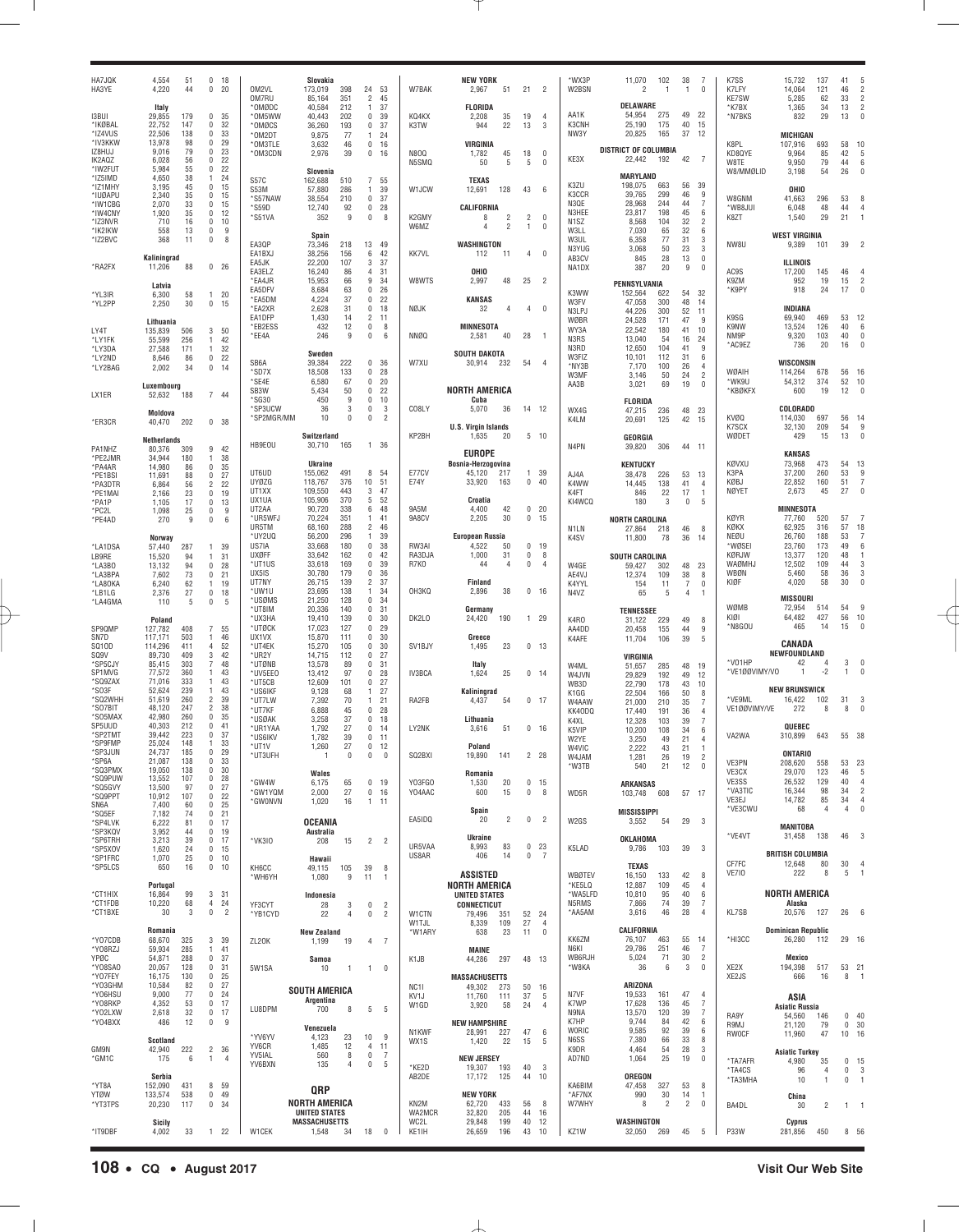| HA7JQK<br>HA3YE        | 4.554<br>4,220        | 51<br>44   | 0, 18<br>20<br>0                           |                | OM2VL<br>OM7RU        | Slovakia<br>173,019<br>85.164                | 398<br>351          | 24 53<br>$\overline{2}$<br>45                                  | W7BAK                    | <b>NEW YORK</b><br>2,967<br>51               | 21                | $\overline{2}$          | *WX3P<br>W2BSN             | 11,070<br>2                           | 102<br>-1            | 38<br>-1             | -7<br>0                     | K7SS<br>K7LFY<br><b>KE7SW</b> | 15.732<br>14.064<br>5.285           | 137<br>121<br>62     | 41<br>46<br>33            | $\overline{\phantom{a}}$<br>$\overline{2}$ |
|------------------------|-----------------------|------------|--------------------------------------------|----------------|-----------------------|----------------------------------------------|---------------------|----------------------------------------------------------------|--------------------------|----------------------------------------------|-------------------|-------------------------|----------------------------|---------------------------------------|----------------------|----------------------|-----------------------------|-------------------------------|-------------------------------------|----------------------|---------------------------|--------------------------------------------|
| <b>I3BUI</b>           | Italy<br>29,855       | 179        | 0<br>35                                    |                | *OMØDC<br>*OM5WW      | 40.584<br>40.443                             | 212<br>202          | 37<br>$\overline{1}$<br>$\mathbf{0}$<br>39                     | KQ4KX                    | <b>FLORIDA</b><br>2.208<br>35                | 19                | $\overline{4}$          | AA1K                       | DELAWARE<br>54,954                    | 275                  | 49                   | 22                          | *K7BX<br>*N7BKS               | 1,365<br>832                        | 34<br>29             | 13<br>13                  | $\overline{2}$<br>$\mathbf{0}$             |
| *IKØBAL                | 22,752                | 147        | 32<br>0                                    |                | *OMØCS                | 36,260                                       | 193                 | $\mathbf{0}$<br>37                                             | K3TW                     | 944<br>22                                    | 13                | 3                       | K3CNH                      | 25,190                                | 175                  | 40                   | 15                          |                               |                                     |                      |                           |                                            |
| *IZ4VUS<br>*IV3KKW     | 22,506<br>13,978      | 138<br>98  | 33<br>0<br>$\mathbf 0$<br>29               |                | *OM2DT<br>*OM3TLE     | 9,875<br>3,632                               | -77<br>46           | 24<br>$\overline{1}$<br>$\mathbf{0}$<br>16                     |                          | <b>VIRGINIA</b>                              |                   |                         | NW3Y                       | 20,825                                | 165                  | 37                   | 12                          | K8PL                          | <b>MICHIGAN</b><br>107.916          | 693                  | 58                        | 10                                         |
| IZ8HUJ<br>IK2AQZ       | 9,016<br>6,028        | 79<br>56   | $\mathbf 0$<br>23<br>$\mathbf 0$<br>22     |                | *OM3CDN               | 2,976                                        | 39                  | $\mathbf 0$<br>16                                              | <b>N800</b>              | 1,782<br>45                                  | 18                | $\Omega$                | KE3X                       | <b>DISTRICT OF COLUMBIA</b><br>22,442 | 192                  | 42                   | $\overline{7}$              | KD8QYE                        | 9,964                               | 85                   | 42                        | -5                                         |
| *IW2FUT                | 5.984                 | 55         | $\mathbf 0$<br>22                          |                |                       | Slovenia                                     |                     |                                                                | N5SMQ                    | 50<br>5                                      | 5                 | $\mathbf{0}$            |                            | <b>MARYLAND</b>                       |                      |                      |                             | W8TE<br>W8/MMØLID             | 9,950<br>3,198                      | 79<br>54             | 44<br>26                  | 6<br>$\Omega$                              |
| *IZ5IMD<br>*IZ1MHY     | 4,650<br>3,195        | 38<br>45   | 24<br>$\mathbf{1}$<br>0<br>15              |                | S57C<br><b>S53M</b>   | 162,688<br>57,880                            | 510<br>286          | $\overline{7}$<br>55<br>39<br>$\overline{1}$                   | W1JCW                    | <b>TEXAS</b><br>12,691<br>128                | 43                | - 6                     | K3ZU                       | 198,075                               | 663                  | 56                   | 39                          |                               | OHIO                                |                      |                           |                                            |
| *IUØAPU<br>*IW1CBG     | 2,340<br>2,070        | 35<br>33   | 0<br>15<br>15<br>0                         |                | 'S57NAW<br>*S59D      | 38,554                                       | 210                 | $\mathbf{0}$<br>37                                             |                          | CALIFORNIA                                   |                   |                         | K3CCR<br>N3QE              | 39,765<br>28,968                      | 299<br>244           | 46<br>44             | 9<br>$\overline{7}$         | W8GNM                         | 41.663<br>6.048                     | 296                  | 53                        | 8<br>$\overline{4}$                        |
| *IW4CNY<br>*IZ3NVR     | 1,920<br>710          | 35<br>16   | 0<br>12<br>0<br>10                         |                | *S51VA                | 12,740<br>352                                | 92<br>9             | $\mathbf 0$<br>28<br>$\mathbf 0$<br>8                          | K2GMY                    | $\overline{2}$<br>8                          | 2                 | $\mathbf{0}$            | N3HEE<br>N <sub>1</sub> SZ | 23,817<br>8,568                       | 198<br>104           | 45<br>32             | 6<br>$\overline{2}$         | *WB8JUI<br>K8ZT               | 1,540                               | 48<br>29             | 44<br>21                  |                                            |
| *IK2IKW                | 558                   | 13         | 0                                          | 9              |                       | Spain                                        |                     |                                                                | W6MZ                     | $\overline{2}$<br>4                          | $\mathbf{1}$      | $\mathbf{0}$            | W3LL                       | 7,030                                 | 65                   | 32                   | 6                           |                               | <b>WEST VIRGINIA</b>                |                      |                           |                                            |
| *IZ2BVC                | 368                   | 11         | 0                                          | 8              | EA3QP<br>EA1BXJ       | 73.346<br>38.256                             | 218<br>156          | 13<br>- 49<br>6<br>42                                          | <b>KK7VL</b>             | WASHINGTON<br>112<br>11                      | $\overline{4}$    | $\mathbf{0}$            | W3UL<br>N3YUG              | 6.358<br>3.068                        | 77<br>50             | 31<br>23             | 3<br>3                      | NW8U                          | 9,389                               | 101                  | 39                        |                                            |
| *RA2FX                 | Kaliningrad<br>11,206 | 88         | 0 <sub>26</sub>                            |                | EA5JK                 | 22,200                                       | 107                 | 3<br>37                                                        |                          |                                              |                   |                         | AB3CV<br>NA1DX             | 845<br>387                            | 28<br>20             | 13<br>9              | $\mathbf 0$<br>$\mathbf{0}$ |                               | <b>ILLINOIS</b>                     |                      |                           |                                            |
|                        | Latvia                |            |                                            |                | EA3ELZ<br>*EA4JR      | 16.240<br>15,953                             | 86<br>66            | $\overline{4}$<br>31<br>9<br>34                                | W8WTS                    | OHIO<br>2,997<br>48                          | 25                | $\overline{2}$          |                            | PENNSYLVANIA                          |                      |                      |                             | AC9S<br>K9ZM                  | 17.200<br>952                       | 145<br>19            | 46<br>15                  | $\overline{\phantom{a}}$                   |
| *YL3IR                 | 6,300                 | 58         | 20<br>$\mathbf{1}$                         |                | EA5DFV<br>*EA5DM      | 8,684<br>4,224                               | 63<br>37            | $\mathbf 0$<br>26<br>$\mathbf 0$<br>22                         |                          | KANSAS                                       |                   |                         | K3WW                       | 152,564                               | 622                  | 54<br>48             | 32                          | *K9PY                         | 918                                 | 24                   | 17                        | $\Omega$                                   |
| *YL2PP                 | 2,250                 | 30         | 0<br>15                                    |                | *EA2XR<br>EA1DFP      | 2,628                                        | 31<br>14            | $\mathbf{0}$<br>18<br>11                                       | NØJK                     | 32<br>$\Delta$                               | $\overline{4}$    | $\mathbf{0}$            | W3FV<br>N3LPJ              | 47,058<br>44,226                      | 300<br>300           | 52                   | 14<br>11                    | K9SG                          | <b>INDIANA</b><br>69.940            | 469                  | 53                        |                                            |
| LY4T                   | Lithuania<br>135,839  | 506        | 3<br>50                                    |                | *EB2ESS               | 1,430<br>432                                 | 12                  | $\overline{2}$<br>$\mathbf{0}$<br>8                            |                          | <b>MINNESOTA</b>                             |                   |                         | WØBR<br>WY3A               | 24,528<br>22,542                      | 171<br>180           | 47<br>41             | 9<br>10                     | K9NW                          | 13.524                              | 126                  | 40                        | 12<br>6                                    |
| *LY1FK                 | 55,599                | 256        | 42<br>$\mathbf{1}$<br>$\mathbf{1}$         |                | *EE4A                 | 246                                          | 9                   | $\mathbf 0$<br>6                                               | NNØQ                     | 2,581<br>40                                  | 28                | $\overline{1}$          | N3RS<br>N3RD               | 13,040<br>12,650                      | 54<br>104            | 16<br>41             | 24<br>9                     | NM9P<br>*AC9EZ                | 9,320<br>736                        | 103<br>20            | 40<br>16                  | $\Omega$<br>$\Omega$                       |
| *LY3DA<br>*LY2ND       | 27,588<br>8,646       | 171<br>86  | 32<br>0<br>22                              |                | SB <sub>6</sub> A     | Sweden<br>39.384                             | 222                 | $\mathbf 0$<br>36                                              | W7XU                     | <b>SOUTH DAKOTA</b><br>30,914<br>232         | 54                | $\overline{4}$          | W3FIZ                      | 10,101                                | 112                  | 31                   | 6                           |                               | <b>WISCONSIN</b>                    |                      |                           |                                            |
| *LY2BAG                | 2,002                 | 34         | 0<br>14                                    |                | *SD7X<br>*SE4E        | 18.508<br>6.580                              | 133<br>67           | $\mathbf 0$<br>28<br>$\mathbf 0$<br>20                         |                          |                                              |                   |                         | *NY3B<br>W3MF              | 7,170<br>3,146                        | 100<br>50            | 26<br>24             | 4<br>$\overline{c}$         | WØAIH<br>*WK9U                | 114.264<br>54.312                   | 678<br>374           | 56<br>52                  | -16<br>10                                  |
| LX1ER                  | Luxembourg<br>52,632  | 188        | 7 44                                       |                | SB <sub>3</sub> W     | 5.434                                        | 50                  | $\mathbf{0}$<br>22                                             |                          | <b>NORTH AMERICA</b>                         |                   |                         | AA3B                       | 3,021                                 | 69                   | 19                   | $\mathbf 0$                 | *KBØKFX                       | 600                                 | 19                   | 12                        |                                            |
|                        | Moldova               |            |                                            |                | *SG30<br>*SP3UCW      | 450<br>36                                    | 9<br>3              | $\mathbf 0$<br>10<br>$\mathbf 0$<br>3                          | CO8LY                    | Cuba<br>5,070<br>36                          |                   | 14 12                   | WX4G                       | <b>FLORIDA</b><br>47,215              | 236                  | 48                   | 23                          |                               | <b>COLORADO</b>                     |                      |                           |                                            |
| *ER3CR                 | 40,470                | 202        | 0 <sup>38</sup>                            |                | *SP2MGR/MM            | 10                                           | $^{\circ}$          | $\bf{0}$<br>$\overline{c}$                                     |                          | <b>U.S. Virgin Islands</b>                   |                   |                         | K4LM                       | 20,691                                | 125                  | 42                   | 15                          | KVØQ<br>K7SCX                 | 114.030<br>32,130                   | 697<br>209           | 56<br>54                  | -14<br>9                                   |
|                        | <b>Netherlands</b>    |            |                                            |                | HB9E0U                | Switzerland<br>30,710                        | 165                 | 1 36                                                           | KP2BH                    | 1,635<br>20                                  |                   | $5$ 10                  | N4PN                       | GEORGIA<br>39,820                     | 306                  | 44 11                |                             | WØDET                         | 429                                 | 15                   | 13                        | $\Omega$                                   |
| PA1NHZ<br>*PE2JMR      | 80,376<br>34,944      | 309<br>180 | 9<br>-42<br>38<br>1                        |                |                       |                                              |                     |                                                                |                          | <b>EUROPE</b><br>Bosnia-Herzogovina          |                   |                         |                            |                                       |                      |                      |                             | KØVXU                         | <b>KANSAS</b><br>73,968             | 473                  | 54                        |                                            |
| *PA4AR<br>*PE1BSI      | 14,980<br>11,691      | 86<br>88   | 35<br>0<br>$\mathbf 0$<br>27               |                | UT6UD                 | <b>Ukraine</b><br>155,062                    | 491                 | 8<br>.54                                                       | E77CV                    | 45,120<br>217                                |                   | 1 39                    | AJ4A                       | <b>KENTUCKY</b><br>38,478             | 226                  | 53                   | 13                          | K3PA                          | 37,200                              | 260                  | 53                        | 13<br>9                                    |
| *PA3DTR<br>*PE1MAI     | 6,864<br>2.166        | 56<br>23   | $\overline{2}$<br>22<br>$\mathbf 0$<br>19  |                | <b>UYØZG</b><br>UT1XX | 118,767<br>109,550                           | 376<br>443          | 10 <sup>10</sup><br>51<br>3<br>47                              | E74Y                     | 33,920<br>163                                |                   | 0.40                    | K4WW<br>K4FT               | 14,445<br>846                         | 138<br>22            | 41<br>17             | 4<br>$\mathbf{1}$           | KØBJ<br><b>NØYET</b>          | 22,852<br>2,673                     | 160<br>45            | 51<br>27                  | $\overline{7}$<br>$\theta$                 |
| *PA1P                  | 1,105                 | 17         | $\mathbf 0$<br>13                          |                | UX1UA<br>UT2AA        | 105,906<br>90.720                            | 370<br>338          | 5<br>52<br>6<br>48                                             | 9A5M                     | Croatia<br>4.400<br>42                       |                   | 0 <sub>20</sub>         | KI4WCQ                     | 180                                   | 3                    | 0                    | 5                           |                               | <b>MINNESOTA</b>                    |                      |                           |                                            |
| *PC2L<br>*PE4AD        | 1,098<br>270          | 25<br>9    | 0<br>$\mathbf 0$                           | 9<br>6         | *UR5WFJ               | 70.224                                       | 351                 | 41<br>$\mathbf{1}$                                             | 9A8CV                    | 2,205<br>30                                  |                   | 0, 15                   |                            | <b>NORTH CAROLINA</b>                 |                      |                      |                             | <b>KØYR</b>                   | 77.760                              | 520                  | 57                        |                                            |
|                        | Norway                |            |                                            |                | UR5TM<br>*UY2UQ       | 68.160<br>56,200                             | 288<br>296          | $\overline{2}$<br>46<br>39<br>$\overline{1}$                   |                          | <b>European Russia</b>                       |                   |                         | N <sub>1</sub> LN<br>K4SV  | 27,864<br>11,800                      | 218<br>78            | 46<br>36             | 8<br>14                     | KØKX<br>NEØU                  | 62.925<br>26.760                    | 316<br>188           | 57<br>53                  | 18<br>7                                    |
| *LA1DSA<br>LB9RE       | 57,440<br>15,520      | 287<br>94  | 39<br>$\mathbf{1}$<br>31<br>$\mathbf{1}$   |                | US7IA<br><b>UXØFF</b> | 33,668<br>33,642                             | 180<br>162          | $\mathbf 0$<br>38<br>$\mathbf 0$<br>42                         | RW3AI<br>RA3DJA          | 4,522<br>50<br>1,000<br>31                   | 0<br>$\mathbf{0}$ | 19<br>8                 |                            | <b>SOUTH CAROLINA</b>                 |                      |                      |                             | *WØSEI<br>KØRJW               | 23.760<br>13,377                    | 173<br>120           | 49<br>48                  | 6<br>$\overline{1}$                        |
| *LA3BO                 | 13,132                | 94         | 0<br>28                                    |                | *UT1US                | 33,618                                       | 169<br>179          | $\mathbf 0$<br>39<br>$\mathbf 0$<br>36                         | R7K0                     | 44<br>$\overline{4}$                         | $\mathbf 0$       | $\overline{4}$          | W4GE                       | 59,427                                | 302                  | 48                   | 23                          | WAØMHJ<br>WBØN                | 12.502<br>5.460                     | 109                  | 44                        | 3<br>3                                     |
| *LA3BPA<br>*LA80KA     | 7,602<br>6,240        | 73<br>62   | 0<br>21<br>19<br>$\mathbf{1}$              |                | UX5IS<br>UT7NY        | 30,780<br>26,715                             | 139                 | $\overline{2}$<br>37                                           |                          | <b>Finland</b>                               |                   |                         | AE4VJ<br>K4YYL             | 12,374<br>154                         | 109<br>11            | 38<br>$\overline{7}$ | 8<br>0                      | KIØF                          | 4,020                               | 58<br>58             | 36<br>30                  | $\Omega$                                   |
| *LB1LG<br>*LA4GMA      | 2,376<br>110          | 27<br>5    | 0<br>18<br>$\mathbf 0$                     | 5              | *UW1U<br>*USØMS       | 23,695<br>21,250                             | 138<br>128          | 34<br>$\overline{1}$<br>$\mathbf 0$<br>34                      | OH3KQ                    | 2,896<br>38                                  |                   | $0$ 16                  | N4VZ                       | 65                                    | 5                    | 4                    | $\mathbf{1}$                |                               | <b>MISSOURI</b>                     |                      |                           |                                            |
|                        | Poland                |            |                                            |                | *UT8IM<br>*UX3HA      | 20,336<br>19,410                             | 140<br>139          | $\mathbf 0$<br>31<br>$\mathbf 0$<br>30                         | DK2LO                    | Germany<br>24,420<br>190                     | $\mathbf{1}$      | - 29                    | K4RO                       | <b>TENNESSEE</b><br>31,122            | 229                  | 49                   | 8                           | WØMB<br>KIØI                  | 72,954<br>64,482                    | 514<br>427           | 54<br>56                  | q<br>10                                    |
| SP9QMP                 | 127,782               | 408        | $\overline{7}$<br>55<br>46<br>-1           |                | *UTØCK<br>UX1VX       | 17.023<br>15,870                             | 127<br>111          | $\mathbf 0$<br>29<br>$\mathbf 0$<br>30                         |                          | Greece                                       |                   |                         | AA4DD                      | 20,458                                | 155                  | 44                   | 9                           | *N8GOU                        | 465                                 | 14                   | 15                        | $\Omega$                                   |
| SN7D<br>SQ10D          | 117,171<br>114,296    | 503<br>411 | 52<br>$\overline{4}$                       |                | *UT4EK                | 15,270                                       | 105                 | $\mathbf 0$<br>30                                              | SV <sub>1</sub> BJY      | 1,495<br>23                                  |                   | $0 + 13$                | K4AFE                      | 11,704                                | 106                  | 39                   | 5                           |                               | CANADA                              |                      |                           |                                            |
| SQ9V<br>*SP5CJY        | 89.730<br>85,415      | 409<br>303 | 3<br>42<br>$\overline{7}$<br>48            |                | *UR2Y<br>*UTØNB       | 14,715<br>13,578                             | 112<br>89           | $\mathbf 0$<br>27<br>$\mathbf 0$<br>31                         |                          | Italy                                        |                   |                         | W4ML                       | VIRGINIA<br>51,657                    | 285                  | 48                   | 19                          | *V01HP                        | NEWFOUNDLAND<br>42                  | 4                    | 3                         | n                                          |
| SP1MVG<br>*SQ9ZAX      | 77,572<br>71,016      | 360<br>333 | 43<br>$\mathbf{1}$<br>43<br>$\mathbf{1}$   |                | *UV5EE0<br>*UT5CB     | 13.412<br>12,609                             | 97<br>101           | $\mathbf 0$<br>28<br>$\mathbf 0$<br>27                         | IV3BCA                   | 1,624<br>25                                  |                   | $0 + 14$                | W4JVN<br>WB3D              | 29,829<br>22,790                      | 192<br>178           | 49<br>43             | 12<br>10                    | *VE1ØØVIMY/VO                 | -1                                  | $-2$                 | -1.                       |                                            |
| *SO3F<br>*SQ2WHH       | 52,624<br>51,619      | 239<br>260 | 43<br>$\mathbf{1}$<br>39<br>$\overline{c}$ |                | *US6IKF<br>*UT7LW     | 9.128<br>7,392                               | 68<br>70            | 27<br>$\mathbf{1}$<br>21<br>$\overline{1}$                     | RA2FB                    | Kaliningrad<br>4,437<br>54                   |                   | 0, 17                   | K1GG                       | 22,504                                | 166                  | 50                   | 8                           | *VE9ML                        | <b>NEW BRUNSWICK</b><br>16,422      | 102                  | 31                        | 3                                          |
| *SO7BIT<br>*S05MAX     | 48,120<br>42.980      | 247<br>260 | 38<br>$\overline{c}$<br>$\mathbf 0$<br>35  |                | *UT7KF                | 6,888                                        | 45                  | $\mathbf{0}$<br>28                                             |                          |                                              |                   |                         | W4AAW<br>KK40DC            | 21,000<br>17,440                      | 210<br>191           | 35<br>36             | 7<br>4                      | VE1ØØVIMY/VE                  | 272                                 | 8                    | 8                         |                                            |
| SP5UUD                 | 40,303                | 212        | $\mathbf{0}$<br>41                         |                | *USØAK<br>*UR1YAA     | 3,258<br>1,792                               | 37<br>27            | $\mathbf 0$<br>18<br>$\mathbf 0$<br>14                         | LY2NK                    | Lithuania<br>3,616<br>51                     |                   | $0$ 16                  | K4XL<br>K5VIP              | 12,328<br>10,200                      | 103<br>108           | 39<br>34             | $\overline{7}$<br>6         |                               | QUEBEC                              |                      |                           |                                            |
| *SP2TMT<br>*SP9FMP     | 39,442<br>25,024      | 223<br>148 | 37<br>0<br>33<br>$\mathbf{1}$              |                | *US6IKV<br>*UT1V      | 1,782<br>1,260                               | 39<br>27            | $\mathbf 0$<br>11<br>$\mathbf 0$<br>12                         |                          | Poland                                       |                   |                         | W2YE<br>W4VIC              | 3,250<br>2,222                        | 49<br>43             | 21<br>21             | $\overline{4}$              | VA2WA                         | 310,899                             | 643                  | 55 38                     |                                            |
| SP3JUN<br>*SP6A        | 24,737<br>21,087      | 185<br>138 | 29<br>0<br>0<br>33                         |                | *UT3UFH               |                                              | $^{\circ}$          | $\bf{0}$<br>0                                                  | SQ2BXI                   | 19,890<br>141                                | $\overline{2}$    | 28                      | W4JAM                      | 1,281                                 | 26                   | 19                   | 2                           | VE3PN                         | ONTARIO<br>208,620                  | 558                  | 53                        | 23                                         |
| *SQ3PMX<br>*SQ9PUW     | 19,050<br>13,552      | 138<br>107 | 30<br>0<br>0<br>28                         |                |                       | Wales                                        |                     |                                                                |                          | Romania                                      |                   |                         | *W3TB                      | 540                                   | 21                   | 12                   | 0                           | VE3CX<br>VE3SS                | 29,070<br>26,532                    | 123<br>129           | 46<br>40                  | - 5<br>$\overline{4}$                      |
| *SQ5GVY<br>*SQ9PPT     | 13,500<br>10,912      | 97<br>107  | 0<br>-27<br>0<br>22                        |                | *GW4W<br>*GW1YQM      | 6.175<br>2,000                               | 65<br>27            | $^{\circ}$<br>19<br>$\mathbf 0$<br>16                          | Y03FGO<br>Y04AAC         | 1,530<br>20<br>600<br>15                     | 0                 | $0$ 15<br>8             | WD5R                       | <b>ARKANSAS</b><br>103,748            | 608                  | 57 17                |                             | *VA3TIC                       | 16,344                              | 98                   | 34                        | $\overline{c}$                             |
| SN6A<br>*SQ5EF         | 7,400<br>7,182        | 60<br>74   | 0<br>25<br>0<br>21                         |                | *GW0NVN               | 1,020                                        | 16                  | 1<br>11                                                        |                          | Spain                                        |                   |                         |                            | <b>MISSISSIPPI</b>                    |                      |                      |                             | VE3EJ<br>*VE3CWU              | 14,782<br>68                        | 85<br>4              | 34<br>4                   | $\overline{4}$<br>$\Omega$                 |
| *SP4LVK<br>*SP3KQV     | 6,222<br>3,952        | 81<br>44   | 0<br>17<br>$\mathbf 0$<br>19               |                |                       | <b>OCEANIA</b><br>Australia                  |                     |                                                                | EA5IDQ                   | 20<br>$\mathfrak{p}$                         | $\mathbf 0$       | $\overline{2}$          | W2GS                       | 3,552                                 | 54                   | 29                   | -3                          |                               | MANITOBA                            |                      |                           |                                            |
| *SP6TRH                | 3,213                 | 39         | $\mathbf 0$<br>17                          |                | *VK3I0                | 208                                          | 15                  | 2 <sub>2</sub>                                                 | UR5VAA                   | <b>Ukraine</b><br>8,993<br>83                |                   | 0 <sub>23</sub>         |                            | OKLAHOMA                              |                      |                      |                             | *VE4VT                        | 31,458                              | 138                  | 46                        | 3                                          |
| *SP5XOV<br>*SP1FRC     | 1,620<br>1,070        | 24<br>25   | 0, 15<br>$\mathbf{0}$<br>10                |                |                       | Hawaii                                       |                     |                                                                | US8AR                    | 406<br>14                                    |                   | 0 <sub>7</sub>          | K5LAD                      | 9,786                                 | 103                  | 39                   | 3                           | CF7FC                         | <b>BRITISH COLUMBIA</b><br>12,648   | 80                   | 30                        | -4                                         |
| *SP5LCS                | 650                   | 16         | 0<br>10                                    |                | KH6CC<br>*WH6YH       | 49,115<br>1,080                              | 105<br>9            | 39<br>8<br>11<br>$\overline{1}$                                |                          | <b>ASSISTED</b>                              |                   |                         | WBØTEV                     | <b>TEXAS</b><br>16,150                | 133                  | 42                   | 8                           | <b>VE710</b>                  | 222                                 | 8                    | 5                         | $\overline{1}$                             |
| *CT1HIX                | Portugal<br>16,864    | 99         | 3<br>31                                    |                |                       | Indonesia                                    |                     |                                                                |                          | <b>NORTH AMERICA</b><br><b>UNITED STATES</b> |                   |                         | *KE5LQ<br>*WA5LFD          | 12,887<br>10,810                      | 109<br>95            | 45<br>40             | 4<br>6                      |                               | <b>NORTH AMERICA</b>                |                      |                           |                                            |
| *CT1FDB<br>*CT1BXE     | 10,220<br>30          | 68<br>3    | 4<br>24<br>0                               | $\overline{2}$ | YF3CYT                | 28<br>22                                     | 3<br>$\overline{4}$ | $\mathbf 0$<br>$\overline{2}$<br>$\mathbf 0$<br>$\overline{2}$ | W1CTN                    | <b>CONNECTICUT</b>                           |                   |                         | N5RMS<br>*AA5AM            | 7,866<br>3,616                        | 74<br>46             | 39<br>28             | 7<br>$\overline{4}$         | <b>KL7SB</b>                  | Alaska<br>20,576                    | 127                  | 26                        | 6                                          |
|                        |                       |            |                                            |                | *YB1CYD               |                                              |                     |                                                                | W1TJL                    | 79,496<br>351<br>8,339<br>109                | 27                | 52 24<br>$\overline{4}$ |                            | CALIFORNIA                            |                      |                      |                             |                               |                                     |                      |                           |                                            |
| *Y07CDB                | Romania<br>68,670     | 325        | 3 39                                       |                | ZL20K                 | <b>New Zealand</b><br>1,199                  | 19                  | 4<br>7                                                         | *W1ARY                   | 638<br>23                                    | 11                | $\mathbf 0$             | KK6ZM                      | 76,107                                | 463                  | 55                   | -14                         | *HI3CC                        | <b>Dominican Republic</b><br>26,280 | 112                  | 29 16                     |                                            |
| *Y08RZJ<br>YPØC        | 59,934<br>54,871      | 285<br>288 | 41<br>1<br>0<br>37                         |                |                       | Samoa                                        |                     |                                                                | K1JB                     | <b>MAINE</b><br>44,286<br>297                |                   | 48 13                   | N6KI<br>WB6RJH             | 29,786<br>5,024                       | 251<br>71            | 46<br>30             | 7<br>$\overline{2}$         |                               | Mexico                              |                      |                           |                                            |
| *Y08SA0<br>*Y07FEY     | 20,057<br>16,175      | 128<br>130 | 0<br>31<br>0<br>25                         |                | 5W1SA                 | 10                                           | $\mathbf{1}$        | $1 \quad 0$                                                    |                          | <b>MASSACHUSETTS</b>                         |                   |                         | *W8KA                      | 36                                    | 6                    | 3                    | 0                           | XE2X<br>XE2JS                 | 194,398<br>666                      | 517<br>16            | 53<br>8                   | 21<br>$\overline{1}$                       |
| *Y03GHM<br>*Y06HSU     | 10,584<br>9,000       | 82<br>77   | 0<br>27<br>0<br>-24                        |                |                       | <b>SOUTH AMERICA</b>                         |                     |                                                                | NC <sub>11</sub><br>KV1J | 49,302<br>273<br>11,760<br>111               | 37                | 50 16<br>- 5            | N7VF                       | ARIZONA<br>19,533                     | 161                  | 47                   | 4                           |                               |                                     |                      |                           |                                            |
| *Y08RKP                | 4,352                 | 53         | 0<br>17                                    |                | LU8DPM                | Argentina<br>700                             | 8                   | 5<br>-5                                                        | W1GD                     | 3,920<br>58                                  | 24                | $\overline{4}$          | K7WP                       | 17,628                                | 136                  | 45                   | 7                           |                               | ASIA<br><b>Asiatic Russia</b>       |                      |                           |                                            |
| *Y02LXW<br>*Y04BXX     | 2,618<br>486          | 32<br>12   | $\mathbf 0$<br>17<br>0                     | 9              |                       | Venezuela                                    |                     |                                                                |                          | <b>NEW HAMPSHIRE</b>                         |                   |                         | N9NA<br>K7HP               | 13,570<br>9,744                       | 120<br>84            | 39<br>42             | 7<br>6                      | RA9Y<br>R9MJ                  | 54,560<br>21,120                    | 146<br>79            | $0$ 40<br>0 <sub>30</sub> |                                            |
|                        | <b>Scotland</b>       |            |                                            |                | *YV6YV                | 4,123                                        | 23                  | 10<br>-9                                                       | N1KWF<br>WX1S            | 28,991<br>227<br>22<br>1,420                 | 47<br>15          | 6<br>-5                 | <b>WORIC</b><br>N6SS       | 9,585<br>7,380                        | 92<br>66             | 39<br>33             | 6<br>8                      | <b>RW0CF</b>                  | 11,960                              | 47                   | 10 16                     |                                            |
| GM9N<br>*GM1C          | 42,940<br>175         | 222<br>6   | $\overline{2}$<br>-36<br>$\mathbf{1}$      | 4              | YV6CR<br>YV5IAL       | 1,485<br>560                                 | 12<br>8             | $\overline{4}$<br>11<br>$\mathbf 0$<br>-7                      |                          | <b>NEW JERSEY</b>                            |                   |                         | K9DR<br>AD7ND              | 4,464<br>1,064                        | 54<br>25             | 28<br>19             | 3<br>0                      | *TA7AFR                       | <b>Asiatic Turkey</b>               |                      |                           |                                            |
|                        | Serbia                |            |                                            |                | YV6BXN                | 135                                          | $\overline{4}$      | $\mathbb O$<br>5                                               | *KE2D<br>AB2DE           | 19,307<br>193<br>17,172<br>125               | 40<br>44          | -3<br>10                |                            | OREGON                                |                      |                      |                             | *TA4CS                        | 4,980<br>96                         | 35<br>$\overline{4}$ | $0$ 15<br>$\mathbf{0}$    | -3                                         |
| *YT8A                  | 152,090               | 431        | 8 59                                       |                |                       | QRP                                          |                     |                                                                |                          |                                              |                   |                         | KA6BIM                     | 47,458                                | 327                  | 53                   | 8                           | *TA3MHA                       | 10                                  | $\mathbf{1}$         | $\mathbf{0}$              | $\overline{1}$                             |
| <b>YTØW</b><br>*YT3TPS | 133,574<br>20,230     | 538<br>117 | $0$ 49<br>0, 34                            |                |                       | <b>NORTH AMERICA</b>                         |                     |                                                                | KN2M                     | <b>NEW YORK</b><br>62,720<br>433             | 56                | 8                       | *AF7NX<br>W7WHY            | 990<br>8                              | 30<br>$\overline{2}$ | 14<br>$\overline{2}$ | $\mathbf{1}$<br>0           | BA4DL                         | China<br>30                         | 2                    | 1 1                       |                                            |
|                        | Sicily                |            |                                            |                |                       | <b>UNITED STATES</b><br><b>MASSACHUSETTS</b> |                     |                                                                | WA2MCR<br>WC2L           | 32,820<br>205<br>29,848<br>199               | 44<br>40          | 16<br>12                |                            | WASHINGTON                            |                      |                      |                             |                               | <b>Cyprus</b>                       |                      |                           |                                            |
| *IT9DBF                | 4,002                 | 33         | $122$                                      |                | W1CEK                 | 1,548                                        | 34                  | 18 0                                                           | KE1IH                    | 26,659<br>196                                |                   | 43 10                   | KZ1W                       | 32,050                                | 269                  | 45                   | - 5                         | P33W                          | 281,856                             | 450                  | 8 56                      |                                            |